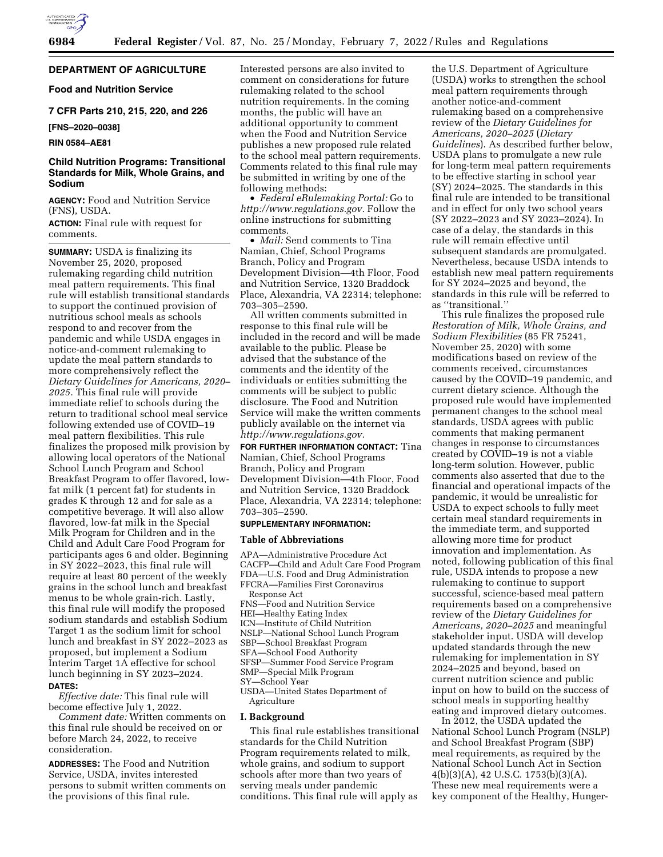

## **DEPARTMENT OF AGRICULTURE**

## **Food and Nutrition Service**

**7 CFR Parts 210, 215, 220, and 226** 

## **[FNS–2020–0038]**

## **RIN 0584–AE81**

## **Child Nutrition Programs: Transitional Standards for Milk, Whole Grains, and Sodium**

**AGENCY:** Food and Nutrition Service (FNS), USDA.

**ACTION:** Final rule with request for comments.

**SUMMARY:** USDA is finalizing its November 25, 2020, proposed rulemaking regarding child nutrition meal pattern requirements. This final rule will establish transitional standards to support the continued provision of nutritious school meals as schools respond to and recover from the pandemic and while USDA engages in notice-and-comment rulemaking to update the meal pattern standards to more comprehensively reflect the *Dietary Guidelines for Americans, 2020– 2025.* This final rule will provide immediate relief to schools during the return to traditional school meal service following extended use of COVID–19 meal pattern flexibilities. This rule finalizes the proposed milk provision by allowing local operators of the National School Lunch Program and School Breakfast Program to offer flavored, lowfat milk (1 percent fat) for students in grades K through 12 and for sale as a competitive beverage. It will also allow flavored, low-fat milk in the Special Milk Program for Children and in the Child and Adult Care Food Program for participants ages 6 and older. Beginning in SY 2022–2023, this final rule will require at least 80 percent of the weekly grains in the school lunch and breakfast menus to be whole grain-rich. Lastly, this final rule will modify the proposed sodium standards and establish Sodium Target 1 as the sodium limit for school lunch and breakfast in SY 2022–2023 as proposed, but implement a Sodium Interim Target 1A effective for school lunch beginning in SY 2023–2024. **DATES:** 

*Effective date:* This final rule will become effective July 1, 2022.

*Comment date:* Written comments on this final rule should be received on or before March 24, 2022, to receive consideration.

**ADDRESSES:** The Food and Nutrition Service, USDA, invites interested persons to submit written comments on the provisions of this final rule.

Interested persons are also invited to comment on considerations for future rulemaking related to the school nutrition requirements. In the coming months, the public will have an additional opportunity to comment when the Food and Nutrition Service publishes a new proposed rule related to the school meal pattern requirements. Comments related to this final rule may be submitted in writing by one of the following methods:

• *Federal eRulemaking Portal:* Go to *[http://www.regulations.gov.](http://www.regulations.gov)* Follow the online instructions for submitting comments.

• *Mail:* Send comments to Tina Namian, Chief, School Programs Branch, Policy and Program Development Division—4th Floor, Food and Nutrition Service, 1320 Braddock Place, Alexandria, VA 22314; telephone: 703–305–2590.

All written comments submitted in response to this final rule will be included in the record and will be made available to the public. Please be advised that the substance of the comments and the identity of the individuals or entities submitting the comments will be subject to public disclosure. The Food and Nutrition Service will make the written comments publicly available on the internet via *[http://www.regulations.gov.](http://www.regulations.gov)* 

## **FOR FURTHER INFORMATION CONTACT:** Tina Namian, Chief, School Programs

Branch, Policy and Program Development Division—4th Floor, Food and Nutrition Service, 1320 Braddock Place, Alexandria, VA 22314; telephone: 703–305–2590.

## **SUPPLEMENTARY INFORMATION:**

#### **Table of Abbreviations**

APA—Administrative Procedure Act CACFP—Child and Adult Care Food Program FDA—U.S. Food and Drug Administration FFCRA—Families First Coronavirus Response Act FNS—Food and Nutrition Service HEI—Healthy Eating Index ICN—Institute of Child Nutrition NSLP—National School Lunch Program SBP—School Breakfast Program SFA—School Food Authority SFSP—Summer Food Service Program SMP—Special Milk Program SY—School Year USDA—United States Department of Agriculture

#### **I. Background**

This final rule establishes transitional standards for the Child Nutrition Program requirements related to milk, whole grains, and sodium to support schools after more than two years of serving meals under pandemic conditions. This final rule will apply as

the U.S. Department of Agriculture (USDA) works to strengthen the school meal pattern requirements through another notice-and-comment rulemaking based on a comprehensive review of the *Dietary Guidelines for Americans, 2020–2025* (*Dietary Guidelines*). As described further below, USDA plans to promulgate a new rule for long-term meal pattern requirements to be effective starting in school year (SY) 2024–2025. The standards in this final rule are intended to be transitional and in effect for only two school years (SY 2022–2023 and SY 2023–2024). In case of a delay, the standards in this rule will remain effective until subsequent standards are promulgated. Nevertheless, because USDA intends to establish new meal pattern requirements for SY 2024–2025 and beyond, the standards in this rule will be referred to as ''transitional.''

This rule finalizes the proposed rule *Restoration of Milk, Whole Grains, and Sodium Flexibilities* (85 FR 75241, November 25, 2020) with some modifications based on review of the comments received, circumstances caused by the COVID–19 pandemic, and current dietary science. Although the proposed rule would have implemented permanent changes to the school meal standards, USDA agrees with public comments that making permanent changes in response to circumstances created by COVID–19 is not a viable long-term solution. However, public comments also asserted that due to the financial and operational impacts of the pandemic, it would be unrealistic for USDA to expect schools to fully meet certain meal standard requirements in the immediate term, and supported allowing more time for product innovation and implementation. As noted, following publication of this final rule, USDA intends to propose a new rulemaking to continue to support successful, science-based meal pattern requirements based on a comprehensive review of the *Dietary Guidelines for Americans, 2020–2025* and meaningful stakeholder input. USDA will develop updated standards through the new rulemaking for implementation in SY 2024–2025 and beyond, based on current nutrition science and public input on how to build on the success of school meals in supporting healthy eating and improved dietary outcomes.

In 2012, the USDA updated the National School Lunch Program (NSLP) and School Breakfast Program (SBP) meal requirements, as required by the National School Lunch Act in Section 4(b)(3)(A), 42 U.S.C. 1753(b)(3)(A). These new meal requirements were a key component of the Healthy, Hunger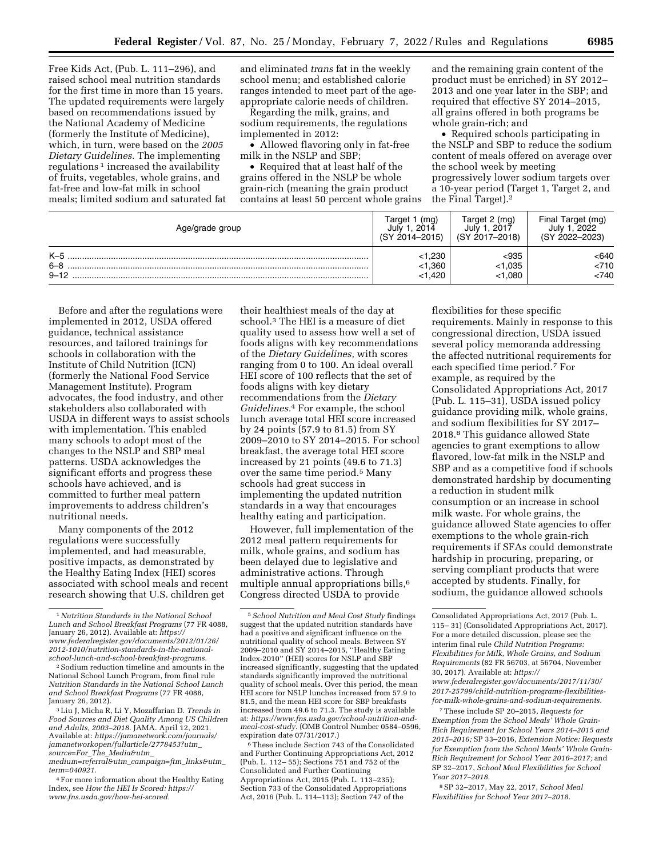Free Kids Act, (Pub. L. 111–296), and raised school meal nutrition standards for the first time in more than 15 years. The updated requirements were largely based on recommendations issued by the National Academy of Medicine (formerly the Institute of Medicine), which, in turn, were based on the *2005 Dietary Guidelines.* The implementing regulations<sup>1</sup> increased the availability of fruits, vegetables, whole grains, and fat-free and low-fat milk in school meals; limited sodium and saturated fat

and eliminated *trans* fat in the weekly school menu; and established calorie ranges intended to meet part of the ageappropriate calorie needs of children.

Regarding the milk, grains, and sodium requirements, the regulations implemented in 2012:

• Allowed flavoring only in fat-free milk in the NSLP and SBP;

• Required that at least half of the grains offered in the NSLP be whole grain-rich (meaning the grain product contains at least 50 percent whole grains

and the remaining grain content of the product must be enriched) in SY 2012– 2013 and one year later in the SBP; and required that effective SY 2014–2015, all grains offered in both programs be whole grain-rich; and

• Required schools participating in the NSLP and SBP to reduce the sodium content of meals offered on average over the school week by meeting progressively lower sodium targets over a 10-year period (Target 1, Target 2, and the Final Target).2

| Age/grade group              | (mq)<br><sup>-</sup> arget<br>2014<br>(SY 2014–2015) | $2 \pmod{2}$<br>™arɑet<br>2017<br>July<br>(SY 2017-2018) | Final Target (mg)<br>2022<br>(SY 2022-2023) |
|------------------------------|------------------------------------------------------|----------------------------------------------------------|---------------------------------------------|
| $K-5$<br>$6 - 8$<br>$9 - 12$ | < 1,230<br>< 1,360<br>< 1.420                        | :935<br>,035<br>.080                                     | <640<br>< 710<br>< 740                      |

Before and after the regulations were implemented in 2012, USDA offered guidance, technical assistance resources, and tailored trainings for schools in collaboration with the Institute of Child Nutrition (ICN) (formerly the National Food Service Management Institute). Program advocates, the food industry, and other stakeholders also collaborated with USDA in different ways to assist schools with implementation. This enabled many schools to adopt most of the changes to the NSLP and SBP meal patterns. USDA acknowledges the significant efforts and progress these schools have achieved, and is committed to further meal pattern improvements to address children's nutritional needs.

Many components of the 2012 regulations were successfully implemented, and had measurable, positive impacts, as demonstrated by the Healthy Eating Index (HEI) scores associated with school meals and recent research showing that U.S. children get

2Sodium reduction timeline and amounts in the National School Lunch Program, from final rule *Nutrition Standards in the National School Lunch and School Breakfast Programs* (77 FR 4088,

<sup>3</sup> Liu J, Micha R, Li Y, Mozaffarian D. *Trends in Food Sources and Diet Quality Among US Children and Adults, 2003–2018.* JAMA. April 12, 2021. Available at: *[https://jamanetwork.com/journals/](https://jamanetwork.com/journals/jamanetworkopen/fullarticle/2778453?utm_source=For_The_Media&utm_medium=referral&utm_campaign=ftm_links&utm_term=040921) [jamanetworkopen/fullarticle/2778453?utm](https://jamanetwork.com/journals/jamanetworkopen/fullarticle/2778453?utm_source=For_The_Media&utm_medium=referral&utm_campaign=ftm_links&utm_term=040921)*\_ *source=For*\_*The*\_*[Media&utm](https://jamanetwork.com/journals/jamanetworkopen/fullarticle/2778453?utm_source=For_The_Media&utm_medium=referral&utm_campaign=ftm_links&utm_term=040921)*\_

*[medium=referral&utm](https://jamanetwork.com/journals/jamanetworkopen/fullarticle/2778453?utm_source=For_The_Media&utm_medium=referral&utm_campaign=ftm_links&utm_term=040921)*\_*campaign=ftm*\_*links&utm*\_ *[term=040921.](https://jamanetwork.com/journals/jamanetworkopen/fullarticle/2778453?utm_source=For_The_Media&utm_medium=referral&utm_campaign=ftm_links&utm_term=040921)* 

4For more information about the Healthy Eating Index, see *How the HEI Is Scored: [https://](https://www.fns.usda.gov/how-hei-scored) [www.fns.usda.gov/how-hei-scored.](https://www.fns.usda.gov/how-hei-scored)* 

their healthiest meals of the day at school.3 The HEI is a measure of diet quality used to assess how well a set of foods aligns with key recommendations of the *Dietary Guidelines,* with scores ranging from 0 to 100. An ideal overall HEI score of 100 reflects that the set of foods aligns with key dietary recommendations from the *Dietary Guidelines.*4 For example, the school lunch average total HEI score increased by 24 points (57.9 to 81.5) from SY 2009–2010 to SY 2014–2015. For school breakfast, the average total HEI score increased by 21 points (49.6 to 71.3) over the same time period.<sup>5</sup> Many schools had great success in implementing the updated nutrition standards in a way that encourages healthy eating and participation.

However, full implementation of the 2012 meal pattern requirements for milk, whole grains, and sodium has been delayed due to legislative and administrative actions. Through multiple annual appropriations bills,6 Congress directed USDA to provide

6These include Section 743 of the Consolidated and Further Continuing Appropriations Act, 2012 (Pub. L. 112– 55); Sections 751 and 752 of the Consolidated and Further Continuing Appropriations Act, 2015 (Pub. L. 113–235); Section 733 of the Consolidated Appropriations Act, 2016 (Pub. L. 114–113); Section 747 of the

flexibilities for these specific requirements. Mainly in response to this congressional direction, USDA issued several policy memoranda addressing the affected nutritional requirements for each specified time period.7 For example, as required by the Consolidated Appropriations Act, 2017 (Pub. L. 115–31), USDA issued policy guidance providing milk, whole grains, and sodium flexibilities for SY 2017– 2018.8 This guidance allowed State agencies to grant exemptions to allow flavored, low-fat milk in the NSLP and SBP and as a competitive food if schools demonstrated hardship by documenting a reduction in student milk consumption or an increase in school milk waste. For whole grains, the guidance allowed State agencies to offer exemptions to the whole grain-rich requirements if SFAs could demonstrate hardship in procuring, preparing, or serving compliant products that were accepted by students. Finally, for sodium, the guidance allowed schools

*Exemption from the School Meals' Whole Grain-Rich Requirement for School Years 2014–2015 and 2015–2016;* SP 33–2016, *Extension Notice: Requests for Exemption from the School Meals' Whole Grain-Rich Requirement for School Year 2016–2017;* and SP 32–2017, *School Meal Flexibilities for School Year 2017–2018.* 

8SP 32–2017, May 22, 2017, *School Meal Flexibilities for School Year 2017–2018.* 

<sup>1</sup>*Nutrition Standards in the National School Lunch and School Breakfast Programs* (77 FR 4088, January 26, 2012). Available at: *[https://](https://www.federalregister.gov/documents/2012/01/26/2012-1010/nutrition-standards-in-the-national-school-lunch-and-school-breakfast-programs) [www.federalregister.gov/documents/2012/01/26/](https://www.federalregister.gov/documents/2012/01/26/2012-1010/nutrition-standards-in-the-national-school-lunch-and-school-breakfast-programs) [2012-1010/nutrition-standards-in-the-national](https://www.federalregister.gov/documents/2012/01/26/2012-1010/nutrition-standards-in-the-national-school-lunch-and-school-breakfast-programs)[school-lunch-and-school-breakfast-programs.](https://www.federalregister.gov/documents/2012/01/26/2012-1010/nutrition-standards-in-the-national-school-lunch-and-school-breakfast-programs)* 

<sup>5</sup>*School Nutrition and Meal Cost Study* findings suggest that the updated nutrition standards have had a positive and significant influence on the nutritional quality of school meals. Between SY 2009–2010 and SY 2014–2015, ''Healthy Eating Index-2010'' (HEI) scores for NSLP and SBP increased significantly, suggesting that the updated standards significantly improved the nutritional quality of school meals. Over this period, the mean HEI score for NSLP lunches increased from 57.9 to 81.5, and the mean HEI score for SBP breakfasts increased from 49.6 to 71.3. The study is available at: *[https://www.fns.usda.gov/school-nutrition-and](https://www.fns.usda.gov/school-nutrition-and-meal-cost-study)[meal-cost-study.](https://www.fns.usda.gov/school-nutrition-and-meal-cost-study)* (OMB Control Number 0584–0596, expiration date 07/31/2017.)

Consolidated Appropriations Act, 2017 (Pub. L. 115– 31) (Consolidated Appropriations Act, 2017). For a more detailed discussion, please see the interim final rule *Child Nutrition Programs: Flexibilities for Milk, Whole Grains, and Sodium Requirements* (82 FR 56703, at 56704, November 30, 2017). Available at: *[https://](https://www.federalregister.gov/documents/2017/11/30/2017-25799/child-nutrition-programs-flexibilities-for-milk-whole-grains-and-sodium-requirements) [www.federalregister.gov/documents/2017/11/30/](https://www.federalregister.gov/documents/2017/11/30/2017-25799/child-nutrition-programs-flexibilities-for-milk-whole-grains-and-sodium-requirements) [2017-25799/child-nutrition-programs-flexibilities-](https://www.federalregister.gov/documents/2017/11/30/2017-25799/child-nutrition-programs-flexibilities-for-milk-whole-grains-and-sodium-requirements)*

*[for-milk-whole-grains-and-sodium-requirements.](https://www.federalregister.gov/documents/2017/11/30/2017-25799/child-nutrition-programs-flexibilities-for-milk-whole-grains-and-sodium-requirements)*  7These include SP 20–2015, *Requests for*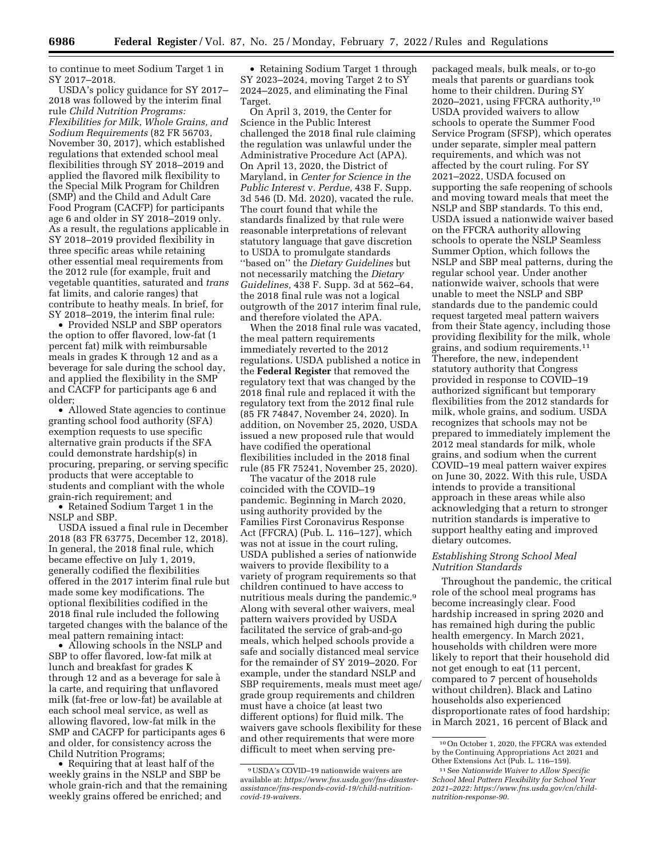to continue to meet Sodium Target 1 in SY 2017–2018.

USDA's policy guidance for SY 2017– 2018 was followed by the interim final rule *Child Nutrition Programs: Flexibilities for Milk, Whole Grains, and Sodium Requirements* (82 FR 56703, November 30, 2017), which established regulations that extended school meal flexibilities through SY 2018–2019 and applied the flavored milk flexibility to the Special Milk Program for Children (SMP) and the Child and Adult Care Food Program (CACFP) for participants age 6 and older in SY 2018–2019 only. As a result, the regulations applicable in SY 2018–2019 provided flexibility in three specific areas while retaining other essential meal requirements from the 2012 rule (for example, fruit and vegetable quantities, saturated and *trans*  fat limits, and calorie ranges) that contribute to heathy meals. In brief, for SY 2018–2019, the interim final rule:

• Provided NSLP and SBP operators the option to offer flavored, low-fat (1 percent fat) milk with reimbursable meals in grades K through 12 and as a beverage for sale during the school day, and applied the flexibility in the SMP and CACFP for participants age 6 and older;

• Allowed State agencies to continue granting school food authority (SFA) exemption requests to use specific alternative grain products if the SFA could demonstrate hardship(s) in procuring, preparing, or serving specific products that were acceptable to students and compliant with the whole grain-rich requirement; and

• Retained Sodium Target 1 in the NSLP and SBP.

USDA issued a final rule in December 2018 (83 FR 63775, December 12, 2018). In general, the 2018 final rule, which became effective on July 1, 2019, generally codified the flexibilities offered in the 2017 interim final rule but made some key modifications. The optional flexibilities codified in the 2018 final rule included the following targeted changes with the balance of the meal pattern remaining intact:

• Allowing schools in the NSLP and SBP to offer flavored, low-fat milk at lunch and breakfast for grades K through 12 and as a beverage for sale a` la carte, and requiring that unflavored milk (fat-free or low-fat) be available at each school meal service, as well as allowing flavored, low-fat milk in the SMP and CACFP for participants ages 6 and older, for consistency across the Child Nutrition Programs;

• Requiring that at least half of the weekly grains in the NSLP and SBP be whole grain-rich and that the remaining weekly grains offered be enriched; and

• Retaining Sodium Target 1 through SY 2023–2024, moving Target 2 to SY 2024–2025, and eliminating the Final Target.

On April 3, 2019, the Center for Science in the Public Interest challenged the 2018 final rule claiming the regulation was unlawful under the Administrative Procedure Act (APA). On April 13, 2020, the District of Maryland, in *Center for Science in the Public Interest* v. *Perdue,* 438 F. Supp. 3d 546 (D. Md. 2020), vacated the rule. The court found that while the standards finalized by that rule were reasonable interpretations of relevant statutory language that gave discretion to USDA to promulgate standards ''based on'' the *Dietary Guidelines* but not necessarily matching the *Dietary Guidelines,* 438 F. Supp. 3d at 562–64, the 2018 final rule was not a logical outgrowth of the 2017 interim final rule, and therefore violated the APA.

When the 2018 final rule was vacated, the meal pattern requirements immediately reverted to the 2012 regulations. USDA published a notice in the **Federal Register** that removed the regulatory text that was changed by the 2018 final rule and replaced it with the regulatory text from the 2012 final rule (85 FR 74847, November 24, 2020). In addition, on November 25, 2020, USDA issued a new proposed rule that would have codified the operational flexibilities included in the 2018 final rule (85 FR 75241, November 25, 2020).

The vacatur of the 2018 rule coincided with the COVID–19 pandemic. Beginning in March 2020, using authority provided by the Families First Coronavirus Response Act (FFCRA) (Pub. L. 116–127), which was not at issue in the court ruling, USDA published a series of nationwide waivers to provide flexibility to a variety of program requirements so that children continued to have access to nutritious meals during the pandemic.9 Along with several other waivers, meal pattern waivers provided by USDA facilitated the service of grab-and-go meals, which helped schools provide a safe and socially distanced meal service for the remainder of SY 2019–2020. For example, under the standard NSLP and SBP requirements, meals must meet age/ grade group requirements and children must have a choice (at least two different options) for fluid milk. The waivers gave schools flexibility for these and other requirements that were more difficult to meet when serving pre-

packaged meals, bulk meals, or to-go meals that parents or guardians took home to their children. During SY 2020–2021, using FFCRA authority,10 USDA provided waivers to allow schools to operate the Summer Food Service Program (SFSP), which operates under separate, simpler meal pattern requirements, and which was not affected by the court ruling. For SY 2021–2022, USDA focused on supporting the safe reopening of schools and moving toward meals that meet the NSLP and SBP standards. To this end, USDA issued a nationwide waiver based on the FFCRA authority allowing schools to operate the NSLP Seamless Summer Option, which follows the NSLP and SBP meal patterns, during the regular school year. Under another nationwide waiver, schools that were unable to meet the NSLP and SBP standards due to the pandemic could request targeted meal pattern waivers from their State agency, including those providing flexibility for the milk, whole grains, and sodium requirements.11 Therefore, the new, independent statutory authority that Congress provided in response to COVID–19 authorized significant but temporary flexibilities from the 2012 standards for milk, whole grains, and sodium. USDA recognizes that schools may not be prepared to immediately implement the 2012 meal standards for milk, whole grains, and sodium when the current COVID–19 meal pattern waiver expires on June 30, 2022. With this rule, USDA intends to provide a transitional approach in these areas while also acknowledging that a return to stronger nutrition standards is imperative to support healthy eating and improved dietary outcomes.

## *Establishing Strong School Meal Nutrition Standards*

Throughout the pandemic, the critical role of the school meal programs has become increasingly clear. Food hardship increased in spring 2020 and has remained high during the public health emergency. In March 2021, households with children were more likely to report that their household did not get enough to eat (11 percent, compared to 7 percent of households without children). Black and Latino households also experienced disproportionate rates of food hardship; in March 2021, 16 percent of Black and

<sup>9</sup>USDA's COVID–19 nationwide waivers are available at: *[https://www.fns.usda.gov/fns-disaster](https://www.fns.usda.gov/fns-disaster-assistance/fns-responds-covid-19/child-nutrition-covid-19-waivers)[assistance/fns-responds-covid-19/child-nutrition](https://www.fns.usda.gov/fns-disaster-assistance/fns-responds-covid-19/child-nutrition-covid-19-waivers)[covid-19-waivers.](https://www.fns.usda.gov/fns-disaster-assistance/fns-responds-covid-19/child-nutrition-covid-19-waivers)* 

<sup>10</sup>On October 1, 2020, the FFCRA was extended by the Continuing Appropriations Act 2021 and Other Extensions Act (Pub. L. 116–159).

<sup>11</sup>See *Nationwide Waiver to Allow Specific School Meal Pattern Flexibility for School Year 2021–2022: [https://www.fns.usda.gov/cn/child](https://www.fns.usda.gov/cn/child-nutrition-response-90)[nutrition-response-90.](https://www.fns.usda.gov/cn/child-nutrition-response-90)*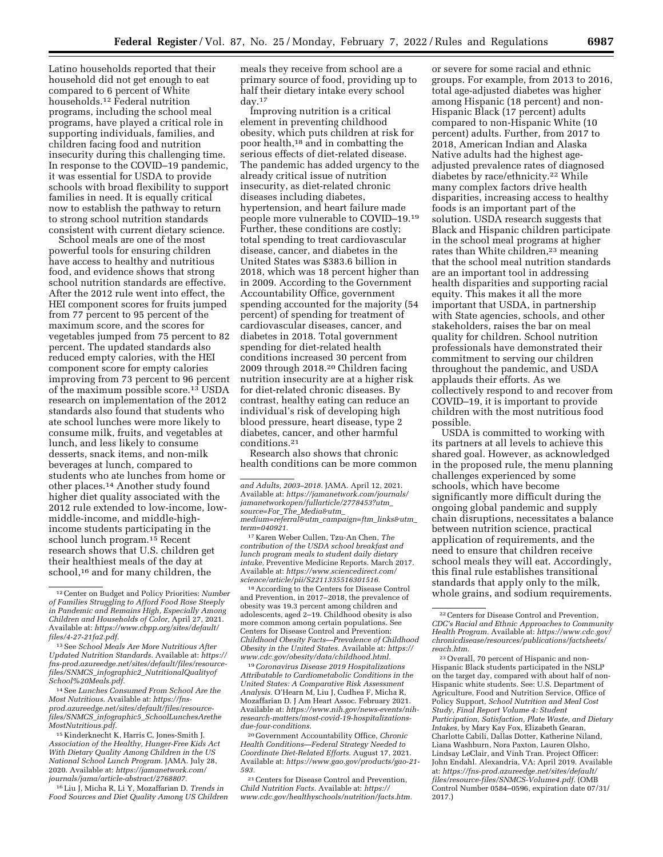Latino households reported that their household did not get enough to eat compared to 6 percent of White households.12 Federal nutrition programs, including the school meal programs, have played a critical role in supporting individuals, families, and children facing food and nutrition insecurity during this challenging time. In response to the COVID–19 pandemic, it was essential for USDA to provide schools with broad flexibility to support families in need. It is equally critical now to establish the pathway to return to strong school nutrition standards consistent with current dietary science.

School meals are one of the most powerful tools for ensuring children have access to healthy and nutritious food, and evidence shows that strong school nutrition standards are effective. After the 2012 rule went into effect, the HEI component scores for fruits jumped from 77 percent to 95 percent of the maximum score, and the scores for vegetables jumped from 75 percent to 82 percent. The updated standards also reduced empty calories, with the HEI component score for empty calories improving from 73 percent to 96 percent of the maximum possible score.13 USDA research on implementation of the 2012 standards also found that students who ate school lunches were more likely to consume milk, fruits, and vegetables at lunch, and less likely to consume desserts, snack items, and non-milk beverages at lunch, compared to students who ate lunches from home or other places.14 Another study found higher diet quality associated with the 2012 rule extended to low-income, lowmiddle-income, and middle-highincome students participating in the school lunch program.15 Recent research shows that U.S. children get their healthiest meals of the day at school,<sup>16</sup> and for many children, the

14See *Lunches Consumed From School Are the Most Nutritious.* Available at: *[https://fns](https://fns-prod.azureedge.net/sites/default/files/resource-files/SNMCS_infographic5_SchoolLunchesAretheMostNutritious.pdf)[prod.azureedge.net/sites/default/files/resource](https://fns-prod.azureedge.net/sites/default/files/resource-files/SNMCS_infographic5_SchoolLunchesAretheMostNutritious.pdf)files/SNMCS*\_*infographic5*\_*[SchoolLunchesArethe](https://fns-prod.azureedge.net/sites/default/files/resource-files/SNMCS_infographic5_SchoolLunchesAretheMostNutritious.pdf) [MostNutritious.pdf.](https://fns-prod.azureedge.net/sites/default/files/resource-files/SNMCS_infographic5_SchoolLunchesAretheMostNutritious.pdf)* 

15 Kinderknecht K, Harris C, Jones-Smith J. *Association of the Healthy, Hunger-Free Kids Act With Dietary Quality Among Children in the US National School Lunch Program.* JAMA. July 28, 2020. Available at: *[https://jamanetwork.com/](https://jamanetwork.com/journals/jama/article-abstract/2768807)  [journals/jama/article-abstract/2768807.](https://jamanetwork.com/journals/jama/article-abstract/2768807)* 

16Liu J, Micha R, Li Y, Mozaffarian D. *Trends in Food Sources and Diet Quality Among US Children*  meals they receive from school are a primary source of food, providing up to half their dietary intake every school day.17

Improving nutrition is a critical element in preventing childhood obesity, which puts children at risk for poor health,18 and in combatting the serious effects of diet-related disease. The pandemic has added urgency to the already critical issue of nutrition insecurity, as diet-related chronic diseases including diabetes, hypertension, and heart failure made people more vulnerable to COVID–19.19 Further, these conditions are costly; total spending to treat cardiovascular disease, cancer, and diabetes in the United States was \$383.6 billion in 2018, which was 18 percent higher than in 2009. According to the Government Accountability Office, government spending accounted for the majority (54 percent) of spending for treatment of cardiovascular diseases, cancer, and diabetes in 2018. Total government spending for diet-related health conditions increased 30 percent from 2009 through 2018.20 Children facing nutrition insecurity are at a higher risk for diet-related chronic diseases. By contrast, healthy eating can reduce an individual's risk of developing high blood pressure, heart disease, type 2 diabetes, cancer, and other harmful conditions.21

Research also shows that chronic health conditions can be more common

17 Karen Weber Cullen, Tzu-An Chen, *The contribution of the USDA school breakfast and lunch program meals to student daily dietary intake,* Preventive Medicine Reports. March 2017. Available at: *[https://www.sciencedirect.com/](https://www.sciencedirect.com/science/article/pii/S2211335516301516) [science/article/pii/S2211335516301516.](https://www.sciencedirect.com/science/article/pii/S2211335516301516)* 

18According to the Centers for Disease Control and Prevention, in 2017–2018, the prevalence of obesity was 19.3 percent among children and adolescents, aged 2–19. Childhood obesity is also more common among certain populations. See Centers for Disease Control and Prevention: *Childhood Obesity Facts—Prevalence of Childhood Obesity in the United States.* Available at: *[https://](https://www.cdc.gov/obesity/data/childhood.html)  [www.cdc.gov/obesity/data/childhood.html.](https://www.cdc.gov/obesity/data/childhood.html)* 

19*Coronavirus Disease 2019 Hospitalizations Attributable to Cardiometabolic Conditions in the United States: A Comparative Risk Assessment Analysis.* O'Hearn M, Liu J, Cudhea F, Micha R, Mozaffarian D. J Am Heart Assoc. February 2021. Available at: *[https://www.nih.gov/news-events/nih](https://www.nih.gov/news-events/nih-research-matters/most-covid-19-hospitalizations-due-four-conditions)[research-matters/most-covid-19-hospitalizations](https://www.nih.gov/news-events/nih-research-matters/most-covid-19-hospitalizations-due-four-conditions)[due-four-conditions.](https://www.nih.gov/news-events/nih-research-matters/most-covid-19-hospitalizations-due-four-conditions)* 

20 Government Accountability Office, *Chronic Health Conditions—Federal Strategy Needed to Coordinate Diet-Related Efforts.* August 17, 2021. Available at: *[https://www.gao.gov/products/gao-21-](https://www.gao.gov/products/gao-21-593)  [593.](https://www.gao.gov/products/gao-21-593)* 

21Centers for Disease Control and Prevention, *Child Nutrition Facts.* Available at: *[https://](https://www.cdc.gov/healthyschools/nutrition/facts.htm) [www.cdc.gov/healthyschools/nutrition/facts.htm.](https://www.cdc.gov/healthyschools/nutrition/facts.htm)* 

or severe for some racial and ethnic groups. For example, from 2013 to 2016, total age-adjusted diabetes was higher among Hispanic (18 percent) and non-Hispanic Black (17 percent) adults compared to non-Hispanic White (10 percent) adults. Further, from 2017 to 2018, American Indian and Alaska Native adults had the highest ageadjusted prevalence rates of diagnosed diabetes by race/ethnicity.<sup>22</sup> While many complex factors drive health disparities, increasing access to healthy foods is an important part of the solution. USDA research suggests that Black and Hispanic children participate in the school meal programs at higher rates than White children,<sup>23</sup> meaning that the school meal nutrition standards are an important tool in addressing health disparities and supporting racial equity. This makes it all the more important that USDA, in partnership with State agencies, schools, and other stakeholders, raises the bar on meal quality for children. School nutrition professionals have demonstrated their commitment to serving our children throughout the pandemic, and USDA applauds their efforts. As we collectively respond to and recover from COVID–19, it is important to provide children with the most nutritious food possible.

USDA is committed to working with its partners at all levels to achieve this shared goal. However, as acknowledged in the proposed rule, the menu planning challenges experienced by some schools, which have become significantly more difficult during the ongoing global pandemic and supply chain disruptions, necessitates a balance between nutrition science, practical application of requirements, and the need to ensure that children receive school meals they will eat. Accordingly, this final rule establishes transitional standards that apply only to the milk, whole grains, and sodium requirements.

23Overall, 70 percent of Hispanic and non-Hispanic Black students participated in the NSLP on the target day, compared with about half of non-Hispanic white students. See: U.S. Department of Agriculture, Food and Nutrition Service, Office of Policy Support, *School Nutrition and Meal Cost Study, Final Report Volume 4: Student Participation, Satisfaction, Plate Waste, and Dietary Intakes,* by Mary Kay Fox, Elizabeth Gearan, Charlotte Cabili, Dallas Dotter, Katherine Niland, Liana Washburn, Nora Paxton, Lauren Olsho, Lindsay LeClair, and Vinh Tran. Project Officer: John Endahl. Alexandria, VA: April 2019. Available at: *[https://fns-prod.azureedge.net/sites/default/](https://fns-prod.azureedge.net/sites/default/files/resource-files/SNMCS-Volume4.pdf)  [files/resource-files/SNMCS-Volume4.pdf.](https://fns-prod.azureedge.net/sites/default/files/resource-files/SNMCS-Volume4.pdf)* (OMB Control Number 0584–0596, expiration date 07/31/ 2017.)

<sup>12</sup>Center on Budget and Policy Priorities: *Number of Families Struggling to Afford Food Rose Steeply in Pandemic and Remains High, Especially Among Children and Households of Color,* April 27, 2021. Available at: *[https://www.cbpp.org/sites/default/](https://www.cbpp.org/sites/default/files/4-27-21fa2.pdf) [files/4-27-21fa2.pdf.](https://www.cbpp.org/sites/default/files/4-27-21fa2.pdf)* 

<sup>13</sup>See *School Meals Are More Nutritious After Updated Nutrition Standards.* Available at: *[https://](https://fns-prod.azureedge.net/sites/default/files/resource-files/SNMCS_infographic2_NutritionalQualityofSchool%20Meals.pdf)  [fns-prod.azureedge.net/sites/default/files/resource](https://fns-prod.azureedge.net/sites/default/files/resource-files/SNMCS_infographic2_NutritionalQualityofSchool%20Meals.pdf)files/SNMCS*\_*infographic2*\_*[NutritionalQualityof](https://fns-prod.azureedge.net/sites/default/files/resource-files/SNMCS_infographic2_NutritionalQualityofSchool%20Meals.pdf) [School%20Meals.pdf.](https://fns-prod.azureedge.net/sites/default/files/resource-files/SNMCS_infographic2_NutritionalQualityofSchool%20Meals.pdf)* 

*and Adults, 2003–2018.* JAMA. April 12, 2021. Available at: *[https://jamanetwork.com/journals/](https://jamanetwork.com/journals/jamanetworkopen/fullarticle/2778453?utm_source=For_The_Media&utm_medium=referral&utm_campaign=ftm_links&utm_term=040921) [jamanetworkopen/fullarticle/2778453?utm](https://jamanetwork.com/journals/jamanetworkopen/fullarticle/2778453?utm_source=For_The_Media&utm_medium=referral&utm_campaign=ftm_links&utm_term=040921)*\_ *source=For*\_*The*\_*[Media&utm](https://jamanetwork.com/journals/jamanetworkopen/fullarticle/2778453?utm_source=For_The_Media&utm_medium=referral&utm_campaign=ftm_links&utm_term=040921)*\_ *[medium=referral&utm](https://jamanetwork.com/journals/jamanetworkopen/fullarticle/2778453?utm_source=For_The_Media&utm_medium=referral&utm_campaign=ftm_links&utm_term=040921)*\_*campaign=ftm*\_*links&utm*\_ *[term=040921.](https://jamanetwork.com/journals/jamanetworkopen/fullarticle/2778453?utm_source=For_The_Media&utm_medium=referral&utm_campaign=ftm_links&utm_term=040921)* 

<sup>22</sup>Centers for Disease Control and Prevention, *CDC's Racial and Ethnic Approaches to Community Health Program.* Available at: *[https://www.cdc.gov/](https://www.cdc.gov/chronicdisease/resources/publications/factsheets/reach.htm)  [chronicdisease/resources/publications/factsheets/](https://www.cdc.gov/chronicdisease/resources/publications/factsheets/reach.htm) [reach.htm.](https://www.cdc.gov/chronicdisease/resources/publications/factsheets/reach.htm)*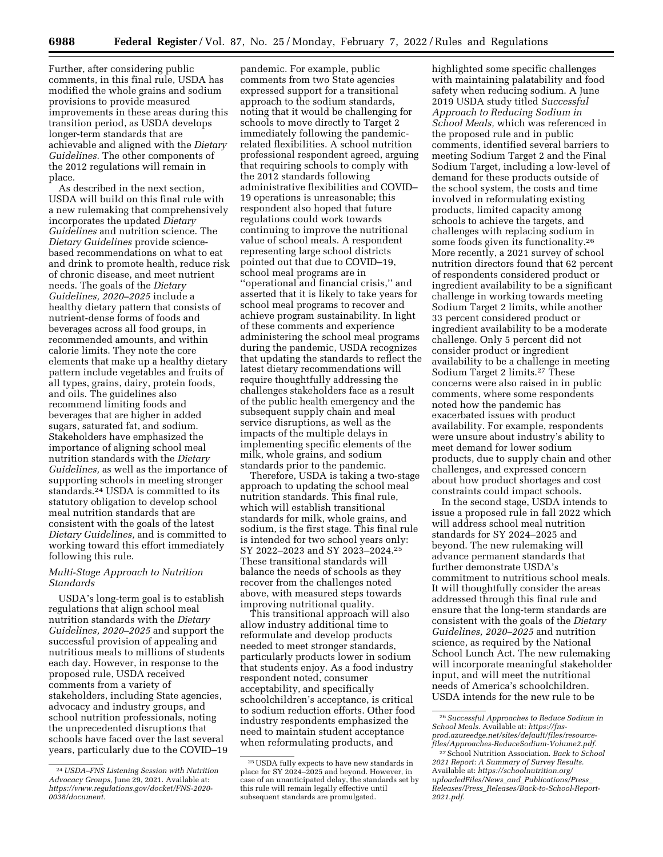Further, after considering public comments, in this final rule, USDA has modified the whole grains and sodium provisions to provide measured improvements in these areas during this transition period, as USDA develops longer-term standards that are achievable and aligned with the *Dietary Guidelines.* The other components of the 2012 regulations will remain in place.

As described in the next section, USDA will build on this final rule with a new rulemaking that comprehensively incorporates the updated *Dietary Guidelines* and nutrition science. The *Dietary Guidelines* provide sciencebased recommendations on what to eat and drink to promote health, reduce risk of chronic disease, and meet nutrient needs. The goals of the *Dietary Guidelines, 2020–2025* include a healthy dietary pattern that consists of nutrient-dense forms of foods and beverages across all food groups, in recommended amounts, and within calorie limits. They note the core elements that make up a healthy dietary pattern include vegetables and fruits of all types, grains, dairy, protein foods, and oils. The guidelines also recommend limiting foods and beverages that are higher in added sugars, saturated fat, and sodium. Stakeholders have emphasized the importance of aligning school meal nutrition standards with the *Dietary Guidelines,* as well as the importance of supporting schools in meeting stronger standards.24 USDA is committed to its statutory obligation to develop school meal nutrition standards that are consistent with the goals of the latest *Dietary Guidelines,* and is committed to working toward this effort immediately following this rule.

## *Multi-Stage Approach to Nutrition Standards*

USDA's long-term goal is to establish regulations that align school meal nutrition standards with the *Dietary Guidelines, 2020–2025* and support the successful provision of appealing and nutritious meals to millions of students each day. However, in response to the proposed rule, USDA received comments from a variety of stakeholders, including State agencies, advocacy and industry groups, and school nutrition professionals, noting the unprecedented disruptions that schools have faced over the last several years, particularly due to the COVID–19

pandemic. For example, public comments from two State agencies expressed support for a transitional approach to the sodium standards, noting that it would be challenging for schools to move directly to Target 2 immediately following the pandemicrelated flexibilities. A school nutrition professional respondent agreed, arguing that requiring schools to comply with the 2012 standards following administrative flexibilities and COVID– 19 operations is unreasonable; this respondent also hoped that future regulations could work towards continuing to improve the nutritional value of school meals. A respondent representing large school districts pointed out that due to COVID–19, school meal programs are in ''operational and financial crisis,'' and asserted that it is likely to take years for school meal programs to recover and achieve program sustainability. In light of these comments and experience administering the school meal programs during the pandemic, USDA recognizes that updating the standards to reflect the latest dietary recommendations will require thoughtfully addressing the challenges stakeholders face as a result of the public health emergency and the subsequent supply chain and meal service disruptions, as well as the impacts of the multiple delays in implementing specific elements of the milk, whole grains, and sodium standards prior to the pandemic.

Therefore, USDA is taking a two-stage approach to updating the school meal nutrition standards. This final rule, which will establish transitional standards for milk, whole grains, and sodium, is the first stage. This final rule is intended for two school years only: SY 2022–2023 and SY 2023–2024.25 These transitional standards will balance the needs of schools as they recover from the challenges noted above, with measured steps towards improving nutritional quality.

This transitional approach will also allow industry additional time to reformulate and develop products needed to meet stronger standards, particularly products lower in sodium that students enjoy. As a food industry respondent noted, consumer acceptability, and specifically schoolchildren's acceptance, is critical to sodium reduction efforts. Other food industry respondents emphasized the need to maintain student acceptance when reformulating products, and

highlighted some specific challenges with maintaining palatability and food safety when reducing sodium. A June 2019 USDA study titled *Successful Approach to Reducing Sodium in School Meals,* which was referenced in the proposed rule and in public comments, identified several barriers to meeting Sodium Target 2 and the Final Sodium Target, including a low-level of demand for these products outside of the school system, the costs and time involved in reformulating existing products, limited capacity among schools to achieve the targets, and challenges with replacing sodium in some foods given its functionality.26 More recently, a 2021 survey of school nutrition directors found that 62 percent of respondents considered product or ingredient availability to be a significant challenge in working towards meeting Sodium Target 2 limits, while another 33 percent considered product or ingredient availability to be a moderate challenge. Only 5 percent did not consider product or ingredient availability to be a challenge in meeting Sodium Target 2 limits.27 These concerns were also raised in in public comments, where some respondents noted how the pandemic has exacerbated issues with product availability. For example, respondents were unsure about industry's ability to meet demand for lower sodium products, due to supply chain and other challenges, and expressed concern about how product shortages and cost constraints could impact schools.

In the second stage, USDA intends to issue a proposed rule in fall 2022 which will address school meal nutrition standards for SY 2024–2025 and beyond. The new rulemaking will advance permanent standards that further demonstrate USDA's commitment to nutritious school meals. It will thoughtfully consider the areas addressed through this final rule and ensure that the long-term standards are consistent with the goals of the *Dietary Guidelines, 2020–2025* and nutrition science, as required by the National School Lunch Act. The new rulemaking will incorporate meaningful stakeholder input, and will meet the nutritional needs of America's schoolchildren. USDA intends for the new rule to be

<sup>24</sup>*USDA–FNS Listening Session with Nutrition Advocacy Groups,* June 29, 2021. Available at: *[https://www.regulations.gov/docket/FNS-2020-](https://www.regulations.gov/docket/FNS-2020-0038/document) [0038/document.](https://www.regulations.gov/docket/FNS-2020-0038/document)* 

<sup>25</sup>USDA fully expects to have new standards in place for SY 2024–2025 and beyond. However, in case of an unanticipated delay, the standards set by this rule will remain legally effective until subsequent standards are promulgated.

<sup>26</sup>*Successful Approaches to Reduce Sodium in School Meals.* Available at: *[https://fns](https://fns-prod.azureedge.net/sites/default/files/resource-files/Approaches-ReduceSodium-Volume2.pdf)[prod.azureedge.net/sites/default/files/resource](https://fns-prod.azureedge.net/sites/default/files/resource-files/Approaches-ReduceSodium-Volume2.pdf)[files/Approaches-ReduceSodium-Volume2.pdf.](https://fns-prod.azureedge.net/sites/default/files/resource-files/Approaches-ReduceSodium-Volume2.pdf)* 

<sup>27</sup>School Nutrition Association. *Back to School 2021 Report: A Summary of Survey Results.*  Available at: *[https://schoolnutrition.org/](https://schoolnutrition.org/uploadedFiles/News_and_Publications/Press_Releases/Press_Releases/Back-to-School-Report-2021.pdf) [uploadedFiles/News](https://schoolnutrition.org/uploadedFiles/News_and_Publications/Press_Releases/Press_Releases/Back-to-School-Report-2021.pdf)*\_*and*\_*Publications/Press*\_ *Releases/Press*\_*[Releases/Back-to-School-Report-](https://schoolnutrition.org/uploadedFiles/News_and_Publications/Press_Releases/Press_Releases/Back-to-School-Report-2021.pdf)[2021.pdf.](https://schoolnutrition.org/uploadedFiles/News_and_Publications/Press_Releases/Press_Releases/Back-to-School-Report-2021.pdf)*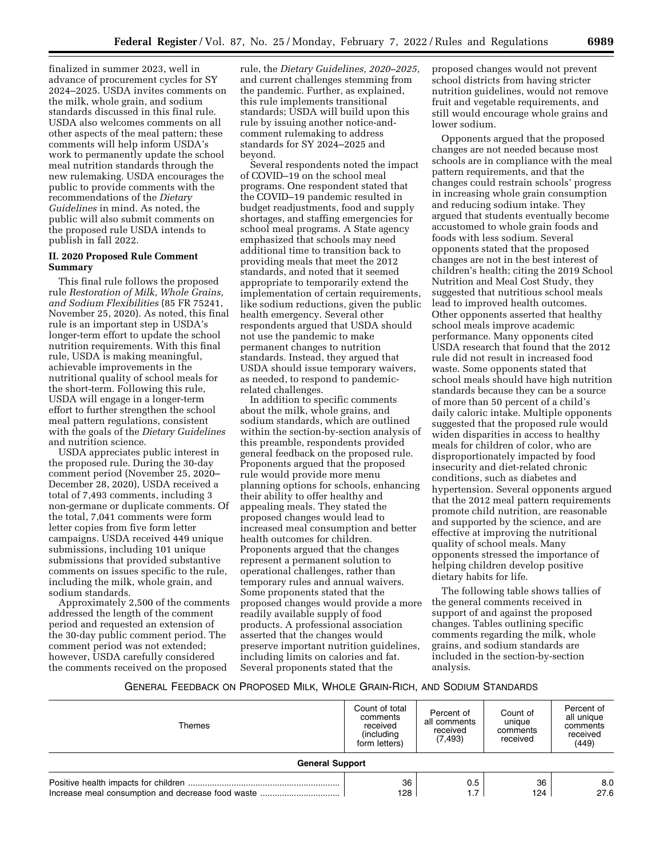finalized in summer 2023, well in advance of procurement cycles for SY 2024–2025. USDA invites comments on the milk, whole grain, and sodium standards discussed in this final rule. USDA also welcomes comments on all other aspects of the meal pattern; these comments will help inform USDA's work to permanently update the school meal nutrition standards through the new rulemaking. USDA encourages the public to provide comments with the recommendations of the *Dietary Guidelines* in mind. As noted, the public will also submit comments on the proposed rule USDA intends to publish in fall 2022.

## **II. 2020 Proposed Rule Comment Summary**

This final rule follows the proposed rule *Restoration of Milk, Whole Grains, and Sodium Flexibilities* (85 FR 75241, November 25, 2020). As noted, this final rule is an important step in USDA's longer-term effort to update the school nutrition requirements. With this final rule, USDA is making meaningful, achievable improvements in the nutritional quality of school meals for the short-term. Following this rule, USDA will engage in a longer-term effort to further strengthen the school meal pattern regulations, consistent with the goals of the *Dietary Guidelines*  and nutrition science.

USDA appreciates public interest in the proposed rule. During the 30-day comment period (November 25, 2020– December 28, 2020), USDA received a total of 7,493 comments, including 3 non-germane or duplicate comments. Of the total, 7,041 comments were form letter copies from five form letter campaigns. USDA received 449 unique submissions, including 101 unique submissions that provided substantive comments on issues specific to the rule, including the milk, whole grain, and sodium standards.

Approximately 2,500 of the comments addressed the length of the comment period and requested an extension of the 30-day public comment period. The comment period was not extended; however, USDA carefully considered the comments received on the proposed

rule, the *Dietary Guidelines, 2020–2025,*  and current challenges stemming from the pandemic. Further, as explained, this rule implements transitional standards; USDA will build upon this rule by issuing another notice-andcomment rulemaking to address standards for SY 2024–2025 and beyond.

Several respondents noted the impact of COVID–19 on the school meal programs. One respondent stated that the COVID–19 pandemic resulted in budget readjustments, food and supply shortages, and staffing emergencies for school meal programs. A State agency emphasized that schools may need additional time to transition back to providing meals that meet the 2012 standards, and noted that it seemed appropriate to temporarily extend the implementation of certain requirements, like sodium reductions, given the public health emergency. Several other respondents argued that USDA should not use the pandemic to make permanent changes to nutrition standards. Instead, they argued that USDA should issue temporary waivers, as needed, to respond to pandemicrelated challenges.

In addition to specific comments about the milk, whole grains, and sodium standards, which are outlined within the section-by-section analysis of this preamble, respondents provided general feedback on the proposed rule. Proponents argued that the proposed rule would provide more menu planning options for schools, enhancing their ability to offer healthy and appealing meals. They stated the proposed changes would lead to increased meal consumption and better health outcomes for children. Proponents argued that the changes represent a permanent solution to operational challenges, rather than temporary rules and annual waivers. Some proponents stated that the proposed changes would provide a more readily available supply of food products. A professional association asserted that the changes would preserve important nutrition guidelines, including limits on calories and fat. Several proponents stated that the

proposed changes would not prevent school districts from having stricter nutrition guidelines, would not remove fruit and vegetable requirements, and still would encourage whole grains and lower sodium.

Opponents argued that the proposed changes are not needed because most schools are in compliance with the meal pattern requirements, and that the changes could restrain schools' progress in increasing whole grain consumption and reducing sodium intake. They argued that students eventually become accustomed to whole grain foods and foods with less sodium. Several opponents stated that the proposed changes are not in the best interest of children's health; citing the 2019 School Nutrition and Meal Cost Study, they suggested that nutritious school meals lead to improved health outcomes. Other opponents asserted that healthy school meals improve academic performance. Many opponents cited USDA research that found that the 2012 rule did not result in increased food waste. Some opponents stated that school meals should have high nutrition standards because they can be a source of more than 50 percent of a child's daily caloric intake. Multiple opponents suggested that the proposed rule would widen disparities in access to healthy meals for children of color, who are disproportionately impacted by food insecurity and diet-related chronic conditions, such as diabetes and hypertension. Several opponents argued that the 2012 meal pattern requirements promote child nutrition, are reasonable and supported by the science, and are effective at improving the nutritional quality of school meals. Many opponents stressed the importance of helping children develop positive dietary habits for life.

The following table shows tallies of the general comments received in support of and against the proposed changes. Tables outlining specific comments regarding the milk, whole grains, and sodium standards are included in the section-by-section analysis.

### GENERAL FEEDBACK ON PROPOSED MILK, WHOLE GRAIN-RICH, AND SODIUM STANDARDS

| Themes                 | Count of total<br>comments<br>received<br>(including<br>form letters) | Percent of<br>all comments<br>received<br>(7, 493) | Count of<br>unique<br>comments<br>received | Percent of<br>all unique<br>comments<br>received<br>(449) |
|------------------------|-----------------------------------------------------------------------|----------------------------------------------------|--------------------------------------------|-----------------------------------------------------------|
| <b>General Support</b> |                                                                       |                                                    |                                            |                                                           |
|                        | 36<br>128                                                             | 0.5<br>.7                                          | 36<br>124                                  | 8.0<br>27.6                                               |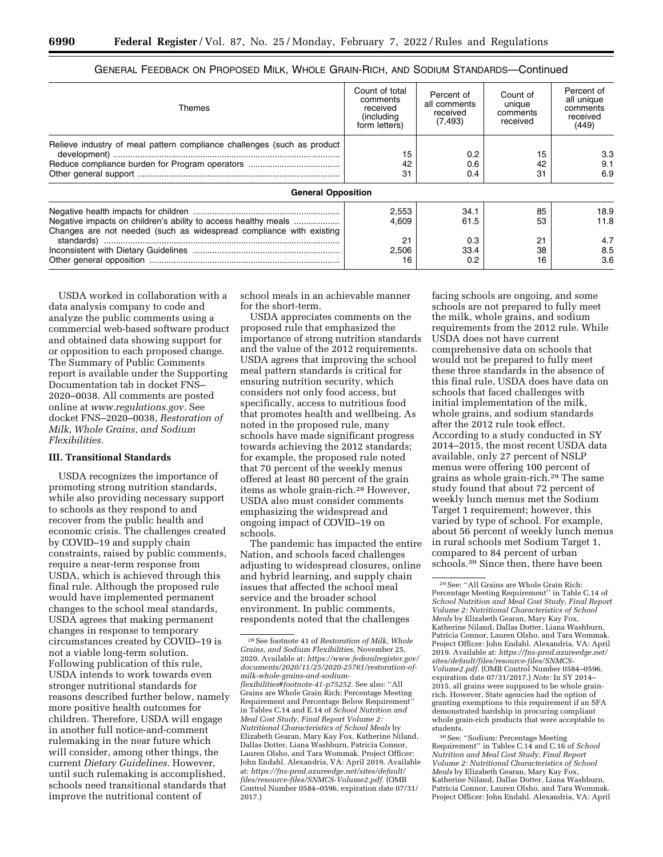| Themes                                                                                                                                | Count of total<br>comments<br>received<br>(including)<br>form letters) | Percent of<br>all comments<br>received<br>(7, 493) | Count of<br>unique<br>comments<br>received | Percent of<br>all unique<br>comments<br>received<br>(449) |
|---------------------------------------------------------------------------------------------------------------------------------------|------------------------------------------------------------------------|----------------------------------------------------|--------------------------------------------|-----------------------------------------------------------|
| Relieve industry of meal pattern compliance challenges (such as product                                                               | 15<br>42<br>31                                                         | 0.2<br>0.6<br>0.4                                  | 15<br>42<br>31                             | 3.3<br>9.1<br>6.9                                         |
| <b>General Opposition</b>                                                                                                             |                                                                        |                                                    |                                            |                                                           |
| Negative impacts on children's ability to access healthy meals<br>Changes are not needed (such as widespread compliance with existing | 2,553<br>4.609                                                         | 34.1<br>61.5                                       | 85<br>53                                   | 18.9<br>11.8                                              |
|                                                                                                                                       | 21<br>2,506<br>16                                                      | 0.3<br>33.4<br>0.2                                 | 21<br>38<br>16                             | 4.7<br>8.5<br>3.6                                         |

## GENERAL FEEDBACK ON PROPOSED MILK, WHOLE GRAIN-RICH, AND SODIUM STANDARDS—Continued

USDA worked in collaboration with a data analysis company to code and analyze the public comments using a commercial web-based software product and obtained data showing support for or opposition to each proposed change. The Summary of Public Comments report is available under the Supporting Documentation tab in docket FNS– 2020–0038. All comments are posted online at *[www.regulations.gov.](http://www.regulations.gov)* See docket FNS–2020–0038, *Restoration of Milk, Whole Grains, and Sodium Flexibilities.* 

## **III. Transitional Standards**

USDA recognizes the importance of promoting strong nutrition standards, while also providing necessary support to schools as they respond to and recover from the public health and economic crisis. The challenges created by COVID–19 and supply chain constraints, raised by public comments, require a near-term response from USDA, which is achieved through this final rule. Although the proposed rule would have implemented permanent changes to the school meal standards, USDA agrees that making permanent changes in response to temporary circumstances created by COVID–19 is not a viable long-term solution. Following publication of this rule, USDA intends to work towards even stronger nutritional standards for reasons described further below, namely more positive health outcomes for children. Therefore, USDA will engage in another full notice-and-comment rulemaking in the near future which will consider, among other things, the current *Dietary Guidelines.* However, until such rulemaking is accomplished, schools need transitional standards that improve the nutritional content of

school meals in an achievable manner for the short-term.

USDA appreciates comments on the proposed rule that emphasized the importance of strong nutrition standards and the value of the 2012 requirements. USDA agrees that improving the school meal pattern standards is critical for ensuring nutrition security, which considers not only food access, but specifically, access to nutritious food that promotes health and wellbeing. As noted in the proposed rule, many schools have made significant progress towards achieving the 2012 standards; for example, the proposed rule noted that 70 percent of the weekly menus offered at least 80 percent of the grain items as whole grain-rich.28 However, USDA also must consider comments emphasizing the widespread and ongoing impact of COVID–19 on schools.

The pandemic has impacted the entire Nation, and schools faced challenges adjusting to widespread closures, online and hybrid learning, and supply chain issues that affected the school meal service and the broader school environment. In public comments, respondents noted that the challenges

facing schools are ongoing, and some schools are not prepared to fully meet the milk, whole grains, and sodium requirements from the 2012 rule. While USDA does not have current comprehensive data on schools that would not be prepared to fully meet these three standards in the absence of this final rule, USDA does have data on schools that faced challenges with initial implementation of the milk, whole grains, and sodium standards after the 2012 rule took effect. According to a study conducted in SY 2014–2015, the most recent USDA data available, only 27 percent of NSLP menus were offering 100 percent of grains as whole grain-rich.29 The same study found that about 72 percent of weekly lunch menus met the Sodium Target 1 requirement; however, this varied by type of school. For example, about 56 percent of weekly lunch menus in rural schools met Sodium Target 1, compared to 84 percent of urban schools.30 Since then, there have been

<sup>28</sup>See footnote 41 of *Restoration of Milk, Whole Grains, and Sodium Flexibilities,* November 25, 2020. Available at: *[https://www.federalregister.gov/](https://www.federalregister.gov/documents/2020/11/25/2020-25761/restoration-of-milk-whole-grains-and-sodium-flexibilities#footnote-41-p75252) [documents/2020/11/25/2020-25761/restoration-of](https://www.federalregister.gov/documents/2020/11/25/2020-25761/restoration-of-milk-whole-grains-and-sodium-flexibilities#footnote-41-p75252)[milk-whole-grains-and-sodium](https://www.federalregister.gov/documents/2020/11/25/2020-25761/restoration-of-milk-whole-grains-and-sodium-flexibilities#footnote-41-p75252)[flexibilities#footnote-41-p75252.](https://www.federalregister.gov/documents/2020/11/25/2020-25761/restoration-of-milk-whole-grains-and-sodium-flexibilities#footnote-41-p75252)* See also: ''All Grains are Whole Grain Rich: Percentage Meeting Requirement and Percentage Below Requirement'' in Tables C.14 and E.14 of *School Nutrition and Meal Cost Study, Final Report Volume 2: Nutritional Characteristics of School Meals* by Elizabeth Gearan, Mary Kay Fox, Katherine Niland, Dallas Dotter, Liana Washburn, Patricia Connor, Lauren Olsho, and Tara Wommak. Project Officer: John Endahl. Alexandria, VA: April 2019. Available at: *[https://fns-prod.azureedge.net/sites/default/](https://fns-prod.azureedge.net/sites/default/files/resource-files/SNMCS-Volume2.pdf)  [files/resource-files/SNMCS-Volume2.pdf.](https://fns-prod.azureedge.net/sites/default/files/resource-files/SNMCS-Volume2.pdf)* (OMB Control Number 0584–0596, expiration date 07/31/ 2017.)

<sup>29</sup>See: ''All Grains are Whole Grain Rich: Percentage Meeting Requirement'' in Table C.14 of *School Nutrition and Meal Cost Study, Final Report Volume 2: Nutritional Characteristics of School Meals* by Elizabeth Gearan, Mary Kay Fox, Katherine Niland, Dallas Dotter, Liana Washburn, Patricia Connor, Lauren Olsho, and Tara Wommak. Project Officer: John Endahl. Alexandria, VA: April 2019. Available at: *[https://fns-prod.azureedge.net/](https://fns-prod.azureedge.net/sites/default/files/resource-files/SNMCS-Volume2.pdf) [sites/default/files/resource-files/SNMCS-](https://fns-prod.azureedge.net/sites/default/files/resource-files/SNMCS-Volume2.pdf)[Volume2.pdf.](https://fns-prod.azureedge.net/sites/default/files/resource-files/SNMCS-Volume2.pdf)* (OMB Control Number 0584–0596, expiration date 07/31/2017.) *Note:* In SY 2014– 2015, all grains were supposed to be whole grainrich. However, State agencies had the option of granting exemptions to this requirement if an SFA demonstrated hardship in procuring compliant whole grain-rich products that were acceptable to students.

<sup>30</sup>See: ''Sodium: Percentage Meeting Requirement'' in Tables C.14 and C.16 of *School Nutrition and Meal Cost Study, Final Report Volume 2: Nutritional Characteristics of School Meals* by Elizabeth Gearan, Mary Kay Fox, Katherine Niland, Dallas Dotter, Liana Washburn, Patricia Connor, Lauren Olsho, and Tara Wommak. Project Officer: John Endahl. Alexandria, VA: April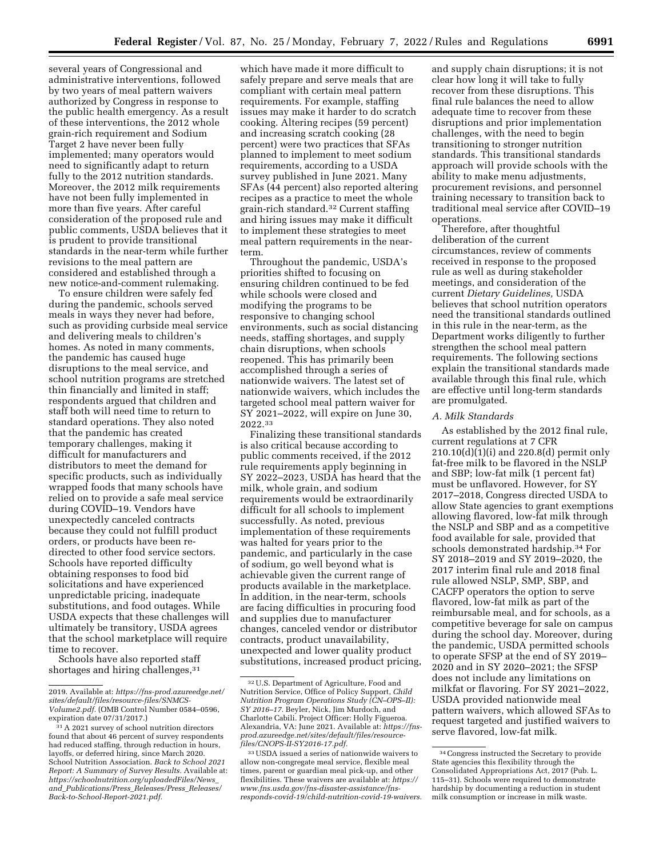several years of Congressional and administrative interventions, followed by two years of meal pattern waivers authorized by Congress in response to the public health emergency. As a result of these interventions, the 2012 whole grain-rich requirement and Sodium Target 2 have never been fully implemented; many operators would need to significantly adapt to return fully to the 2012 nutrition standards. Moreover, the 2012 milk requirements have not been fully implemented in more than five years. After careful consideration of the proposed rule and public comments, USDA believes that it is prudent to provide transitional standards in the near-term while further revisions to the meal pattern are considered and established through a new notice-and-comment rulemaking.

To ensure children were safely fed during the pandemic, schools served meals in ways they never had before, such as providing curbside meal service and delivering meals to children's homes. As noted in many comments, the pandemic has caused huge disruptions to the meal service, and school nutrition programs are stretched thin financially and limited in staff; respondents argued that children and staff both will need time to return to standard operations. They also noted that the pandemic has created temporary challenges, making it difficult for manufacturers and distributors to meet the demand for specific products, such as individually wrapped foods that many schools have relied on to provide a safe meal service during COVID–19. Vendors have unexpectedly canceled contracts because they could not fulfill product orders, or products have been redirected to other food service sectors. Schools have reported difficulty obtaining responses to food bid solicitations and have experienced unpredictable pricing, inadequate substitutions, and food outages. While USDA expects that these challenges will ultimately be transitory, USDA agrees that the school marketplace will require time to recover.

Schools have also reported staff shortages and hiring challenges, 31

which have made it more difficult to safely prepare and serve meals that are compliant with certain meal pattern requirements. For example, staffing issues may make it harder to do scratch cooking. Altering recipes (59 percent) and increasing scratch cooking (28 percent) were two practices that SFAs planned to implement to meet sodium requirements, according to a USDA survey published in June 2021. Many SFAs (44 percent) also reported altering recipes as a practice to meet the whole grain-rich standard.32 Current staffing and hiring issues may make it difficult to implement these strategies to meet meal pattern requirements in the nearterm.

Throughout the pandemic, USDA's priorities shifted to focusing on ensuring children continued to be fed while schools were closed and modifying the programs to be responsive to changing school environments, such as social distancing needs, staffing shortages, and supply chain disruptions, when schools reopened. This has primarily been accomplished through a series of nationwide waivers. The latest set of nationwide waivers, which includes the targeted school meal pattern waiver for SY 2021–2022, will expire on June 30, 2022.33

Finalizing these transitional standards is also critical because according to public comments received, if the 2012 rule requirements apply beginning in SY 2022–2023, USDA has heard that the milk, whole grain, and sodium requirements would be extraordinarily difficult for all schools to implement successfully. As noted, previous implementation of these requirements was halted for years prior to the pandemic, and particularly in the case of sodium, go well beyond what is achievable given the current range of products available in the marketplace. In addition, in the near-term, schools are facing difficulties in procuring food and supplies due to manufacturer changes, canceled vendor or distributor contracts, product unavailability, unexpected and lower quality product substitutions, increased product pricing, and supply chain disruptions; it is not clear how long it will take to fully recover from these disruptions. This final rule balances the need to allow adequate time to recover from these disruptions and prior implementation challenges, with the need to begin transitioning to stronger nutrition standards. This transitional standards approach will provide schools with the ability to make menu adjustments, procurement revisions, and personnel training necessary to transition back to traditional meal service after COVID–19 operations.

Therefore, after thoughtful deliberation of the current circumstances, review of comments received in response to the proposed rule as well as during stakeholder meetings, and consideration of the current *Dietary Guidelines,* USDA believes that school nutrition operators need the transitional standards outlined in this rule in the near-term, as the Department works diligently to further strengthen the school meal pattern requirements. The following sections explain the transitional standards made available through this final rule, which are effective until long-term standards are promulgated.

#### *A. Milk Standards*

As established by the 2012 final rule, current regulations at 7 CFR 210.10(d)(1)(i) and 220.8(d) permit only fat-free milk to be flavored in the NSLP and SBP; low-fat milk (1 percent fat) must be unflavored. However, for SY 2017–2018, Congress directed USDA to allow State agencies to grant exemptions allowing flavored, low-fat milk through the NSLP and SBP and as a competitive food available for sale, provided that schools demonstrated hardship.34 For SY 2018–2019 and SY 2019–2020, the 2017 interim final rule and 2018 final rule allowed NSLP, SMP, SBP, and CACFP operators the option to serve flavored, low-fat milk as part of the reimbursable meal, and for schools, as a competitive beverage for sale on campus during the school day. Moreover, during the pandemic, USDA permitted schools to operate SFSP at the end of SY 2019– 2020 and in SY 2020–2021; the SFSP does not include any limitations on milkfat or flavoring. For SY 2021–2022, USDA provided nationwide meal pattern waivers, which allowed SFAs to request targeted and justified waivers to serve flavored, low-fat milk.

<sup>2019.</sup> Available at: *[https://fns-prod.azureedge.net/](https://fns-prod.azureedge.net/sites/default/files/resource-files/SNMCS-Volume2.pdf) [sites/default/files/resource-files/SNMCS-](https://fns-prod.azureedge.net/sites/default/files/resource-files/SNMCS-Volume2.pdf)[Volume2.pdf.](https://fns-prod.azureedge.net/sites/default/files/resource-files/SNMCS-Volume2.pdf)* (OMB Control Number 0584–0596, expiration date 07/31/2017.)

<sup>31</sup>A 2021 survey of school nutrition directors found that about 46 percent of survey respondents had reduced staffing, through reduction in hours, layoffs, or deferred hiring, since March 2020. School Nutrition Association. *Back to School 2021 Report: A Summary of Survey Results.* Available at: *[https://schoolnutrition.org/uploadedFiles/News](https://schoolnutrition.org/uploadedFiles/News_and_Publications/Press_Releases/Press_Releases/Back-to-School-Report-2021.pdf)*\_ *and*\_*[Publications/Press](https://schoolnutrition.org/uploadedFiles/News_and_Publications/Press_Releases/Press_Releases/Back-to-School-Report-2021.pdf)*\_*Releases/Press*\_*Releases/ [Back-to-School-Report-2021.pdf.](https://schoolnutrition.org/uploadedFiles/News_and_Publications/Press_Releases/Press_Releases/Back-to-School-Report-2021.pdf)* 

<sup>32</sup>U.S. Department of Agriculture, Food and Nutrition Service, Office of Policy Support, *Child Nutrition Program Operations Study (CN–OPS–II): SY 2016–17.* Beyler, Nick, Jim Murdoch, and Charlotte Cabili. Project Officer: Holly Figueroa. Alexandria, VA: June 2021. Available at: *[https://fns](https://fns-prod.azureedge.net/sites/default/files/resource-files/CNOPS-II-SY2016-17.pdf)[prod.azureedge.net/sites/default/files/resource](https://fns-prod.azureedge.net/sites/default/files/resource-files/CNOPS-II-SY2016-17.pdf)[files/CNOPS-II-SY2016-17.pdf.](https://fns-prod.azureedge.net/sites/default/files/resource-files/CNOPS-II-SY2016-17.pdf)* 

<sup>33</sup>USDA issued a series of nationwide waivers to allow non-congregate meal service, flexible meal times, parent or guardian meal pick-up, and other flexibilities. These waivers are available at: *[https://](https://www.fns.usda.gov/fns-disaster-assistance/fns-responds-covid-19/child-nutrition-covid-19-waivers)  [www.fns.usda.gov/fns-disaster-assistance/fns](https://www.fns.usda.gov/fns-disaster-assistance/fns-responds-covid-19/child-nutrition-covid-19-waivers)[responds-covid-19/child-nutrition-covid-19-waivers.](https://www.fns.usda.gov/fns-disaster-assistance/fns-responds-covid-19/child-nutrition-covid-19-waivers)* 

<sup>34</sup>Congress instructed the Secretary to provide State agencies this flexibility through the Consolidated Appropriations Act, 2017 (Pub. L. 115–31). Schools were required to demonstrate hardship by documenting a reduction in student milk consumption or increase in milk waste.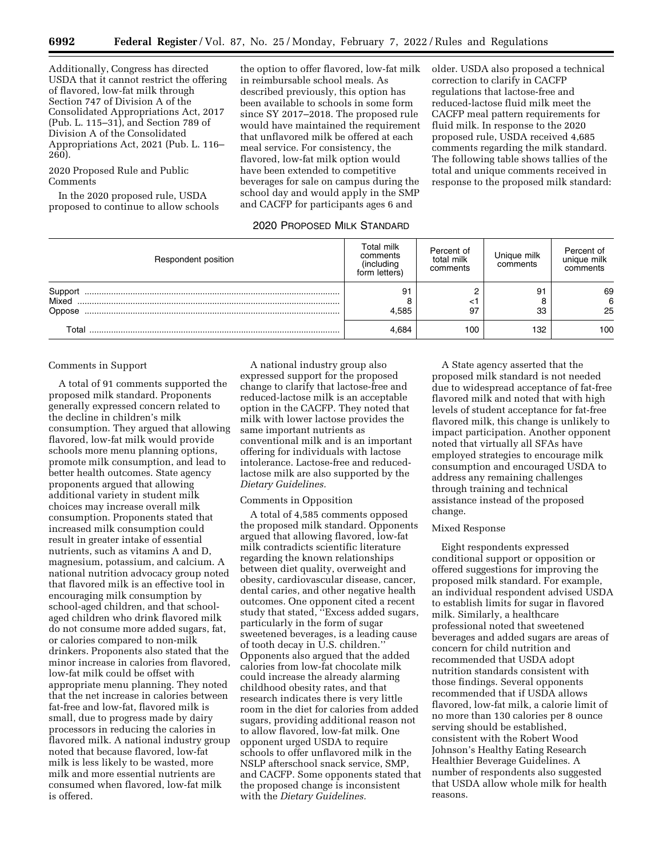Additionally, Congress has directed USDA that it cannot restrict the offering of flavored, low-fat milk through Section 747 of Division A of the Consolidated Appropriations Act, 2017 (Pub. L. 115–31), and Section 789 of Division A of the Consolidated Appropriations Act, 2021 (Pub. L. 116– 260).

2020 Proposed Rule and Public Comments

In the 2020 proposed rule, USDA proposed to continue to allow schools

the option to offer flavored, low-fat milk in reimbursable school meals. As described previously, this option has been available to schools in some form since SY 2017–2018. The proposed rule would have maintained the requirement that unflavored milk be offered at each meal service. For consistency, the flavored, low-fat milk option would have been extended to competitive beverages for sale on campus during the school day and would apply in the SMP and CACFP for participants ages 6 and

## 2020 PROPOSED MILK STANDARD

older. USDA also proposed a technical correction to clarify in CACFP regulations that lactose-free and reduced-lactose fluid milk meet the CACFP meal pattern requirements for fluid milk. In response to the 2020 proposed rule, USDA received 4,685 comments regarding the milk standard. The following table shows tallies of the total and unique comments received in response to the proposed milk standard:

| Respondent position | Total milk<br>comments<br>(including<br>form letters) | Percent of<br>total milk<br>comments | Unique milk<br>comments | Percent of<br>unique milk<br>comments |
|---------------------|-------------------------------------------------------|--------------------------------------|-------------------------|---------------------------------------|
| Support<br>Mixed    | 91                                                    | <1                                   | 91                      | 69<br>6                               |
| Oppose              | 4.585                                                 | 97                                   | 33                      | 25                                    |
| Total               | 4.684                                                 | 100                                  | 132                     | 100                                   |

### Comments in Support

A total of 91 comments supported the proposed milk standard. Proponents generally expressed concern related to the decline in children's milk consumption. They argued that allowing flavored, low-fat milk would provide schools more menu planning options, promote milk consumption, and lead to better health outcomes. State agency proponents argued that allowing additional variety in student milk choices may increase overall milk consumption. Proponents stated that increased milk consumption could result in greater intake of essential nutrients, such as vitamins A and D, magnesium, potassium, and calcium. A national nutrition advocacy group noted that flavored milk is an effective tool in encouraging milk consumption by school-aged children, and that schoolaged children who drink flavored milk do not consume more added sugars, fat, or calories compared to non-milk drinkers. Proponents also stated that the minor increase in calories from flavored, low-fat milk could be offset with appropriate menu planning. They noted that the net increase in calories between fat-free and low-fat, flavored milk is small, due to progress made by dairy processors in reducing the calories in flavored milk. A national industry group noted that because flavored, low-fat milk is less likely to be wasted, more milk and more essential nutrients are consumed when flavored, low-fat milk is offered.

A national industry group also expressed support for the proposed change to clarify that lactose-free and reduced-lactose milk is an acceptable option in the CACFP. They noted that milk with lower lactose provides the same important nutrients as conventional milk and is an important offering for individuals with lactose intolerance. Lactose-free and reducedlactose milk are also supported by the *Dietary Guidelines.* 

#### Comments in Opposition

A total of 4,585 comments opposed the proposed milk standard. Opponents argued that allowing flavored, low-fat milk contradicts scientific literature regarding the known relationships between diet quality, overweight and obesity, cardiovascular disease, cancer, dental caries, and other negative health outcomes. One opponent cited a recent study that stated, ''Excess added sugars, particularly in the form of sugar sweetened beverages, is a leading cause of tooth decay in U.S. children.'' Opponents also argued that the added calories from low-fat chocolate milk could increase the already alarming childhood obesity rates, and that research indicates there is very little room in the diet for calories from added sugars, providing additional reason not to allow flavored, low-fat milk. One opponent urged USDA to require schools to offer unflavored milk in the NSLP afterschool snack service, SMP, and CACFP. Some opponents stated that the proposed change is inconsistent with the *Dietary Guidelines.* 

A State agency asserted that the proposed milk standard is not needed due to widespread acceptance of fat-free flavored milk and noted that with high levels of student acceptance for fat-free flavored milk, this change is unlikely to impact participation. Another opponent noted that virtually all SFAs have employed strategies to encourage milk consumption and encouraged USDA to address any remaining challenges through training and technical assistance instead of the proposed change.

### Mixed Response

Eight respondents expressed conditional support or opposition or offered suggestions for improving the proposed milk standard. For example, an individual respondent advised USDA to establish limits for sugar in flavored milk. Similarly, a healthcare professional noted that sweetened beverages and added sugars are areas of concern for child nutrition and recommended that USDA adopt nutrition standards consistent with those findings. Several opponents recommended that if USDA allows flavored, low-fat milk, a calorie limit of no more than 130 calories per 8 ounce serving should be established, consistent with the Robert Wood Johnson's Healthy Eating Research Healthier Beverage Guidelines. A number of respondents also suggested that USDA allow whole milk for health reasons.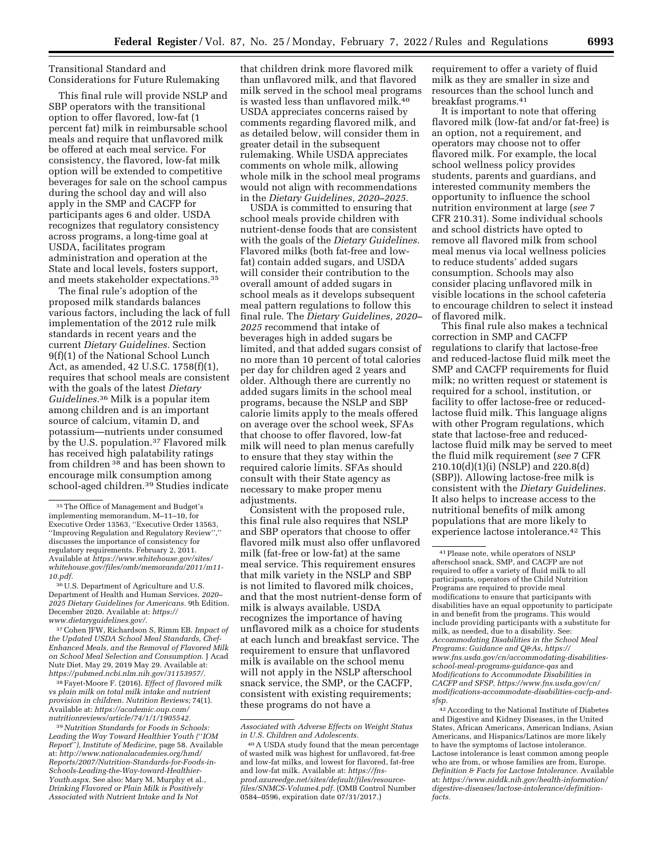## Transitional Standard and Considerations for Future Rulemaking

This final rule will provide NSLP and SBP operators with the transitional option to offer flavored, low-fat (1 percent fat) milk in reimbursable school meals and require that unflavored milk be offered at each meal service. For consistency, the flavored, low-fat milk option will be extended to competitive beverages for sale on the school campus during the school day and will also apply in the SMP and CACFP for participants ages 6 and older. USDA recognizes that regulatory consistency across programs, a long-time goal at USDA, facilitates program administration and operation at the State and local levels, fosters support, and meets stakeholder expectations.35

The final rule's adoption of the proposed milk standards balances various factors, including the lack of full implementation of the 2012 rule milk standards in recent years and the current *Dietary Guidelines.* Section 9(f)(1) of the National School Lunch Act, as amended, 42 U.S.C. 1758(f)(1), requires that school meals are consistent with the goals of the latest *Dietary Guidelines.*36 Milk is a popular item among children and is an important source of calcium, vitamin D, and potassium—nutrients under consumed by the U.S. population.<sup>37</sup> Flavored milk has received high palatability ratings from children 38 and has been shown to encourage milk consumption among school-aged children.39 Studies indicate

37Cohen JFW, Richardson S, Rimm EB. *Impact of the Updated USDA School Meal Standards, Chef-Enhanced Meals, and the Removal of Flavored Milk on School Meal Selection and Consumption.* J Acad Nutr Diet. May 29, 2019 May 29. Available at: *[https://pubmed.ncbi.nlm.nih.gov/31153957/.](https://pubmed.ncbi.nlm.nih.gov/31153957/)* 

38Fayet-Moore F. (2016). *Effect of flavored milk vs plain milk on total milk intake and nutrient provision in children. Nutrition Reviews;* 74(1). Available at: *[https://academic.oup.com/](https://academic.oup.com/nutritionreviews/article/74/1/1/1905542)  [nutritionreviews/article/74/1/1/1905542.](https://academic.oup.com/nutritionreviews/article/74/1/1/1905542)* 

39*Nutrition Standards for Foods in Schools: Leading the Way Toward Healthier Youth (*''*IOM Report*''*), Institute of Medicine,* page 58. Available at: *[http://www.nationalacademies.org/hmd/](http://www.nationalacademies.org/hmd/Reports/2007/Nutrition-Standards-for-Foods-in-Schools-Leading-the-Way-toward-Healthier-Youth.aspx)  [Reports/2007/Nutrition-Standards-for-Foods-in-](http://www.nationalacademies.org/hmd/Reports/2007/Nutrition-Standards-for-Foods-in-Schools-Leading-the-Way-toward-Healthier-Youth.aspx)[Schools-Leading-the-Way-toward-Healthier-](http://www.nationalacademies.org/hmd/Reports/2007/Nutrition-Standards-for-Foods-in-Schools-Leading-the-Way-toward-Healthier-Youth.aspx)[Youth.aspx.](http://www.nationalacademies.org/hmd/Reports/2007/Nutrition-Standards-for-Foods-in-Schools-Leading-the-Way-toward-Healthier-Youth.aspx)* See also: Mary M. Murphy et al., *Drinking Flavored or Plain Milk is Positively Associated with Nutrient Intake and Is Not* 

that children drink more flavored milk than unflavored milk, and that flavored milk served in the school meal programs is wasted less than unflavored milk.40 USDA appreciates concerns raised by comments regarding flavored milk, and as detailed below, will consider them in greater detail in the subsequent rulemaking. While USDA appreciates comments on whole milk, allowing whole milk in the school meal programs would not align with recommendations in the *Dietary Guidelines, 2020–2025.* 

USDA is committed to ensuring that school meals provide children with nutrient-dense foods that are consistent with the goals of the *Dietary Guidelines.*  Flavored milks (both fat-free and lowfat) contain added sugars, and USDA will consider their contribution to the overall amount of added sugars in school meals as it develops subsequent meal pattern regulations to follow this final rule. The *Dietary Guidelines, 2020– 2025* recommend that intake of beverages high in added sugars be limited, and that added sugars consist of no more than 10 percent of total calories per day for children aged 2 years and older. Although there are currently no added sugars limits in the school meal programs, because the NSLP and SBP calorie limits apply to the meals offered on average over the school week, SFAs that choose to offer flavored, low-fat milk will need to plan menus carefully to ensure that they stay within the required calorie limits. SFAs should consult with their State agency as necessary to make proper menu adjustments.

Consistent with the proposed rule, this final rule also requires that NSLP and SBP operators that choose to offer flavored milk must also offer unflavored milk (fat-free or low-fat) at the same meal service. This requirement ensures that milk variety in the NSLP and SBP is not limited to flavored milk choices, and that the most nutrient-dense form of milk is always available. USDA recognizes the importance of having unflavored milk as a choice for students at each lunch and breakfast service. The requirement to ensure that unflavored milk is available on the school menu will not apply in the NSLP afterschool snack service, the SMP, or the CACFP, consistent with existing requirements; these programs do not have a

requirement to offer a variety of fluid milk as they are smaller in size and resources than the school lunch and breakfast programs.41

It is important to note that offering flavored milk (low-fat and/or fat-free) is an option, not a requirement, and operators may choose not to offer flavored milk. For example, the local school wellness policy provides students, parents and guardians, and interested community members the opportunity to influence the school nutrition environment at large (*see* 7 CFR 210.31). Some individual schools and school districts have opted to remove all flavored milk from school meal menus via local wellness policies to reduce students' added sugars consumption. Schools may also consider placing unflavored milk in visible locations in the school cafeteria to encourage children to select it instead of flavored milk.

This final rule also makes a technical correction in SMP and CACFP regulations to clarify that lactose-free and reduced-lactose fluid milk meet the SMP and CACFP requirements for fluid milk; no written request or statement is required for a school, institution, or facility to offer lactose-free or reducedlactose fluid milk. This language aligns with other Program regulations, which state that lactose-free and reducedlactose fluid milk may be served to meet the fluid milk requirement (*see* 7 CFR 210.10(d)(1)(i) (NSLP) and 220.8(d) (SBP)). Allowing lactose-free milk is consistent with the *Dietary Guidelines.*  It also helps to increase access to the nutritional benefits of milk among populations that are more likely to experience lactose intolerance.<sup>42</sup> This

<sup>35</sup>The Office of Management and Budget's implementing memorandum, M–11–10, for Executive Order 13563, ''Executive Order 13563, ''Improving Regulation and Regulatory Review'','' discusses the importance of consistency for regulatory requirements. February 2, 2011. Available at *[https://www.whitehouse.gov/sites/](https://www.whitehouse.gov/sites/whitehouse.gov/files/omb/memoranda/2011/m11-10.pdf) [whitehouse.gov/files/omb/memoranda/2011/m11-](https://www.whitehouse.gov/sites/whitehouse.gov/files/omb/memoranda/2011/m11-10.pdf) [10.pdf.](https://www.whitehouse.gov/sites/whitehouse.gov/files/omb/memoranda/2011/m11-10.pdf)* 

<sup>36</sup>U.S. Department of Agriculture and U.S. Department of Health and Human Services. *2020– 2025 Dietary Guidelines for Americans.* 9th Edition. December 2020. Available at: *[https://](https://www.dietaryguidelines.gov/) [www.dietaryguidelines.gov/.](https://www.dietaryguidelines.gov/)* 

*Associated with Adverse Effects on Weight Status in U.S. Children and Adolescents.* 

<sup>40</sup>A USDA study found that the mean percentage of wasted milk was highest for unflavored, fat-free and low-fat milks, and lowest for flavored, fat-free and low-fat milk. Available at: *[https://fns](https://fns-prod.azureedge.net/sites/default/files/resource-files/SNMCS-Volume4.pdf)[prod.azureedge.net/sites/default/files/resource](https://fns-prod.azureedge.net/sites/default/files/resource-files/SNMCS-Volume4.pdf)[files/SNMCS-Volume4.pdf.](https://fns-prod.azureedge.net/sites/default/files/resource-files/SNMCS-Volume4.pdf)* (OMB Control Number 0584–0596, expiration date 07/31/2017.)

<sup>41</sup>Please note, while operators of NSLP afterschool snack, SMP, and CACFP are not required to offer a variety of fluid milk to all participants, operators of the Child Nutrition Programs are required to provide meal modifications to ensure that participants with disabilities have an equal opportunity to participate in and benefit from the programs. This would include providing participants with a substitute for milk, as needed, due to a disability. See: *Accommodating Disabilities in the School Meal Programs: Guidance and Q&As, [https://](https://www.fns.usda.gov/cn/accommodating-disabilities-school-meal-programs-guidance-qas) [www.fns.usda.gov/cn/accommodating-disabilities](https://www.fns.usda.gov/cn/accommodating-disabilities-school-meal-programs-guidance-qas)[school-meal-programs-guidance-qas](https://www.fns.usda.gov/cn/accommodating-disabilities-school-meal-programs-guidance-qas)* and *Modifications to Accommodate Disabilities in CACFP and SFSP, [https://www.fns.usda.gov/cn/](https://www.fns.usda.gov/cn/modifications-accommodate-disabilities-cacfp-and-sfsp)  [modifications-accommodate-disabilities-cacfp-and](https://www.fns.usda.gov/cn/modifications-accommodate-disabilities-cacfp-and-sfsp)[sfsp.](https://www.fns.usda.gov/cn/modifications-accommodate-disabilities-cacfp-and-sfsp)* 

<sup>42</sup>According to the National Institute of Diabetes and Digestive and Kidney Diseases, in the United States, African Americans, American Indians, Asian Americans, and Hispanics/Latinos are more likely to have the symptoms of lactose intolerance. Lactose intolerance is least common among people who are from, or whose families are from, Europe. *Definition & Facts for Lactose Intolerance.* Available at: *[https://www.niddk.nih.gov/health-information/](https://www.niddk.nih.gov/health-information/digestive-diseases/lactose-intolerance/definition-facts)  [digestive-diseases/lactose-intolerance/definition](https://www.niddk.nih.gov/health-information/digestive-diseases/lactose-intolerance/definition-facts)[facts.](https://www.niddk.nih.gov/health-information/digestive-diseases/lactose-intolerance/definition-facts)*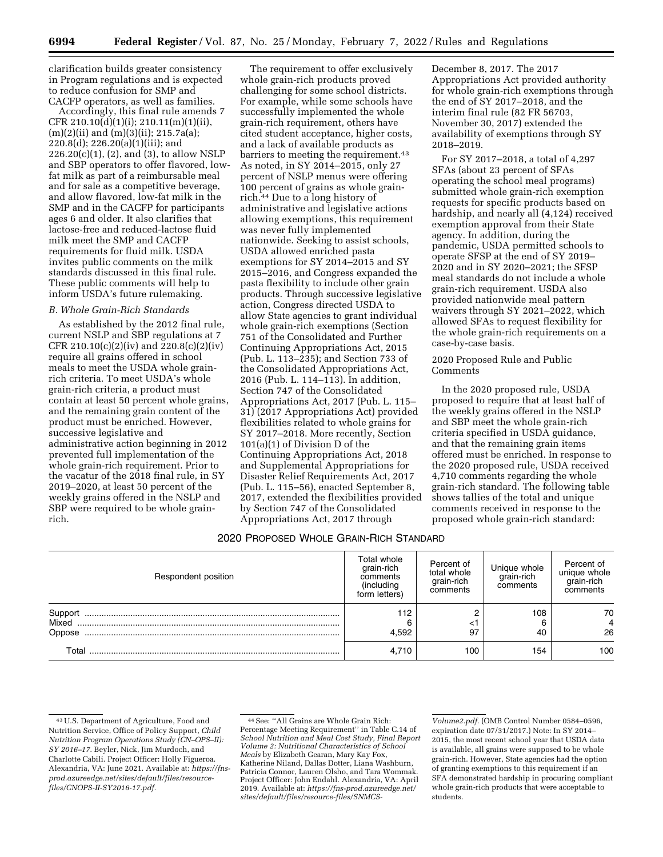clarification builds greater consistency in Program regulations and is expected to reduce confusion for SMP and CACFP operators, as well as families.

Accordingly, this final rule amends 7 CFR 210.10(d)(1)(i); 210.11(m)(1)(ii), (m)(2)(ii) and (m)(3)(ii); 215.7a(a); 220.8(d); 226.20(a)(1)(iii); and  $226.20(c)(1)$ ,  $(2)$ , and  $(3)$ , to allow NSLP and SBP operators to offer flavored, lowfat milk as part of a reimbursable meal and for sale as a competitive beverage, and allow flavored, low-fat milk in the SMP and in the CACFP for participants ages 6 and older. It also clarifies that lactose-free and reduced-lactose fluid milk meet the SMP and CACFP requirements for fluid milk. USDA invites public comments on the milk standards discussed in this final rule. These public comments will help to inform USDA's future rulemaking.

### *B. Whole Grain-Rich Standards*

As established by the 2012 final rule, current NSLP and SBP regulations at 7 CFR 210.10(c)(2)(iv) and 220.8(c)(2)(iv) require all grains offered in school meals to meet the USDA whole grainrich criteria. To meet USDA's whole grain-rich criteria, a product must contain at least 50 percent whole grains, and the remaining grain content of the product must be enriched. However, successive legislative and administrative action beginning in 2012 prevented full implementation of the whole grain-rich requirement. Prior to the vacatur of the 2018 final rule, in SY 2019–2020, at least 50 percent of the weekly grains offered in the NSLP and SBP were required to be whole grainrich.

The requirement to offer exclusively whole grain-rich products proved challenging for some school districts. For example, while some schools have successfully implemented the whole grain-rich requirement, others have cited student acceptance, higher costs, and a lack of available products as barriers to meeting the requirement.<sup>43</sup> As noted, in SY 2014–2015, only 27 percent of NSLP menus were offering 100 percent of grains as whole grainrich.44 Due to a long history of administrative and legislative actions allowing exemptions, this requirement was never fully implemented nationwide. Seeking to assist schools, USDA allowed enriched pasta exemptions for SY 2014–2015 and SY 2015–2016, and Congress expanded the pasta flexibility to include other grain products. Through successive legislative action, Congress directed USDA to allow State agencies to grant individual whole grain-rich exemptions (Section 751 of the Consolidated and Further Continuing Appropriations Act, 2015 (Pub. L. 113–235); and Section 733 of the Consolidated Appropriations Act, 2016 (Pub. L. 114–113). In addition, Section 747 of the Consolidated Appropriations Act, 2017 (Pub. L. 115– 31) (2017 Appropriations Act) provided flexibilities related to whole grains for SY 2017–2018. More recently, Section 101(a)(1) of Division D of the Continuing Appropriations Act, 2018 and Supplemental Appropriations for Disaster Relief Requirements Act, 2017 (Pub. L. 115–56), enacted September 8, 2017, extended the flexibilities provided by Section 747 of the Consolidated Appropriations Act, 2017 through

December 8, 2017. The 2017 Appropriations Act provided authority for whole grain-rich exemptions through the end of SY 2017–2018, and the interim final rule (82 FR 56703, November 30, 2017) extended the availability of exemptions through SY 2018–2019.

For SY 2017–2018, a total of 4,297 SFAs (about 23 percent of SFAs operating the school meal programs) submitted whole grain-rich exemption requests for specific products based on hardship, and nearly all (4,124) received exemption approval from their State agency. In addition, during the pandemic, USDA permitted schools to operate SFSP at the end of SY 2019– 2020 and in SY 2020–2021; the SFSP meal standards do not include a whole grain-rich requirement. USDA also provided nationwide meal pattern waivers through SY 2021–2022, which allowed SFAs to request flexibility for the whole grain-rich requirements on a case-by-case basis.

## 2020 Proposed Rule and Public Comments

In the 2020 proposed rule, USDA proposed to require that at least half of the weekly grains offered in the NSLP and SBP meet the whole grain-rich criteria specified in USDA guidance, and that the remaining grain items offered must be enriched. In response to the 2020 proposed rule, USDA received 4,710 comments regarding the whole grain-rich standard. The following table shows tallies of the total and unique comments received in response to the proposed whole grain-rich standard:

### 2020 PROPOSED WHOLE GRAIN-RICH STANDARD

| Respondent position        | Total whole<br>grain-rich<br>comments<br>(including<br>form letters) | Percent of<br>total whole<br>grain-rich<br>comments | Unique whole<br>grain-rich<br>comments | Percent of<br>unique whole<br>grain-rich<br>comments |
|----------------------------|----------------------------------------------------------------------|-----------------------------------------------------|----------------------------------------|------------------------------------------------------|
| Support<br>Mixed<br>Oppose | 112<br>4.592                                                         | ≺`ı<br>97                                           | 108<br>40                              | 70<br>26                                             |
| Total                      | 4.710                                                                | 100                                                 | 154                                    | 100                                                  |

<sup>43</sup>U.S. Department of Agriculture, Food and Nutrition Service, Office of Policy Support, *Child Nutrition Program Operations Study (CN–OPS–II): SY 2016–17.* Beyler, Nick, Jim Murdoch, and Charlotte Cabili. Project Officer: Holly Figueroa. Alexandria, VA: June 2021. Available at: *[https://fns](https://fns-prod.azureedge.net/sites/default/files/resource-files/CNOPS-II-SY2016-17.pdf)[prod.azureedge.net/sites/default/files/resource](https://fns-prod.azureedge.net/sites/default/files/resource-files/CNOPS-II-SY2016-17.pdf)[files/CNOPS-II-SY2016-17.pdf.](https://fns-prod.azureedge.net/sites/default/files/resource-files/CNOPS-II-SY2016-17.pdf)* 

<sup>44</sup>See: ''All Grains are Whole Grain Rich: Percentage Meeting Requirement'' in Table C.14 of *School Nutrition and Meal Cost Study, Final Report Volume 2: Nutritional Characteristics of School Meals* by Elizabeth Gearan, Mary Kay Fox, Katherine Niland, Dallas Dotter, Liana Washburn, Patricia Connor, Lauren Olsho, and Tara Wommak. Project Officer: John Endahl. Alexandria, VA: April 2019. Available at: *[https://fns-prod.azureedge.net/](https://fns-prod.azureedge.net/sites/default/files/resource-files/SNMCS-Volume2.pdf) [sites/default/files/resource-files/SNMCS-](https://fns-prod.azureedge.net/sites/default/files/resource-files/SNMCS-Volume2.pdf)*

*[Volume2.pdf.](https://fns-prod.azureedge.net/sites/default/files/resource-files/SNMCS-Volume2.pdf)* (OMB Control Number 0584–0596, expiration date 07/31/2017.) Note: In SY 2014– 2015, the most recent school year that USDA data is available, all grains were supposed to be whole grain-rich. However, State agencies had the option of granting exemptions to this requirement if an SFA demonstrated hardship in procuring compliant whole grain-rich products that were acceptable to students.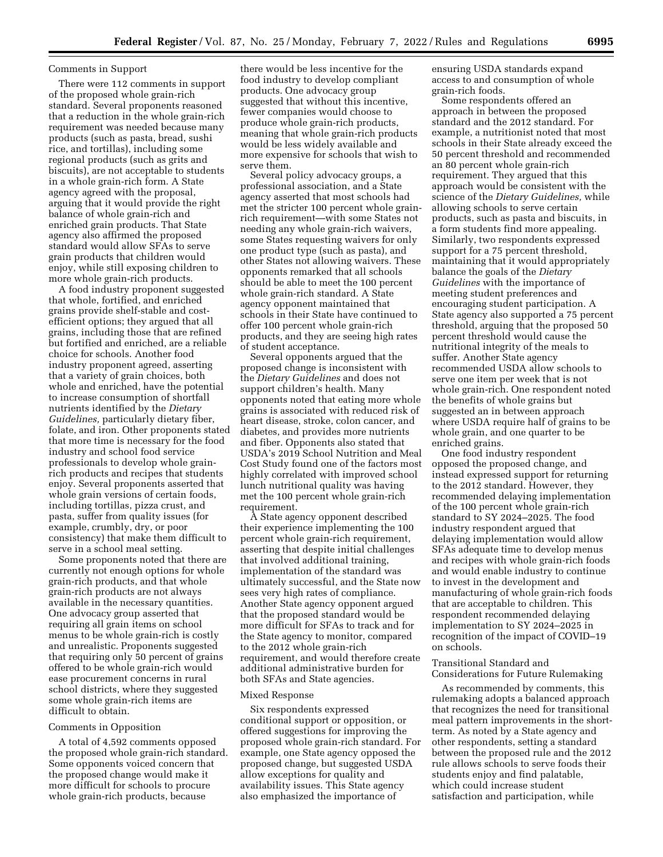### Comments in Support

There were 112 comments in support of the proposed whole grain-rich standard. Several proponents reasoned that a reduction in the whole grain-rich requirement was needed because many products (such as pasta, bread, sushi rice, and tortillas), including some regional products (such as grits and biscuits), are not acceptable to students in a whole grain-rich form. A State agency agreed with the proposal, arguing that it would provide the right balance of whole grain-rich and enriched grain products. That State agency also affirmed the proposed standard would allow SFAs to serve grain products that children would enjoy, while still exposing children to more whole grain-rich products.

A food industry proponent suggested that whole, fortified, and enriched grains provide shelf-stable and costefficient options; they argued that all grains, including those that are refined but fortified and enriched, are a reliable choice for schools. Another food industry proponent agreed, asserting that a variety of grain choices, both whole and enriched, have the potential to increase consumption of shortfall nutrients identified by the *Dietary Guidelines,* particularly dietary fiber, folate, and iron. Other proponents stated that more time is necessary for the food industry and school food service professionals to develop whole grainrich products and recipes that students enjoy. Several proponents asserted that whole grain versions of certain foods, including tortillas, pizza crust, and pasta, suffer from quality issues (for example, crumbly, dry, or poor consistency) that make them difficult to serve in a school meal setting.

Some proponents noted that there are currently not enough options for whole grain-rich products, and that whole grain-rich products are not always available in the necessary quantities. One advocacy group asserted that requiring all grain items on school menus to be whole grain-rich is costly and unrealistic. Proponents suggested that requiring only 50 percent of grains offered to be whole grain-rich would ease procurement concerns in rural school districts, where they suggested some whole grain-rich items are difficult to obtain.

#### Comments in Opposition

A total of 4,592 comments opposed the proposed whole grain-rich standard. Some opponents voiced concern that the proposed change would make it more difficult for schools to procure whole grain-rich products, because

there would be less incentive for the food industry to develop compliant products. One advocacy group suggested that without this incentive, fewer companies would choose to produce whole grain-rich products, meaning that whole grain-rich products would be less widely available and more expensive for schools that wish to serve them.

Several policy advocacy groups, a professional association, and a State agency asserted that most schools had met the stricter 100 percent whole grainrich requirement—with some States not needing any whole grain-rich waivers, some States requesting waivers for only one product type (such as pasta), and other States not allowing waivers. These opponents remarked that all schools should be able to meet the 100 percent whole grain-rich standard. A State agency opponent maintained that schools in their State have continued to offer 100 percent whole grain-rich products, and they are seeing high rates of student acceptance.

Several opponents argued that the proposed change is inconsistent with the *Dietary Guidelines* and does not support children's health. Many opponents noted that eating more whole grains is associated with reduced risk of heart disease, stroke, colon cancer, and diabetes, and provides more nutrients and fiber. Opponents also stated that USDA's 2019 School Nutrition and Meal Cost Study found one of the factors most highly correlated with improved school lunch nutritional quality was having met the 100 percent whole grain-rich requirement.

A State agency opponent described their experience implementing the 100 percent whole grain-rich requirement, asserting that despite initial challenges that involved additional training, implementation of the standard was ultimately successful, and the State now sees very high rates of compliance. Another State agency opponent argued that the proposed standard would be more difficult for SFAs to track and for the State agency to monitor, compared to the 2012 whole grain-rich requirement, and would therefore create additional administrative burden for both SFAs and State agencies.

#### Mixed Response

Six respondents expressed conditional support or opposition, or offered suggestions for improving the proposed whole grain-rich standard. For example, one State agency opposed the proposed change, but suggested USDA allow exceptions for quality and availability issues. This State agency also emphasized the importance of

ensuring USDA standards expand access to and consumption of whole grain-rich foods.

Some respondents offered an approach in between the proposed standard and the 2012 standard. For example, a nutritionist noted that most schools in their State already exceed the 50 percent threshold and recommended an 80 percent whole grain-rich requirement. They argued that this approach would be consistent with the science of the *Dietary Guidelines,* while allowing schools to serve certain products, such as pasta and biscuits, in a form students find more appealing. Similarly, two respondents expressed support for a 75 percent threshold, maintaining that it would appropriately balance the goals of the *Dietary Guidelines* with the importance of meeting student preferences and encouraging student participation. A State agency also supported a 75 percent threshold, arguing that the proposed 50 percent threshold would cause the nutritional integrity of the meals to suffer. Another State agency recommended USDA allow schools to serve one item per week that is not whole grain-rich. One respondent noted the benefits of whole grains but suggested an in between approach where USDA require half of grains to be whole grain, and one quarter to be enriched grains.

One food industry respondent opposed the proposed change, and instead expressed support for returning to the 2012 standard. However, they recommended delaying implementation of the 100 percent whole grain-rich standard to SY 2024–2025. The food industry respondent argued that delaying implementation would allow SFAs adequate time to develop menus and recipes with whole grain-rich foods and would enable industry to continue to invest in the development and manufacturing of whole grain-rich foods that are acceptable to children. This respondent recommended delaying implementation to SY 2024–2025 in recognition of the impact of COVID–19 on schools.

### Transitional Standard and Considerations for Future Rulemaking

As recommended by comments, this rulemaking adopts a balanced approach that recognizes the need for transitional meal pattern improvements in the shortterm. As noted by a State agency and other respondents, setting a standard between the proposed rule and the 2012 rule allows schools to serve foods their students enjoy and find palatable, which could increase student satisfaction and participation, while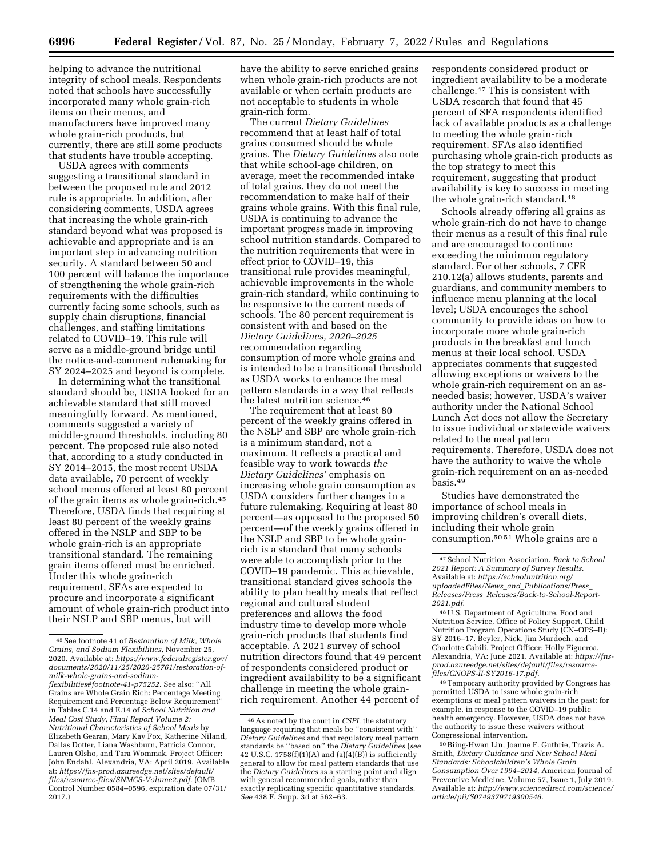helping to advance the nutritional integrity of school meals. Respondents noted that schools have successfully incorporated many whole grain-rich items on their menus, and manufacturers have improved many whole grain-rich products, but currently, there are still some products that students have trouble accepting.

USDA agrees with comments suggesting a transitional standard in between the proposed rule and 2012 rule is appropriate. In addition, after considering comments, USDA agrees that increasing the whole grain-rich standard beyond what was proposed is achievable and appropriate and is an important step in advancing nutrition security. A standard between 50 and 100 percent will balance the importance of strengthening the whole grain-rich requirements with the difficulties currently facing some schools, such as supply chain disruptions, financial challenges, and staffing limitations related to COVID–19. This rule will serve as a middle-ground bridge until the notice-and-comment rulemaking for SY 2024–2025 and beyond is complete.

In determining what the transitional standard should be, USDA looked for an achievable standard that still moved meaningfully forward. As mentioned, comments suggested a variety of middle-ground thresholds, including 80 percent. The proposed rule also noted that, according to a study conducted in SY 2014–2015, the most recent USDA data available, 70 percent of weekly school menus offered at least 80 percent of the grain items as whole grain-rich.45 Therefore, USDA finds that requiring at least 80 percent of the weekly grains offered in the NSLP and SBP to be whole grain-rich is an appropriate transitional standard. The remaining grain items offered must be enriched. Under this whole grain-rich requirement, SFAs are expected to procure and incorporate a significant amount of whole grain-rich product into their NSLP and SBP menus, but will

have the ability to serve enriched grains when whole grain-rich products are not available or when certain products are not acceptable to students in whole grain-rich form.

The current *Dietary Guidelines*  recommend that at least half of total grains consumed should be whole grains. The *Dietary Guidelines* also note that while school-age children, on average, meet the recommended intake of total grains, they do not meet the recommendation to make half of their grains whole grains. With this final rule, USDA is continuing to advance the important progress made in improving school nutrition standards. Compared to the nutrition requirements that were in effect prior to COVID–19, this transitional rule provides meaningful, achievable improvements in the whole grain-rich standard, while continuing to be responsive to the current needs of schools. The 80 percent requirement is consistent with and based on the *Dietary Guidelines, 2020–2025*  recommendation regarding consumption of more whole grains and is intended to be a transitional threshold as USDA works to enhance the meal pattern standards in a way that reflects the latest nutrition science.46

The requirement that at least 80 percent of the weekly grains offered in the NSLP and SBP are whole grain-rich is a minimum standard, not a maximum. It reflects a practical and feasible way to work towards *the Dietary Guidelines'* emphasis on increasing whole grain consumption as USDA considers further changes in a future rulemaking. Requiring at least 80 percent—as opposed to the proposed 50 percent—of the weekly grains offered in the NSLP and SBP to be whole grainrich is a standard that many schools were able to accomplish prior to the COVID–19 pandemic. This achievable, transitional standard gives schools the ability to plan healthy meals that reflect regional and cultural student preferences and allows the food industry time to develop more whole grain-rich products that students find acceptable. A 2021 survey of school nutrition directors found that 49 percent of respondents considered product or ingredient availability to be a significant challenge in meeting the whole grainrich requirement. Another 44 percent of

respondents considered product or ingredient availability to be a moderate challenge.47 This is consistent with USDA research that found that 45 percent of SFA respondents identified lack of available products as a challenge to meeting the whole grain-rich requirement. SFAs also identified purchasing whole grain-rich products as the top strategy to meet this requirement, suggesting that product availability is key to success in meeting the whole grain-rich standard.48

Schools already offering all grains as whole grain-rich do not have to change their menus as a result of this final rule and are encouraged to continue exceeding the minimum regulatory standard. For other schools, 7 CFR 210.12(a) allows students, parents and guardians, and community members to influence menu planning at the local level; USDA encourages the school community to provide ideas on how to incorporate more whole grain-rich products in the breakfast and lunch menus at their local school. USDA appreciates comments that suggested allowing exceptions or waivers to the whole grain-rich requirement on an asneeded basis; however, USDA's waiver authority under the National School Lunch Act does not allow the Secretary to issue individual or statewide waivers related to the meal pattern requirements. Therefore, USDA does not have the authority to waive the whole grain-rich requirement on an as-needed basis.49

Studies have demonstrated the importance of school meals in improving children's overall diets, including their whole grain consumption.50 51 Whole grains are a

48U.S. Department of Agriculture, Food and Nutrition Service, Office of Policy Support, Child Nutrition Program Operations Study (CN–OPS–II): SY 2016–17. Beyler, Nick, Jim Murdoch, and Charlotte Cabili. Project Officer: Holly Figueroa. Alexandria, VA: June 2021. Available at: *[https://fns](https://fns-prod.azureedge.net/sites/default/files/resource-files/CNOPS-II-SY2016-17.pdf)[prod.azureedge.net/sites/default/files/resource](https://fns-prod.azureedge.net/sites/default/files/resource-files/CNOPS-II-SY2016-17.pdf)[files/CNOPS-II-SY2016-17.pdf.](https://fns-prod.azureedge.net/sites/default/files/resource-files/CNOPS-II-SY2016-17.pdf)* 

49Temporary authority provided by Congress has permitted USDA to issue whole grain-rich exemptions or meal pattern waivers in the past; for example, in response to the COVID–19 public health emergency. However, USDA does not have the authority to issue these waivers without Congressional intervention.

50Biing-Hwan Lin, Joanne F. Guthrie, Travis A. Smith, *Dietary Guidance and New School Meal Standards: Schoolchildren's Whole Grain Consumption Over 1994–2014,* American Journal of Preventive Medicine, Volume 57, Issue 1, July 2019. Available at: *[http://www.sciencedirect.com/science/](http://www.sciencedirect.com/science/article/pii/S0749379719300546)  [article/pii/S0749379719300546.](http://www.sciencedirect.com/science/article/pii/S0749379719300546)* 

<sup>45</sup>See footnote 41 of *Restoration of Milk, Whole Grains, and Sodium Flexibilities,* November 25, 2020. Available at: *[https://www.federalregister.gov/](https://www.federalregister.gov/documents/2020/11/25/2020-25761/restoration-of-milk-whole-grains-and-sodium-flexibilities#footnote-41-p75252) [documents/2020/11/25/2020-25761/restoration-of](https://www.federalregister.gov/documents/2020/11/25/2020-25761/restoration-of-milk-whole-grains-and-sodium-flexibilities#footnote-41-p75252)[milk-whole-grains-and-sodium-](https://www.federalregister.gov/documents/2020/11/25/2020-25761/restoration-of-milk-whole-grains-and-sodium-flexibilities#footnote-41-p75252)*

*[flexibilities#footnote-41-p75252.](https://www.federalregister.gov/documents/2020/11/25/2020-25761/restoration-of-milk-whole-grains-and-sodium-flexibilities#footnote-41-p75252)* See also: ''All Grains are Whole Grain Rich: Percentage Meeting Requirement and Percentage Below Requirement'' in Tables C.14 and E.14 of *School Nutrition and Meal Cost Study, Final Report Volume 2: Nutritional Characteristics of School Meals* by Elizabeth Gearan, Mary Kay Fox, Katherine Niland, Dallas Dotter, Liana Washburn, Patricia Connor, Lauren Olsho, and Tara Wommak. Project Officer: John Endahl. Alexandria, VA: April 2019. Available at: *[https://fns-prod.azureedge.net/sites/default/](https://fns-prod.azureedge.net/sites/default/files/resource-files/SNMCS-Volume2.pdf)  [files/resource-files/SNMCS-Volume2.pdf.](https://fns-prod.azureedge.net/sites/default/files/resource-files/SNMCS-Volume2.pdf)* (OMB Control Number 0584–0596, expiration date 07/31/ 2017.)

<sup>46</sup>As noted by the court in *CSPI,* the statutory language requiring that meals be ''consistent with'' *Dietary Guidelines* and that regulatory meal pattern standards be ''based on'' the *Dietary Guidelines* (*see*  42 U.S.C. 1758 $(f)(1)(A)$  and  $(a)(4)(B)$  is sufficiently general to allow for meal pattern standards that use the *Dietary Guidelines* as a starting point and align with general recommended goals, rather than exactly replicating specific quantitative standards. *See* 438 F. Supp. 3d at 562–63.

<sup>47</sup>School Nutrition Association. *Back to School 2021 Report: A Summary of Survey Results.*  Available at: *[https://schoolnutrition.org/](https://schoolnutrition.org/uploadedFiles/News_and_Publications/Press_Releases/Press_Releases/Back-to-School-Report-2021.pdf) [uploadedFiles/News](https://schoolnutrition.org/uploadedFiles/News_and_Publications/Press_Releases/Press_Releases/Back-to-School-Report-2021.pdf)*\_*and*\_*Publications/Press*\_ *Releases/Press*\_*[Releases/Back-to-School-Report-](https://schoolnutrition.org/uploadedFiles/News_and_Publications/Press_Releases/Press_Releases/Back-to-School-Report-2021.pdf)[2021.pdf.](https://schoolnutrition.org/uploadedFiles/News_and_Publications/Press_Releases/Press_Releases/Back-to-School-Report-2021.pdf)*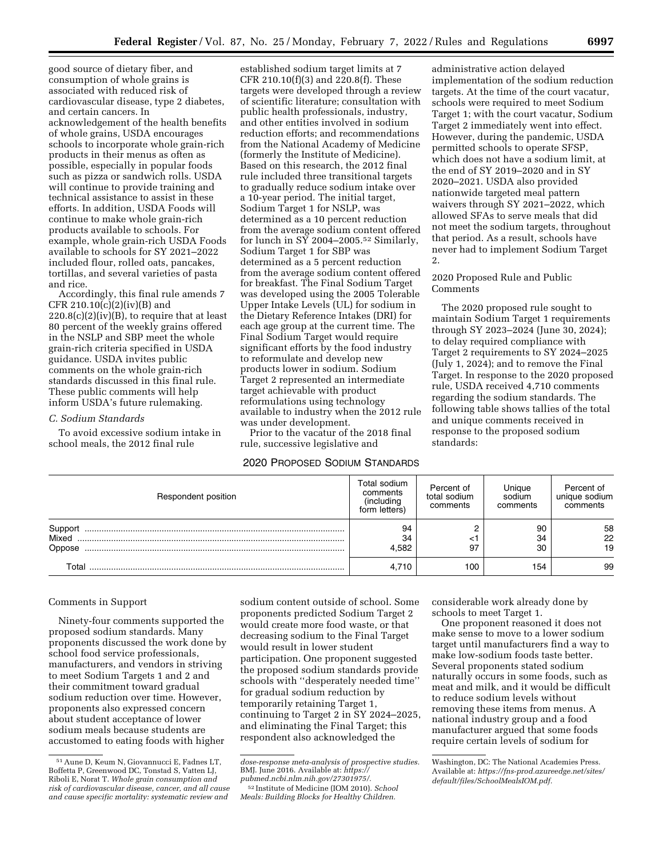good source of dietary fiber, and consumption of whole grains is associated with reduced risk of cardiovascular disease, type 2 diabetes, and certain cancers. In acknowledgement of the health benefits of whole grains, USDA encourages schools to incorporate whole grain-rich products in their menus as often as possible, especially in popular foods such as pizza or sandwich rolls. USDA will continue to provide training and technical assistance to assist in these efforts. In addition, USDA Foods will continue to make whole grain-rich products available to schools. For example, whole grain-rich USDA Foods available to schools for SY 2021–2022 included flour, rolled oats, pancakes, tortillas, and several varieties of pasta and rice.

Accordingly, this final rule amends 7 CFR 210.10(c)(2)(iv)(B) and  $220.8(c)(2)(iv)(B)$ , to require that at least 80 percent of the weekly grains offered in the NSLP and SBP meet the whole grain-rich criteria specified in USDA guidance. USDA invites public comments on the whole grain-rich standards discussed in this final rule. These public comments will help inform USDA's future rulemaking.

#### *C. Sodium Standards*

To avoid excessive sodium intake in school meals, the 2012 final rule

established sodium target limits at 7 CFR 210.10(f)(3) and 220.8(f). These targets were developed through a review of scientific literature; consultation with public health professionals, industry, and other entities involved in sodium reduction efforts; and recommendations from the National Academy of Medicine (formerly the Institute of Medicine). Based on this research, the 2012 final rule included three transitional targets to gradually reduce sodium intake over a 10-year period. The initial target, Sodium Target 1 for NSLP, was determined as a 10 percent reduction from the average sodium content offered for lunch in  $S\bar{Y}$  2004–2005.<sup>52</sup> Similarly, Sodium Target 1 for SBP was determined as a 5 percent reduction from the average sodium content offered for breakfast. The Final Sodium Target was developed using the 2005 Tolerable Upper Intake Levels (UL) for sodium in the Dietary Reference Intakes (DRI) for each age group at the current time. The Final Sodium Target would require significant efforts by the food industry to reformulate and develop new products lower in sodium. Sodium Target 2 represented an intermediate target achievable with product reformulations using technology available to industry when the 2012 rule was under development.

Prior to the vacatur of the 2018 final rule, successive legislative and

## 2020 PROPOSED SODIUM STANDARDS

administrative action delayed implementation of the sodium reduction targets. At the time of the court vacatur, schools were required to meet Sodium Target 1; with the court vacatur, Sodium Target 2 immediately went into effect. However, during the pandemic, USDA permitted schools to operate SFSP, which does not have a sodium limit, at the end of SY 2019–2020 and in SY 2020–2021. USDA also provided nationwide targeted meal pattern waivers through SY 2021–2022, which allowed SFAs to serve meals that did not meet the sodium targets, throughout that period. As a result, schools have never had to implement Sodium Target 2.

## 2020 Proposed Rule and Public Comments

The 2020 proposed rule sought to maintain Sodium Target 1 requirements through SY 2023–2024 (June 30, 2024); to delay required compliance with Target 2 requirements to SY 2024–2025 (July 1, 2024); and to remove the Final Target. In response to the 2020 proposed rule, USDA received 4,710 comments regarding the sodium standards. The following table shows tallies of the total and unique comments received in response to the proposed sodium standards:

| Respondent position | Total sodium<br>comments<br>(including<br>form letters) | Percent of<br>total sodium<br>comments | Unique<br>sodium<br>comments | Percent of<br>unique sodium<br>comments |
|---------------------|---------------------------------------------------------|----------------------------------------|------------------------------|-----------------------------------------|
| Support             | 94                                                      |                                        | 90                           | 58                                      |
| Mixed               | 34                                                      | <1                                     | 34                           | 22                                      |
| Oppose              | 4.582                                                   | 97                                     | 30                           | 19                                      |
| Гоtа                | 4.710                                                   | 100                                    | 154                          | 99                                      |

### Comments in Support

Ninety-four comments supported the proposed sodium standards. Many proponents discussed the work done by school food service professionals, manufacturers, and vendors in striving to meet Sodium Targets 1 and 2 and their commitment toward gradual sodium reduction over time. However, proponents also expressed concern about student acceptance of lower sodium meals because students are accustomed to eating foods with higher

sodium content outside of school. Some proponents predicted Sodium Target 2 would create more food waste, or that decreasing sodium to the Final Target would result in lower student participation. One proponent suggested the proposed sodium standards provide schools with ''desperately needed time'' for gradual sodium reduction by temporarily retaining Target 1, continuing to Target 2 in SY 2024–2025, and eliminating the Final Target; this respondent also acknowledged the

considerable work already done by schools to meet Target 1.

One proponent reasoned it does not make sense to move to a lower sodium target until manufacturers find a way to make low-sodium foods taste better. Several proponents stated sodium naturally occurs in some foods, such as meat and milk, and it would be difficult to reduce sodium levels without removing these items from menus. A national industry group and a food manufacturer argued that some foods require certain levels of sodium for

<sup>51</sup>Aune D, Keum N, Giovannucci E, Fadnes LT, Boffetta P, Greenwood DC, Tonstad S, Vatten LJ, Riboli E, Norat T. *Whole grain consumption and risk of cardiovascular disease, cancer, and all cause and cause specific mortality: systematic review and* 

*dose-response meta-analysis of prospective studies.*  BMJ. June 2016. Available at: *[https://](https://pubmed.ncbi.nlm.nih.gov/27301975/) [pubmed.ncbi.nlm.nih.gov/27301975/.](https://pubmed.ncbi.nlm.nih.gov/27301975/)* 

<sup>52</sup> Institute of Medicine (IOM 2010). *School Meals: Building Blocks for Healthy Children.* 

Washington, DC: The National Academies Press. Available at: *[https://fns-prod.azureedge.net/sites/](https://fns-prod.azureedge.net/sites/default/files/SchoolMealsIOM.pdf)  [default/files/SchoolMealsIOM.pdf.](https://fns-prod.azureedge.net/sites/default/files/SchoolMealsIOM.pdf)*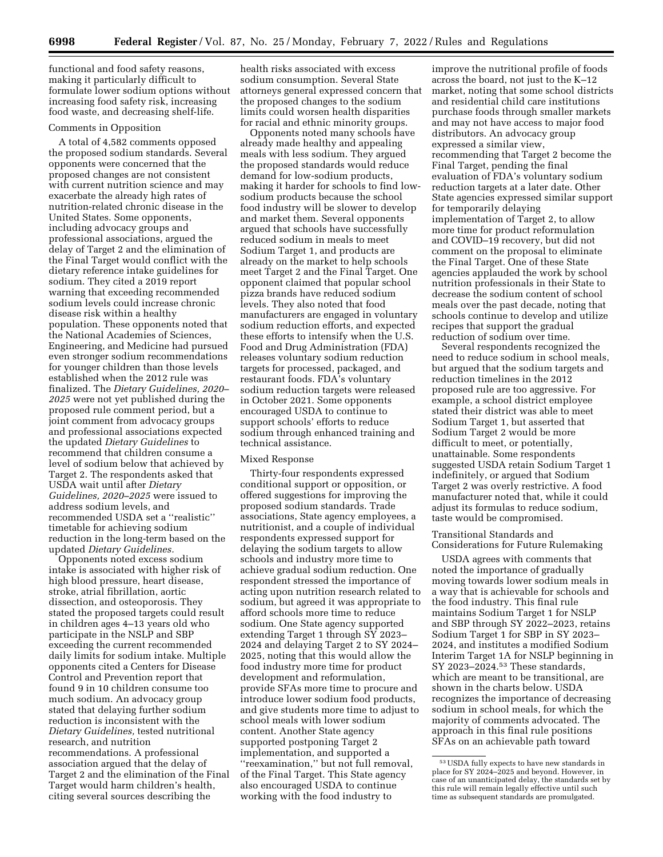functional and food safety reasons, making it particularly difficult to formulate lower sodium options without increasing food safety risk, increasing food waste, and decreasing shelf-life.

### Comments in Opposition

A total of 4,582 comments opposed the proposed sodium standards. Several opponents were concerned that the proposed changes are not consistent with current nutrition science and may exacerbate the already high rates of nutrition-related chronic disease in the United States. Some opponents, including advocacy groups and professional associations, argued the delay of Target 2 and the elimination of the Final Target would conflict with the dietary reference intake guidelines for sodium. They cited a 2019 report warning that exceeding recommended sodium levels could increase chronic disease risk within a healthy population. These opponents noted that the National Academies of Sciences, Engineering, and Medicine had pursued even stronger sodium recommendations for younger children than those levels established when the 2012 rule was finalized. The *Dietary Guidelines, 2020– 2025* were not yet published during the proposed rule comment period, but a joint comment from advocacy groups and professional associations expected the updated *Dietary Guidelines* to recommend that children consume a level of sodium below that achieved by Target 2. The respondents asked that USDA wait until after *Dietary Guidelines, 2020–2025* were issued to address sodium levels, and recommended USDA set a ''realistic'' timetable for achieving sodium reduction in the long-term based on the updated *Dietary Guidelines.* 

Opponents noted excess sodium intake is associated with higher risk of high blood pressure, heart disease, stroke, atrial fibrillation, aortic dissection, and osteoporosis. They stated the proposed targets could result in children ages 4–13 years old who participate in the NSLP and SBP exceeding the current recommended daily limits for sodium intake. Multiple opponents cited a Centers for Disease Control and Prevention report that found 9 in 10 children consume too much sodium. An advocacy group stated that delaying further sodium reduction is inconsistent with the *Dietary Guidelines,* tested nutritional research, and nutrition recommendations. A professional association argued that the delay of Target 2 and the elimination of the Final Target would harm children's health, citing several sources describing the

health risks associated with excess sodium consumption. Several State attorneys general expressed concern that the proposed changes to the sodium limits could worsen health disparities for racial and ethnic minority groups.

Opponents noted many schools have already made healthy and appealing meals with less sodium. They argued the proposed standards would reduce demand for low-sodium products, making it harder for schools to find lowsodium products because the school food industry will be slower to develop and market them. Several opponents argued that schools have successfully reduced sodium in meals to meet Sodium Target 1, and products are already on the market to help schools meet Target 2 and the Final Target. One opponent claimed that popular school pizza brands have reduced sodium levels. They also noted that food manufacturers are engaged in voluntary sodium reduction efforts, and expected these efforts to intensify when the U.S. Food and Drug Administration (FDA) releases voluntary sodium reduction targets for processed, packaged, and restaurant foods. FDA's voluntary sodium reduction targets were released in October 2021. Some opponents encouraged USDA to continue to support schools' efforts to reduce sodium through enhanced training and technical assistance.

#### Mixed Response

Thirty-four respondents expressed conditional support or opposition, or offered suggestions for improving the proposed sodium standards. Trade associations, State agency employees, a nutritionist, and a couple of individual respondents expressed support for delaying the sodium targets to allow schools and industry more time to achieve gradual sodium reduction. One respondent stressed the importance of acting upon nutrition research related to sodium, but agreed it was appropriate to afford schools more time to reduce sodium. One State agency supported extending Target 1 through SY 2023– 2024 and delaying Target 2 to SY 2024– 2025, noting that this would allow the food industry more time for product development and reformulation, provide SFAs more time to procure and introduce lower sodium food products, and give students more time to adjust to school meals with lower sodium content. Another State agency supported postponing Target 2 implementation, and supported a ''reexamination,'' but not full removal, of the Final Target. This State agency also encouraged USDA to continue working with the food industry to

improve the nutritional profile of foods across the board, not just to the K–12 market, noting that some school districts and residential child care institutions purchase foods through smaller markets and may not have access to major food distributors. An advocacy group expressed a similar view, recommending that Target 2 become the Final Target, pending the final evaluation of FDA's voluntary sodium reduction targets at a later date. Other State agencies expressed similar support for temporarily delaying implementation of Target 2, to allow more time for product reformulation and COVID–19 recovery, but did not comment on the proposal to eliminate the Final Target. One of these State agencies applauded the work by school nutrition professionals in their State to decrease the sodium content of school meals over the past decade, noting that schools continue to develop and utilize recipes that support the gradual reduction of sodium over time.

Several respondents recognized the need to reduce sodium in school meals, but argued that the sodium targets and reduction timelines in the 2012 proposed rule are too aggressive. For example, a school district employee stated their district was able to meet Sodium Target 1, but asserted that Sodium Target 2 would be more difficult to meet, or potentially, unattainable. Some respondents suggested USDA retain Sodium Target 1 indefinitely, or argued that Sodium Target 2 was overly restrictive. A food manufacturer noted that, while it could adjust its formulas to reduce sodium, taste would be compromised.

### Transitional Standards and Considerations for Future Rulemaking

USDA agrees with comments that noted the importance of gradually moving towards lower sodium meals in a way that is achievable for schools and the food industry. This final rule maintains Sodium Target 1 for NSLP and SBP through SY 2022–2023, retains Sodium Target 1 for SBP in SY 2023– 2024, and institutes a modified Sodium Interim Target 1A for NSLP beginning in SY 2023–2024.53 These standards, which are meant to be transitional, are shown in the charts below. USDA recognizes the importance of decreasing sodium in school meals, for which the majority of comments advocated. The approach in this final rule positions SFAs on an achievable path toward

<sup>53</sup>USDA fully expects to have new standards in place for SY 2024–2025 and beyond. However, in case of an unanticipated delay, the standards set by this rule will remain legally effective until such time as subsequent standards are promulgated.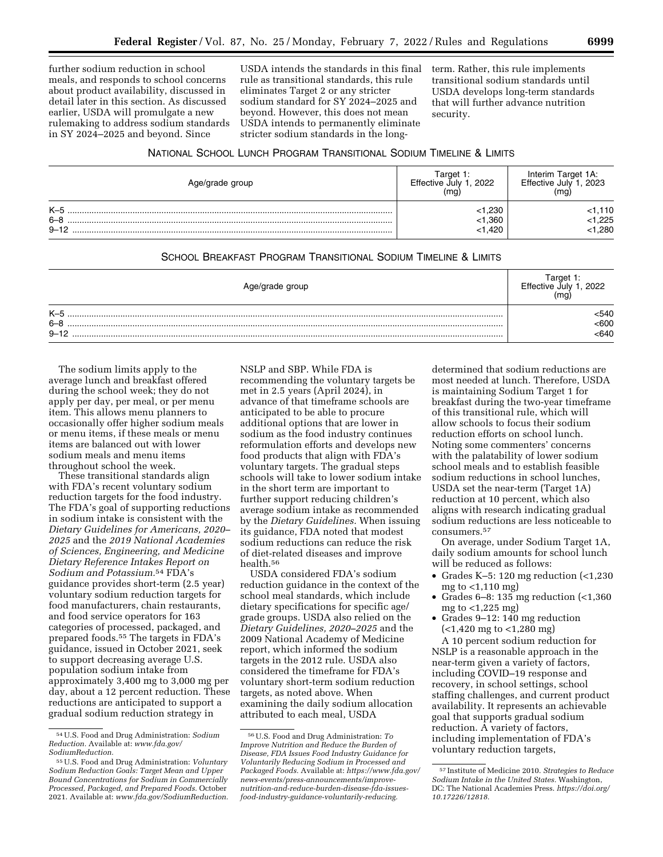further sodium reduction in school meals, and responds to school concerns about product availability, discussed in detail later in this section. As discussed earlier, USDA will promulgate a new rulemaking to address sodium standards in SY 2024–2025 and beyond. Since

USDA intends the standards in this final rule as transitional standards, this rule eliminates Target 2 or any stricter sodium standard for SY 2024–2025 and beyond. However, this does not mean USDA intends to permanently eliminate stricter sodium standards in the long-

term. Rather, this rule implements transitional sodium standards until USDA develops long-term standards that will further advance nutrition security.

| NATIONAL SCHOOL LUNCH PROGRAM TRANSITIONAL SODIUM TIMELINE & LIMITS |  |
|---------------------------------------------------------------------|--|
|---------------------------------------------------------------------|--|

| Age/grade group              | Target 1:<br>. 2022<br>Effective July<br>(mg) | Interim Target 1A:<br><sup>*</sup> ective July 1, 2023<br>Effective July 1<br>(mg) |
|------------------------------|-----------------------------------------------|------------------------------------------------------------------------------------|
| $K-5$<br>$6 - 8$<br>$9 - 12$ | < 1,230<br>< 1,360<br>< 1.420                 | <1.110<br>$<$ 1,225<br>< 1,280                                                     |

## SCHOOL BREAKFAST PROGRAM TRANSITIONAL SODIUM TIMELINE & LIMITS

| Age/grade group | araet<br>2022<br>Effective July<br>(ma) |
|-----------------|-----------------------------------------|
| $K-5$           | .540                                    |
| $6 - 8$         | 500 <sub>o</sub>                        |
| $9 - 12$        | 640                                     |

The sodium limits apply to the average lunch and breakfast offered during the school week; they do not apply per day, per meal, or per menu item. This allows menu planners to occasionally offer higher sodium meals or menu items, if these meals or menu items are balanced out with lower sodium meals and menu items throughout school the week.

These transitional standards align with FDA's recent voluntary sodium reduction targets for the food industry. The FDA's goal of supporting reductions in sodium intake is consistent with the *Dietary Guidelines for Americans, 2020– 2025* and the *2019 National Academies of Sciences, Engineering, and Medicine Dietary Reference Intakes Report on Sodium and Potassium.*54 FDA's guidance provides short-term (2.5 year) voluntary sodium reduction targets for food manufacturers, chain restaurants, and food service operators for 163 categories of processed, packaged, and prepared foods.55 The targets in FDA's guidance, issued in October 2021, seek to support decreasing average U.S. population sodium intake from approximately 3,400 mg to 3,000 mg per day, about a 12 percent reduction. These reductions are anticipated to support a gradual sodium reduction strategy in

NSLP and SBP. While FDA is recommending the voluntary targets be met in 2.5 years (April 2024), in advance of that timeframe schools are anticipated to be able to procure additional options that are lower in sodium as the food industry continues reformulation efforts and develops new food products that align with FDA's voluntary targets. The gradual steps schools will take to lower sodium intake in the short term are important to further support reducing children's average sodium intake as recommended by the *Dietary Guidelines.* When issuing its guidance, FDA noted that modest sodium reductions can reduce the risk of diet-related diseases and improve health.56

USDA considered FDA's sodium reduction guidance in the context of the school meal standards, which include dietary specifications for specific age/ grade groups. USDA also relied on the *Dietary Guidelines, 2020–2025* and the 2009 National Academy of Medicine report, which informed the sodium targets in the 2012 rule. USDA also considered the timeframe for FDA's voluntary short-term sodium reduction targets, as noted above. When examining the daily sodium allocation attributed to each meal, USDA

determined that sodium reductions are most needed at lunch. Therefore, USDA is maintaining Sodium Target 1 for breakfast during the two-year timeframe of this transitional rule, which will allow schools to focus their sodium reduction efforts on school lunch. Noting some commenters' concerns with the palatability of lower sodium school meals and to establish feasible sodium reductions in school lunches, USDA set the near-term (Target 1A) reduction at 10 percent, which also aligns with research indicating gradual sodium reductions are less noticeable to consumers.57

On average, under Sodium Target 1A, daily sodium amounts for school lunch will be reduced as follows:

- Grades K-5: 120 mg reduction (<1,230) mg to <1,110 mg)
- Grades 6–8: 135 mg reduction  $\leq 1,360$ mg to <1,225 mg)
- Grades 9–12: 140 mg reduction (<1,420 mg to <1,280 mg)

A 10 percent sodium reduction for NSLP is a reasonable approach in the near-term given a variety of factors, including COVID–19 response and recovery, in school settings, school staffing challenges, and current product availability. It represents an achievable goal that supports gradual sodium reduction. A variety of factors, including implementation of FDA's voluntary reduction targets,

<sup>54</sup>U.S. Food and Drug Administration: *Sodium Reduction.* Available at: *[www.fda.gov/](http://www.fda.gov/SodiumReduction) [SodiumReduction.](http://www.fda.gov/SodiumReduction)* 

<sup>55</sup>U.S. Food and Drug Administration: *Voluntary Sodium Reduction Goals: Target Mean and Upper Bound Concentrations for Sodium in Commercially Processed, Packaged, and Prepared Foods.* October 2021. Available at: *[www.fda.gov/SodiumReduction.](http://www.fda.gov/SodiumReduction)* 

<sup>56</sup>U.S. Food and Drug Administration: *To Improve Nutrition and Reduce the Burden of Disease, FDA Issues Food Industry Guidance for Voluntarily Reducing Sodium in Processed and Packaged Foods.* Available at: *[https://www.fda.gov/](https://www.fda.gov/news-events/press-announcements/improve-nutrition-and-reduce-burden-disease-fda-issues-food-industry-guidance-voluntarily-reducing)  [news-events/press-announcements/improve](https://www.fda.gov/news-events/press-announcements/improve-nutrition-and-reduce-burden-disease-fda-issues-food-industry-guidance-voluntarily-reducing)[nutrition-and-reduce-burden-disease-fda-issues](https://www.fda.gov/news-events/press-announcements/improve-nutrition-and-reduce-burden-disease-fda-issues-food-industry-guidance-voluntarily-reducing)[food-industry-guidance-voluntarily-reducing.](https://www.fda.gov/news-events/press-announcements/improve-nutrition-and-reduce-burden-disease-fda-issues-food-industry-guidance-voluntarily-reducing)* 

<sup>57</sup> Institute of Medicine 2010. *Strategies to Reduce Sodium Intake in the United States.* Washington, DC: The National Academies Press. *[https://doi.org/](https://doi.org/10.17226/12818) [10.17226/12818.](https://doi.org/10.17226/12818)*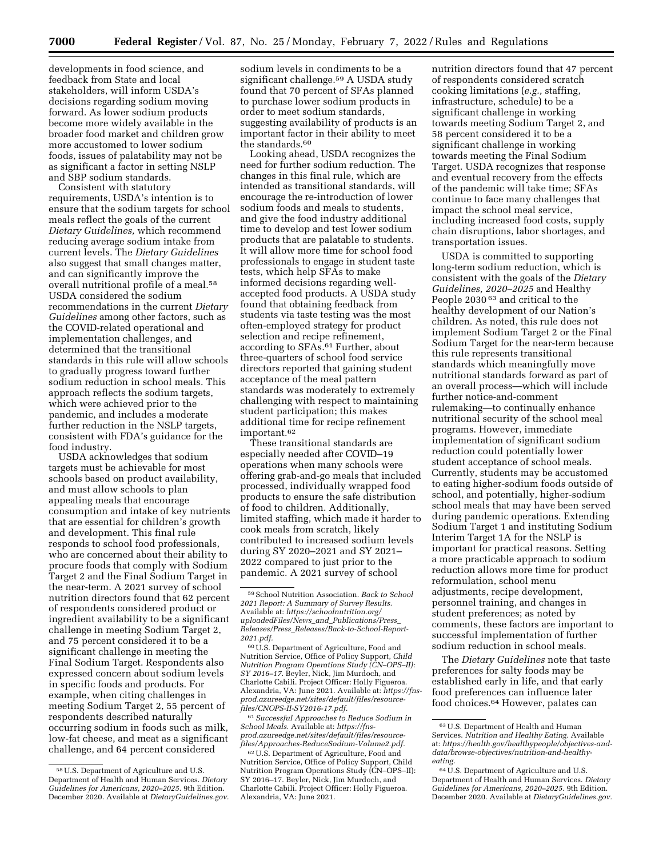developments in food science, and feedback from State and local stakeholders, will inform USDA's decisions regarding sodium moving forward. As lower sodium products become more widely available in the broader food market and children grow more accustomed to lower sodium foods, issues of palatability may not be as significant a factor in setting NSLP and SBP sodium standards.

Consistent with statutory requirements, USDA's intention is to ensure that the sodium targets for school meals reflect the goals of the current *Dietary Guidelines,* which recommend reducing average sodium intake from current levels. The *Dietary Guidelines*  also suggest that small changes matter, and can significantly improve the overall nutritional profile of a meal.<sup>58</sup> USDA considered the sodium recommendations in the current *Dietary Guidelines* among other factors, such as the COVID-related operational and implementation challenges, and determined that the transitional standards in this rule will allow schools to gradually progress toward further sodium reduction in school meals. This approach reflects the sodium targets, which were achieved prior to the pandemic, and includes a moderate further reduction in the NSLP targets, consistent with FDA's guidance for the food industry.

USDA acknowledges that sodium targets must be achievable for most schools based on product availability, and must allow schools to plan appealing meals that encourage consumption and intake of key nutrients that are essential for children's growth and development. This final rule responds to school food professionals, who are concerned about their ability to procure foods that comply with Sodium Target 2 and the Final Sodium Target in the near-term. A 2021 survey of school nutrition directors found that 62 percent of respondents considered product or ingredient availability to be a significant challenge in meeting Sodium Target 2, and 75 percent considered it to be a significant challenge in meeting the Final Sodium Target. Respondents also expressed concern about sodium levels in specific foods and products. For example, when citing challenges in meeting Sodium Target 2, 55 percent of respondents described naturally occurring sodium in foods such as milk, low-fat cheese, and meat as a significant challenge, and 64 percent considered

sodium levels in condiments to be a significant challenge.59 A USDA study found that 70 percent of SFAs planned to purchase lower sodium products in order to meet sodium standards, suggesting availability of products is an important factor in their ability to meet the standards.<sup>60</sup>

Looking ahead, USDA recognizes the need for further sodium reduction. The changes in this final rule, which are intended as transitional standards, will encourage the re-introduction of lower sodium foods and meals to students, and give the food industry additional time to develop and test lower sodium products that are palatable to students. It will allow more time for school food professionals to engage in student taste tests, which help SFAs to make informed decisions regarding wellaccepted food products. A USDA study found that obtaining feedback from students via taste testing was the most often-employed strategy for product selection and recipe refinement, according to SFAs.61 Further, about three-quarters of school food service directors reported that gaining student acceptance of the meal pattern standards was moderately to extremely challenging with respect to maintaining student participation; this makes additional time for recipe refinement important.62

These transitional standards are especially needed after COVID–19 operations when many schools were offering grab-and-go meals that included processed, individually wrapped food products to ensure the safe distribution of food to children. Additionally, limited staffing, which made it harder to cook meals from scratch, likely contributed to increased sodium levels during SY 2020–2021 and SY 2021– 2022 compared to just prior to the pandemic. A 2021 survey of school

60U.S. Department of Agriculture, Food and Nutrition Service, Office of Policy Support, *Child Nutrition Program Operations Study (CN–OPS–II): SY 2016–17.* Beyler, Nick, Jim Murdoch, and Charlotte Cabili. Project Officer: Holly Figueroa. Alexandria, VA: June 2021. Available at: *[https://fns](https://fns-prod.azureedge.net/sites/default/files/resource-files/CNOPS-II-SY2016-17.pdf)[prod.azureedge.net/sites/default/files/resource](https://fns-prod.azureedge.net/sites/default/files/resource-files/CNOPS-II-SY2016-17.pdf)[files/CNOPS-II-SY2016-17.pdf.](https://fns-prod.azureedge.net/sites/default/files/resource-files/CNOPS-II-SY2016-17.pdf)* 

61*Successful Approaches to Reduce Sodium in School Meals.* Available at: *[https://fns](https://fns-prod.azureedge.net/sites/default/files/resource-files/Approaches-ReduceSodium-Volume2.pdf)[prod.azureedge.net/sites/default/files/resource](https://fns-prod.azureedge.net/sites/default/files/resource-files/Approaches-ReduceSodium-Volume2.pdf)[files/Approaches-ReduceSodium-Volume2.pdf.](https://fns-prod.azureedge.net/sites/default/files/resource-files/Approaches-ReduceSodium-Volume2.pdf)* 

62U.S. Department of Agriculture, Food and Nutrition Service, Office of Policy Support, Child Nutrition Program Operations Study (CN–OPS–II): SY 2016–17. Beyler, Nick, Jim Murdoch, and Charlotte Cabili. Project Officer: Holly Figueroa. Alexandria, VA: June 2021.

nutrition directors found that 47 percent of respondents considered scratch cooking limitations (*e.g.,* staffing, infrastructure, schedule) to be a significant challenge in working towards meeting Sodium Target 2, and 58 percent considered it to be a significant challenge in working towards meeting the Final Sodium Target. USDA recognizes that response and eventual recovery from the effects of the pandemic will take time; SFAs continue to face many challenges that impact the school meal service, including increased food costs, supply chain disruptions, labor shortages, and transportation issues.

USDA is committed to supporting long-term sodium reduction, which is consistent with the goals of the *Dietary Guidelines, 2020–2025* and Healthy People 2030 63 and critical to the healthy development of our Nation's children. As noted, this rule does not implement Sodium Target 2 or the Final Sodium Target for the near-term because this rule represents transitional standards which meaningfully move nutritional standards forward as part of an overall process—which will include further notice-and-comment rulemaking—to continually enhance nutritional security of the school meal programs. However, immediate implementation of significant sodium reduction could potentially lower student acceptance of school meals. Currently, students may be accustomed to eating higher-sodium foods outside of school, and potentially, higher-sodium school meals that may have been served during pandemic operations. Extending Sodium Target 1 and instituting Sodium Interim Target 1A for the NSLP is important for practical reasons. Setting a more practicable approach to sodium reduction allows more time for product reformulation, school menu adjustments, recipe development, personnel training, and changes in student preferences; as noted by comments, these factors are important to successful implementation of further sodium reduction in school meals.

The *Dietary Guidelines* note that taste preferences for salty foods may be established early in life, and that early food preferences can influence later food choices.64 However, palates can

<sup>58</sup>U.S. Department of Agriculture and U.S. Department of Health and Human Services. *Dietary Guidelines for Americans, 2020–2025.* 9th Edition. December 2020. Available at *DietaryGuidelines.gov.* 

<sup>59</sup>School Nutrition Association. *Back to School 2021 Report: A Summary of Survey Results.*  Available at: *[https://schoolnutrition.org/](https://schoolnutrition.org/uploadedFiles/News_and_Publications/Press_Releases/Press_Releases/Back-to-School-Report-2021.pdf) [uploadedFiles/News](https://schoolnutrition.org/uploadedFiles/News_and_Publications/Press_Releases/Press_Releases/Back-to-School-Report-2021.pdf)*\_*and*\_*Publications/Press*\_ *Releases/Press*\_*[Releases/Back-to-School-Report-](https://schoolnutrition.org/uploadedFiles/News_and_Publications/Press_Releases/Press_Releases/Back-to-School-Report-2021.pdf)[2021.pdf.](https://schoolnutrition.org/uploadedFiles/News_and_Publications/Press_Releases/Press_Releases/Back-to-School-Report-2021.pdf)* 

<sup>63</sup>U.S. Department of Health and Human Services. *Nutrition and Healthy Eating.* Available at: *[https://health.gov/healthypeople/objectives-and](https://health.gov/healthypeople/objectives-and-data/browse-objectives/nutrition-and-healthy-eating)[data/browse-objectives/nutrition-and-healthy](https://health.gov/healthypeople/objectives-and-data/browse-objectives/nutrition-and-healthy-eating)[eating.](https://health.gov/healthypeople/objectives-and-data/browse-objectives/nutrition-and-healthy-eating)* 

<sup>64</sup>U.S. Department of Agriculture and U.S. Department of Health and Human Services. *Dietary Guidelines for Americans, 2020–2025.* 9th Edition. December 2020. Available at *DietaryGuidelines.gov.*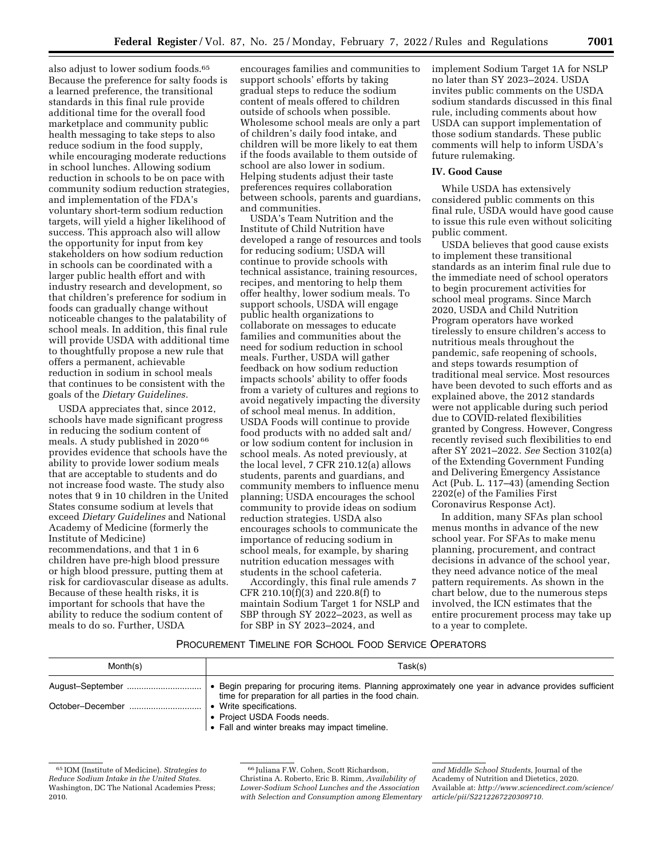also adjust to lower sodium foods.65 Because the preference for salty foods is a learned preference, the transitional standards in this final rule provide additional time for the overall food marketplace and community public health messaging to take steps to also reduce sodium in the food supply, while encouraging moderate reductions in school lunches. Allowing sodium reduction in schools to be on pace with community sodium reduction strategies, and implementation of the FDA's voluntary short-term sodium reduction targets, will yield a higher likelihood of success. This approach also will allow the opportunity for input from key stakeholders on how sodium reduction in schools can be coordinated with a larger public health effort and with industry research and development, so that children's preference for sodium in foods can gradually change without noticeable changes to the palatability of school meals. In addition, this final rule will provide USDA with additional time to thoughtfully propose a new rule that offers a permanent, achievable reduction in sodium in school meals that continues to be consistent with the goals of the *Dietary Guidelines.* 

USDA appreciates that, since 2012, schools have made significant progress in reducing the sodium content of meals. A study published in 2020 66 provides evidence that schools have the ability to provide lower sodium meals that are acceptable to students and do not increase food waste. The study also notes that 9 in 10 children in the United States consume sodium at levels that exceed *Dietary Guidelines* and National Academy of Medicine (formerly the Institute of Medicine) recommendations, and that 1 in 6 children have pre-high blood pressure or high blood pressure, putting them at risk for cardiovascular disease as adults. Because of these health risks, it is important for schools that have the ability to reduce the sodium content of meals to do so. Further, USDA

encourages families and communities to support schools' efforts by taking gradual steps to reduce the sodium content of meals offered to children outside of schools when possible. Wholesome school meals are only a part of children's daily food intake, and children will be more likely to eat them if the foods available to them outside of school are also lower in sodium. Helping students adjust their taste preferences requires collaboration between schools, parents and guardians, and communities.

USDA's Team Nutrition and the Institute of Child Nutrition have developed a range of resources and tools for reducing sodium; USDA will continue to provide schools with technical assistance, training resources, recipes, and mentoring to help them offer healthy, lower sodium meals. To support schools, USDA will engage public health organizations to collaborate on messages to educate families and communities about the need for sodium reduction in school meals. Further, USDA will gather feedback on how sodium reduction impacts schools' ability to offer foods from a variety of cultures and regions to avoid negatively impacting the diversity of school meal menus. In addition, USDA Foods will continue to provide food products with no added salt and/ or low sodium content for inclusion in school meals. As noted previously, at the local level, 7 CFR 210.12(a) allows students, parents and guardians, and community members to influence menu planning; USDA encourages the school community to provide ideas on sodium reduction strategies. USDA also encourages schools to communicate the importance of reducing sodium in school meals, for example, by sharing nutrition education messages with students in the school cafeteria.

Accordingly, this final rule amends 7 CFR 210.10(f)(3) and 220.8(f) to maintain Sodium Target 1 for NSLP and SBP through SY 2022–2023, as well as for SBP in SY 2023–2024, and

implement Sodium Target 1A for NSLP no later than SY 2023–2024. USDA invites public comments on the USDA sodium standards discussed in this final rule, including comments about how USDA can support implementation of those sodium standards. These public comments will help to inform USDA's future rulemaking.

## **IV. Good Cause**

While USDA has extensively considered public comments on this final rule, USDA would have good cause to issue this rule even without soliciting public comment.

USDA believes that good cause exists to implement these transitional standards as an interim final rule due to the immediate need of school operators to begin procurement activities for school meal programs. Since March 2020, USDA and Child Nutrition Program operators have worked tirelessly to ensure children's access to nutritious meals throughout the pandemic, safe reopening of schools, and steps towards resumption of traditional meal service. Most resources have been devoted to such efforts and as explained above, the 2012 standards were not applicable during such period due to COVID-related flexibilities granted by Congress. However, Congress recently revised such flexibilities to end after SY 2021–2022. *See* Section 3102(a) of the Extending Government Funding and Delivering Emergency Assistance Act (Pub. L. 117–43) (amending Section 2202(e) of the Families First Coronavirus Response Act).

In addition, many SFAs plan school menus months in advance of the new school year. For SFAs to make menu planning, procurement, and contract decisions in advance of the school year, they need advance notice of the meal pattern requirements. As shown in the chart below, due to the numerous steps involved, the ICN estimates that the entire procurement process may take up to a year to complete.

### PROCUREMENT TIMELINE FOR SCHOOL FOOD SERVICE OPERATORS

| Month(s) | Task(s)                                                                                                                                                          |
|----------|------------------------------------------------------------------------------------------------------------------------------------------------------------------|
|          | • Begin preparing for procuring items. Planning approximately one year in advance provides sufficient<br>time for preparation for all parties in the food chain. |
|          | • Write specifications.<br>• Project USDA Foods needs.<br>• Fall and winter breaks may impact timeline.                                                          |

<sup>65</sup> IOM (Institute of Medicine). *Strategies to Reduce Sodium Intake in the United States.*  Washington, DC The National Academies Press; 2010.

66 Juliana F.W. Cohen, Scott Richardson, Christina A. Roberto, Eric B. Rimm, *Availability of Lower-Sodium School Lunches and the Association with Selection and Consumption among Elementary* 

*and Middle School Students,* Journal of the Academy of Nutrition and Dietetics, 2020. Available at: *[http://www.sciencedirect.com/science/](http://www.sciencedirect.com/science/article/pii/S2212267220309710)  [article/pii/S2212267220309710.](http://www.sciencedirect.com/science/article/pii/S2212267220309710)*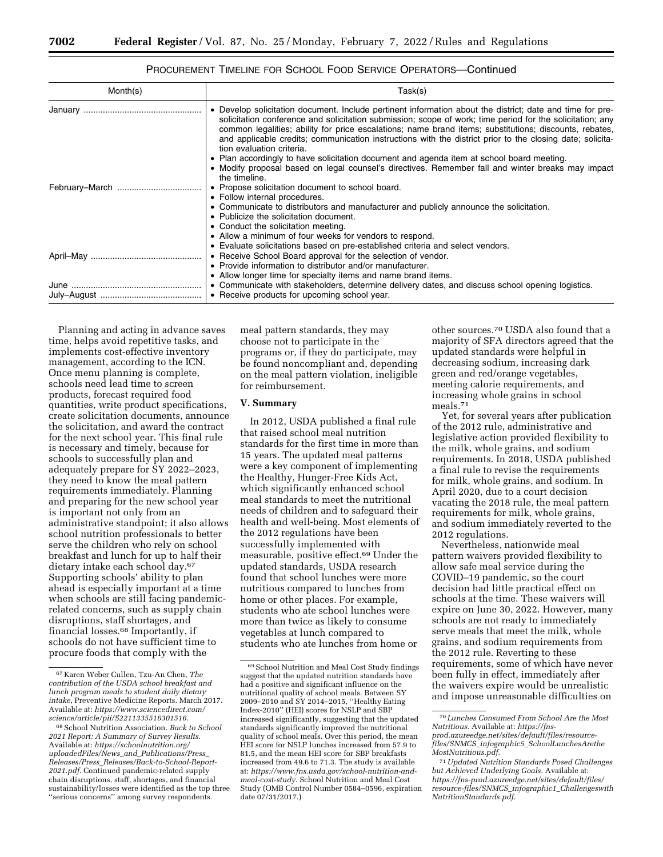## PROCUREMENT TIMELINE FOR SCHOOL FOOD SERVICE OPERATORS—Continued

| Month(s) | Task(s)                                                                                                                                                                                                                                                                                                                                                                                                                                                                                                                                                                                                                                                                                       |
|----------|-----------------------------------------------------------------------------------------------------------------------------------------------------------------------------------------------------------------------------------------------------------------------------------------------------------------------------------------------------------------------------------------------------------------------------------------------------------------------------------------------------------------------------------------------------------------------------------------------------------------------------------------------------------------------------------------------|
|          | • Develop solicitation document. Include pertinent information about the district; date and time for pre-<br>solicitation conference and solicitation submission; scope of work; time period for the solicitation; any<br>common legalities; ability for price escalations; name brand items; substitutions; discounts, rebates,<br>and applicable credits; communication instructions with the district prior to the closing date; solicita-<br>tion evaluation criteria.<br>• Plan accordingly to have solicitation document and agenda item at school board meeting.<br>• Modify proposal based on legal counsel's directives. Remember fall and winter breaks may impact<br>the timeline. |
|          | • Propose solicitation document to school board.<br>• Follow internal procedures.<br>• Communicate to distributors and manufacturer and publicly announce the solicitation.<br>• Publicize the solicitation document.<br>• Conduct the solicitation meeting.<br>• Allow a minimum of four weeks for vendors to respond.<br>• Evaluate solicitations based on pre-established criteria and select vendors.                                                                                                                                                                                                                                                                                     |
|          | • Receive School Board approval for the selection of vendor.<br>• Provide information to distributor and/or manufacturer.<br>• Allow longer time for specialty items and name brand items.                                                                                                                                                                                                                                                                                                                                                                                                                                                                                                    |
|          | • Communicate with stakeholders, determine delivery dates, and discuss school opening logistics.<br>• Receive products for upcoming school year.                                                                                                                                                                                                                                                                                                                                                                                                                                                                                                                                              |

Planning and acting in advance saves time, helps avoid repetitive tasks, and implements cost-effective inventory management, according to the ICN. Once menu planning is complete, schools need lead time to screen products, forecast required food quantities, write product specifications, create solicitation documents, announce the solicitation, and award the contract for the next school year. This final rule is necessary and timely, because for schools to successfully plan and adequately prepare for SY 2022–2023, they need to know the meal pattern requirements immediately. Planning and preparing for the new school year is important not only from an administrative standpoint; it also allows school nutrition professionals to better serve the children who rely on school breakfast and lunch for up to half their dietary intake each school day.67 Supporting schools' ability to plan ahead is especially important at a time when schools are still facing pandemicrelated concerns, such as supply chain disruptions, staff shortages, and financial losses.68 Importantly, if schools do not have sufficient time to procure foods that comply with the

meal pattern standards, they may choose not to participate in the programs or, if they do participate, may be found noncompliant and, depending on the meal pattern violation, ineligible for reimbursement.

## **V. Summary**

In 2012, USDA published a final rule that raised school meal nutrition standards for the first time in more than 15 years. The updated meal patterns were a key component of implementing the Healthy, Hunger-Free Kids Act, which significantly enhanced school meal standards to meet the nutritional needs of children and to safeguard their health and well-being. Most elements of the 2012 regulations have been successfully implemented with measurable, positive effect.69 Under the updated standards, USDA research found that school lunches were more nutritious compared to lunches from home or other places. For example, students who ate school lunches were more than twice as likely to consume vegetables at lunch compared to students who ate lunches from home or

other sources.70 USDA also found that a majority of SFA directors agreed that the updated standards were helpful in decreasing sodium, increasing dark green and red/orange vegetables, meeting calorie requirements, and increasing whole grains in school meals.71

Yet, for several years after publication of the 2012 rule, administrative and legislative action provided flexibility to the milk, whole grains, and sodium requirements. In 2018, USDA published a final rule to revise the requirements for milk, whole grains, and sodium. In April 2020, due to a court decision vacating the 2018 rule, the meal pattern requirements for milk, whole grains, and sodium immediately reverted to the 2012 regulations.

Nevertheless, nationwide meal pattern waivers provided flexibility to allow safe meal service during the COVID–19 pandemic, so the court decision had little practical effect on schools at the time. These waivers will expire on June 30, 2022. However, many schools are not ready to immediately serve meals that meet the milk, whole grains, and sodium requirements from the 2012 rule. Reverting to these requirements, some of which have never been fully in effect, immediately after the waivers expire would be unrealistic and impose unreasonable difficulties on

<sup>67</sup> Karen Weber Cullen, Tzu-An Chen, *The contribution of the USDA school breakfast and lunch program meals to student daily dietary intake,* Preventive Medicine Reports. March 2017. Available at: *[https://www.sciencedirect.com/](https://www.sciencedirect.com/science/article/pii/S2211335516301516) [science/article/pii/S2211335516301516.](https://www.sciencedirect.com/science/article/pii/S2211335516301516)* 

<sup>68</sup>School Nutrition Association. *Back to School 2021 Report: A Summary of Survey Results.*  Available at: *[https://schoolnutrition.org/](https://schoolnutrition.org/uploadedFiles/News_and_Publications/Press_Releases/Press_Releases/Back-to-School-Report-2021.pdf) [uploadedFiles/News](https://schoolnutrition.org/uploadedFiles/News_and_Publications/Press_Releases/Press_Releases/Back-to-School-Report-2021.pdf)*\_*and*\_*Publications/Press*\_ *Releases/Press*\_*[Releases/Back-to-School-Report-](https://schoolnutrition.org/uploadedFiles/News_and_Publications/Press_Releases/Press_Releases/Back-to-School-Report-2021.pdf)[2021.pdf.](https://schoolnutrition.org/uploadedFiles/News_and_Publications/Press_Releases/Press_Releases/Back-to-School-Report-2021.pdf)* Continued pandemic-related supply chain disruptions, staff, shortages, and financial sustainability/losses were identified as the top three ''serious concerns'' among survey respondents.

<sup>69</sup>School Nutrition and Meal Cost Study findings suggest that the updated nutrition standards have had a positive and significant influence on the nutritional quality of school meals. Between SY 2009–2010 and SY 2014–2015, ''Healthy Eating Index-2010'' (HEI) scores for NSLP and SBP increased significantly, suggesting that the updated standards significantly improved the nutritional quality of school meals. Over this period, the mean HEI score for NSLP lunches increased from 57.9 to 81.5, and the mean HEI score for SBP breakfasts increased from 49.6 to 71.3. The study is available at: *[https://www.fns.usda.gov/school-nutrition-and](https://www.fns.usda.gov/school-nutrition-and-meal-cost-study)[meal-cost-study.](https://www.fns.usda.gov/school-nutrition-and-meal-cost-study)* School Nutrition and Meal Cost Study (OMB Control Number 0584–0596, expiration date 07/31/2017.)

<sup>70</sup> *Lunches Consumed From School Are the Most Nutritious.* Available at: *[https://fns](https://fns-prod.azureedge.net/sites/default/files/resource-files/SNMCS_infographic5_SchoolLunchesAretheMostNutritious.pdf)[prod.azureedge.net/sites/default/files/resource](https://fns-prod.azureedge.net/sites/default/files/resource-files/SNMCS_infographic5_SchoolLunchesAretheMostNutritious.pdf)files/SNMCS*\_*infographic5*\_*[SchoolLunchesArethe](https://fns-prod.azureedge.net/sites/default/files/resource-files/SNMCS_infographic5_SchoolLunchesAretheMostNutritious.pdf) [MostNutritious.pdf](https://fns-prod.azureedge.net/sites/default/files/resource-files/SNMCS_infographic5_SchoolLunchesAretheMostNutritious.pdf)*.

<sup>71</sup>*Updated Nutrition Standards Posed Challenges but Achieved Underlying Goals.* Available at: *[https://fns-prod.azureedge.net/sites/default/files/](https://fns-prod.azureedge.net/sites/default/files/resource-files/SNMCS_infographic1_ChallengeswithNutritionStandards.pdf)  [resource-files/SNMCS](https://fns-prod.azureedge.net/sites/default/files/resource-files/SNMCS_infographic1_ChallengeswithNutritionStandards.pdf)*\_*infographic1*\_*Challengeswith [NutritionStandards.pdf](https://fns-prod.azureedge.net/sites/default/files/resource-files/SNMCS_infographic1_ChallengeswithNutritionStandards.pdf)*.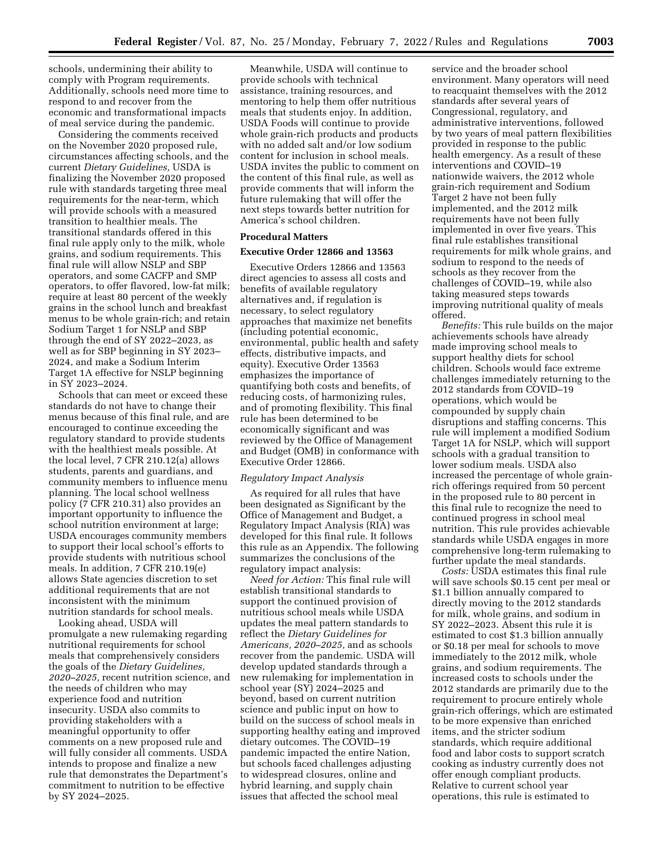schools, undermining their ability to comply with Program requirements. Additionally, schools need more time to respond to and recover from the economic and transformational impacts of meal service during the pandemic.

Considering the comments received on the November 2020 proposed rule, circumstances affecting schools, and the current *Dietary Guidelines,* USDA is finalizing the November 2020 proposed rule with standards targeting three meal requirements for the near-term, which will provide schools with a measured transition to healthier meals. The transitional standards offered in this final rule apply only to the milk, whole grains, and sodium requirements. This final rule will allow NSLP and SBP operators, and some CACFP and SMP operators, to offer flavored, low-fat milk; require at least 80 percent of the weekly grains in the school lunch and breakfast menus to be whole grain-rich; and retain Sodium Target 1 for NSLP and SBP through the end of SY 2022–2023, as well as for SBP beginning in SY 2023– 2024, and make a Sodium Interim Target 1A effective for NSLP beginning in SY 2023–2024.

Schools that can meet or exceed these standards do not have to change their menus because of this final rule, and are encouraged to continue exceeding the regulatory standard to provide students with the healthiest meals possible. At the local level, 7 CFR 210.12(a) allows students, parents and guardians, and community members to influence menu planning. The local school wellness policy (7 CFR 210.31) also provides an important opportunity to influence the school nutrition environment at large; USDA encourages community members to support their local school's efforts to provide students with nutritious school meals. In addition, 7 CFR 210.19(e) allows State agencies discretion to set additional requirements that are not inconsistent with the minimum nutrition standards for school meals.

Looking ahead, USDA will promulgate a new rulemaking regarding nutritional requirements for school meals that comprehensively considers the goals of the *Dietary Guidelines, 2020–2025,* recent nutrition science, and the needs of children who may experience food and nutrition insecurity. USDA also commits to providing stakeholders with a meaningful opportunity to offer comments on a new proposed rule and will fully consider all comments. USDA intends to propose and finalize a new rule that demonstrates the Department's commitment to nutrition to be effective by SY 2024–2025.

Meanwhile, USDA will continue to provide schools with technical assistance, training resources, and mentoring to help them offer nutritious meals that students enjoy. In addition, USDA Foods will continue to provide whole grain-rich products and products with no added salt and/or low sodium content for inclusion in school meals. USDA invites the public to comment on the content of this final rule, as well as provide comments that will inform the future rulemaking that will offer the next steps towards better nutrition for America's school children.

## **Procedural Matters**

### **Executive Order 12866 and 13563**

Executive Orders 12866 and 13563 direct agencies to assess all costs and benefits of available regulatory alternatives and, if regulation is necessary, to select regulatory approaches that maximize net benefits (including potential economic, environmental, public health and safety effects, distributive impacts, and equity). Executive Order 13563 emphasizes the importance of quantifying both costs and benefits, of reducing costs, of harmonizing rules, and of promoting flexibility. This final rule has been determined to be economically significant and was reviewed by the Office of Management and Budget (OMB) in conformance with Executive Order 12866.

#### *Regulatory Impact Analysis*

As required for all rules that have been designated as Significant by the Office of Management and Budget, a Regulatory Impact Analysis (RIA) was developed for this final rule. It follows this rule as an Appendix. The following summarizes the conclusions of the regulatory impact analysis:

*Need for Action:* This final rule will establish transitional standards to support the continued provision of nutritious school meals while USDA updates the meal pattern standards to reflect the *Dietary Guidelines for Americans, 2020–2025,* and as schools recover from the pandemic. USDA will develop updated standards through a new rulemaking for implementation in school year (SY) 2024–2025 and beyond, based on current nutrition science and public input on how to build on the success of school meals in supporting healthy eating and improved dietary outcomes. The COVID–19 pandemic impacted the entire Nation, but schools faced challenges adjusting to widespread closures, online and hybrid learning, and supply chain issues that affected the school meal

service and the broader school environment. Many operators will need to reacquaint themselves with the 2012 standards after several years of Congressional, regulatory, and administrative interventions, followed by two years of meal pattern flexibilities provided in response to the public health emergency. As a result of these interventions and COVID–19 nationwide waivers, the 2012 whole grain-rich requirement and Sodium Target 2 have not been fully implemented, and the 2012 milk requirements have not been fully implemented in over five years. This final rule establishes transitional requirements for milk whole grains, and sodium to respond to the needs of schools as they recover from the challenges of COVID–19, while also taking measured steps towards improving nutritional quality of meals offered.

*Benefits:* This rule builds on the major achievements schools have already made improving school meals to support healthy diets for school children. Schools would face extreme challenges immediately returning to the 2012 standards from COVID–19 operations, which would be compounded by supply chain disruptions and staffing concerns. This rule will implement a modified Sodium Target 1A for NSLP, which will support schools with a gradual transition to lower sodium meals. USDA also increased the percentage of whole grainrich offerings required from 50 percent in the proposed rule to 80 percent in this final rule to recognize the need to continued progress in school meal nutrition. This rule provides achievable standards while USDA engages in more comprehensive long-term rulemaking to further update the meal standards.

*Costs:* USDA estimates this final rule will save schools \$0.15 cent per meal or \$1.1 billion annually compared to directly moving to the 2012 standards for milk, whole grains, and sodium in SY 2022–2023. Absent this rule it is estimated to cost \$1.3 billion annually or \$0.18 per meal for schools to move immediately to the 2012 milk, whole grains, and sodium requirements. The increased costs to schools under the 2012 standards are primarily due to the requirement to procure entirely whole grain-rich offerings, which are estimated to be more expensive than enriched items, and the stricter sodium standards, which require additional food and labor costs to support scratch cooking as industry currently does not offer enough compliant products. Relative to current school year operations, this rule is estimated to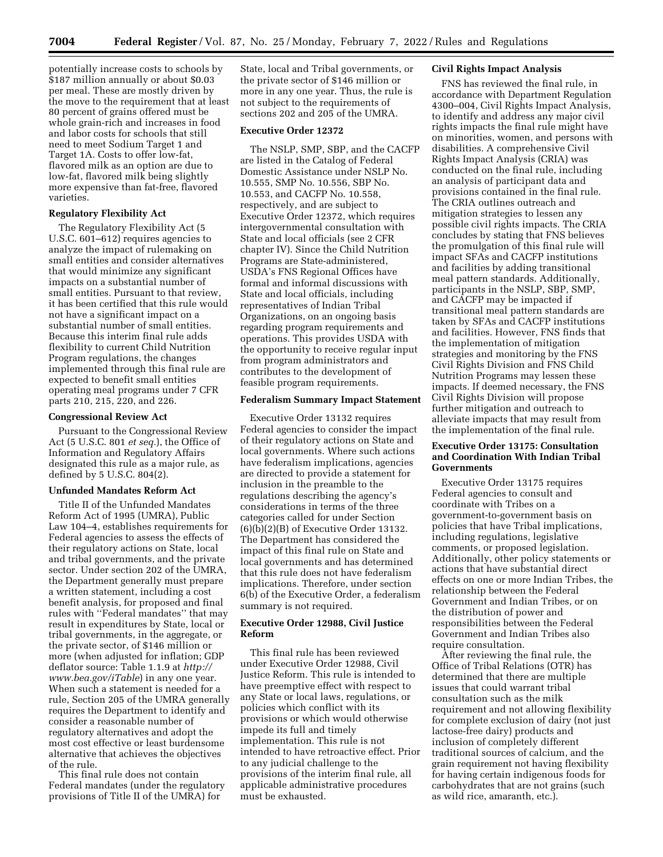potentially increase costs to schools by \$187 million annually or about \$0.03 per meal. These are mostly driven by the move to the requirement that at least 80 percent of grains offered must be whole grain-rich and increases in food and labor costs for schools that still need to meet Sodium Target 1 and Target 1A. Costs to offer low-fat, flavored milk as an option are due to low-fat, flavored milk being slightly more expensive than fat-free, flavored varieties.

## **Regulatory Flexibility Act**

The Regulatory Flexibility Act (5 U.S.C. 601–612) requires agencies to analyze the impact of rulemaking on small entities and consider alternatives that would minimize any significant impacts on a substantial number of small entities. Pursuant to that review, it has been certified that this rule would not have a significant impact on a substantial number of small entities. Because this interim final rule adds flexibility to current Child Nutrition Program regulations, the changes implemented through this final rule are expected to benefit small entities operating meal programs under 7 CFR parts 210, 215, 220, and 226.

#### **Congressional Review Act**

Pursuant to the Congressional Review Act (5 U.S.C. 801 *et seq.*), the Office of Information and Regulatory Affairs designated this rule as a major rule, as defined by 5 U.S.C. 804(2).

## **Unfunded Mandates Reform Act**

Title II of the Unfunded Mandates Reform Act of 1995 (UMRA), Public Law 104–4, establishes requirements for Federal agencies to assess the effects of their regulatory actions on State, local and tribal governments, and the private sector. Under section 202 of the UMRA, the Department generally must prepare a written statement, including a cost benefit analysis, for proposed and final rules with ''Federal mandates'' that may result in expenditures by State, local or tribal governments, in the aggregate, or the private sector, of \$146 million or more (when adjusted for inflation; GDP deflator source: Table 1.1.9 at *[http://](http://www.bea.gov/iTable) [www.bea.gov/iTable](http://www.bea.gov/iTable)*) in any one year. When such a statement is needed for a rule, Section 205 of the UMRA generally requires the Department to identify and consider a reasonable number of regulatory alternatives and adopt the most cost effective or least burdensome alternative that achieves the objectives of the rule.

This final rule does not contain Federal mandates (under the regulatory provisions of Title II of the UMRA) for

State, local and Tribal governments, or the private sector of \$146 million or more in any one year. Thus, the rule is not subject to the requirements of sections 202 and 205 of the UMRA.

### **Executive Order 12372**

The NSLP, SMP, SBP, and the CACFP are listed in the Catalog of Federal Domestic Assistance under NSLP No. 10.555, SMP No. 10.556, SBP No. 10.553, and CACFP No. 10.558, respectively, and are subject to Executive Order 12372, which requires intergovernmental consultation with State and local officials (see 2 CFR chapter IV). Since the Child Nutrition Programs are State-administered, USDA's FNS Regional Offices have formal and informal discussions with State and local officials, including representatives of Indian Tribal Organizations, on an ongoing basis regarding program requirements and operations. This provides USDA with the opportunity to receive regular input from program administrators and contributes to the development of feasible program requirements.

### **Federalism Summary Impact Statement**

Executive Order 13132 requires Federal agencies to consider the impact of their regulatory actions on State and local governments. Where such actions have federalism implications, agencies are directed to provide a statement for inclusion in the preamble to the regulations describing the agency's considerations in terms of the three categories called for under Section (6)(b)(2)(B) of Executive Order 13132. The Department has considered the impact of this final rule on State and local governments and has determined that this rule does not have federalism implications. Therefore, under section 6(b) of the Executive Order, a federalism summary is not required.

## **Executive Order 12988, Civil Justice Reform**

This final rule has been reviewed under Executive Order 12988, Civil Justice Reform. This rule is intended to have preemptive effect with respect to any State or local laws, regulations, or policies which conflict with its provisions or which would otherwise impede its full and timely implementation. This rule is not intended to have retroactive effect. Prior to any judicial challenge to the provisions of the interim final rule, all applicable administrative procedures must be exhausted.

## **Civil Rights Impact Analysis**

FNS has reviewed the final rule, in accordance with Department Regulation 4300–004, Civil Rights Impact Analysis, to identify and address any major civil rights impacts the final rule might have on minorities, women, and persons with disabilities. A comprehensive Civil Rights Impact Analysis (CRIA) was conducted on the final rule, including an analysis of participant data and provisions contained in the final rule. The CRIA outlines outreach and mitigation strategies to lessen any possible civil rights impacts. The CRIA concludes by stating that FNS believes the promulgation of this final rule will impact SFAs and CACFP institutions and facilities by adding transitional meal pattern standards. Additionally, participants in the NSLP, SBP, SMP, and CACFP may be impacted if transitional meal pattern standards are taken by SFAs and CACFP institutions and facilities. However, FNS finds that the implementation of mitigation strategies and monitoring by the FNS Civil Rights Division and FNS Child Nutrition Programs may lessen these impacts. If deemed necessary, the FNS Civil Rights Division will propose further mitigation and outreach to alleviate impacts that may result from the implementation of the final rule.

## **Executive Order 13175: Consultation and Coordination With Indian Tribal Governments**

Executive Order 13175 requires Federal agencies to consult and coordinate with Tribes on a government-to-government basis on policies that have Tribal implications, including regulations, legislative comments, or proposed legislation. Additionally, other policy statements or actions that have substantial direct effects on one or more Indian Tribes, the relationship between the Federal Government and Indian Tribes, or on the distribution of power and responsibilities between the Federal Government and Indian Tribes also require consultation.

After reviewing the final rule, the Office of Tribal Relations (OTR) has determined that there are multiple issues that could warrant tribal consultation such as the milk requirement and not allowing flexibility for complete exclusion of dairy (not just lactose-free dairy) products and inclusion of completely different traditional sources of calcium, and the grain requirement not having flexibility for having certain indigenous foods for carbohydrates that are not grains (such as wild rice, amaranth, etc.).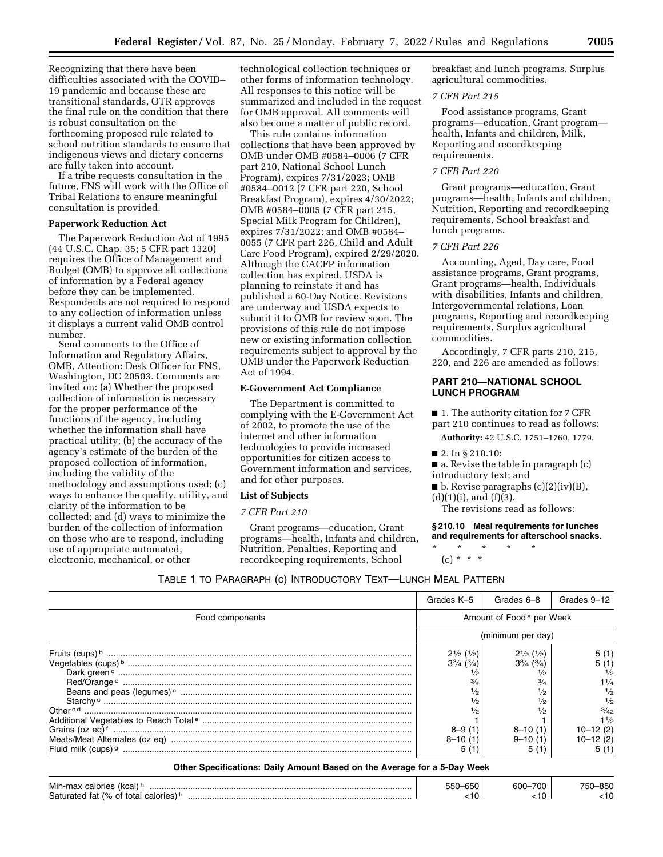Recognizing that there have been difficulties associated with the COVID– 19 pandemic and because these are transitional standards, OTR approves the final rule on the condition that there is robust consultation on the forthcoming proposed rule related to school nutrition standards to ensure that indigenous views and dietary concerns are fully taken into account.

If a tribe requests consultation in the future, FNS will work with the Office of Tribal Relations to ensure meaningful consultation is provided.

## **Paperwork Reduction Act**

The Paperwork Reduction Act of 1995 (44 U.S.C. Chap. 35; 5 CFR part 1320) requires the Office of Management and Budget (OMB) to approve all collections of information by a Federal agency before they can be implemented. Respondents are not required to respond to any collection of information unless it displays a current valid OMB control number.

Send comments to the Office of Information and Regulatory Affairs, OMB, Attention: Desk Officer for FNS, Washington, DC 20503. Comments are invited on: (a) Whether the proposed collection of information is necessary for the proper performance of the functions of the agency, including whether the information shall have practical utility; (b) the accuracy of the agency's estimate of the burden of the proposed collection of information, including the validity of the methodology and assumptions used; (c) ways to enhance the quality, utility, and clarity of the information to be collected; and (d) ways to minimize the burden of the collection of information on those who are to respond, including use of appropriate automated, electronic, mechanical, or other

technological collection techniques or other forms of information technology. All responses to this notice will be summarized and included in the request for OMB approval. All comments will also become a matter of public record.

This rule contains information collections that have been approved by OMB under OMB #0584–0006 (7 CFR part 210, National School Lunch Program), expires 7/31/2023; OMB #0584–0012 (7 CFR part 220, School Breakfast Program), expires 4/30/2022; OMB #0584–0005 (7 CFR part 215, Special Milk Program for Children), expires 7/31/2022; and OMB #0584– 0055 (7 CFR part 226, Child and Adult Care Food Program), expired 2/29/2020. Although the CACFP information collection has expired, USDA is planning to reinstate it and has published a 60-Day Notice. Revisions are underway and USDA expects to submit it to OMB for review soon. The provisions of this rule do not impose new or existing information collection requirements subject to approval by the OMB under the Paperwork Reduction Act of 1994.

#### **E-Government Act Compliance**

The Department is committed to complying with the E-Government Act of 2002, to promote the use of the internet and other information technologies to provide increased opportunities for citizen access to Government information and services, and for other purposes.

#### **List of Subjects**

### *7 CFR Part 210*

Grant programs—education, Grant programs—health, Infants and children, Nutrition, Penalties, Reporting and recordkeeping requirements, School

breakfast and lunch programs, Surplus agricultural commodities.

## *7 CFR Part 215*

Food assistance programs, Grant programs—education, Grant program health, Infants and children, Milk, Reporting and recordkeeping requirements.

## *7 CFR Part 220*

Grant programs—education, Grant programs—health, Infants and children, Nutrition, Reporting and recordkeeping requirements, School breakfast and lunch programs.

### *7 CFR Part 226*

Accounting, Aged, Day care, Food assistance programs, Grant programs, Grant programs—health, Individuals with disabilities, Infants and children, Intergovernmental relations, Loan programs, Reporting and recordkeeping requirements, Surplus agricultural commodities.

Accordingly, 7 CFR parts 210, 215, 220, and 226 are amended as follows:

### **PART 210—NATIONAL SCHOOL LUNCH PROGRAM**

■ 1. The authority citation for 7 CFR part 210 continues to read as follows:

**Authority:** 42 U.S.C. 1751–1760, 1779.

■ 2. In § 210.10:

- a. Revise the table in paragraph (c)
- introductory text; and
- $\blacksquare$  b. Revise paragraphs (c)(2)(iv)(B),
- $(d)(1)(i)$ , and  $(f)(3)$ .

The revisions read as follows:

#### **§ 210.10 Meal requirements for lunches and requirements for afterschool snacks.**

### \* \* \* \* \*  $(c) * * * *$

#### TABLE 1 TO PARAGRAPH (c) INTRODUCTORY TEXT—LUNCH MEAL PATTERN

|                 | Grades K-5                       | Grades 6-8                           | Grades 9–12    |
|-----------------|----------------------------------|--------------------------------------|----------------|
| Food components |                                  | Amount of Food <sup>a</sup> per Week |                |
|                 |                                  | (minimum per day)                    |                |
|                 | $2\frac{1}{2}$ ( $\frac{1}{2}$ ) | $2\frac{1}{2}$ ( $\frac{1}{2}$ )     | 5(1)           |
|                 | $3\frac{3}{4}$ ( $\frac{3}{4}$ ) | $3\frac{3}{4}$ ( $\frac{3}{4}$ )     | 5 (1)          |
|                 | $\frac{1}{2}$                    |                                      | $\frac{1}{2}$  |
|                 | $\frac{3}{4}$                    | 3/4                                  | 11/4           |
|                 | $\frac{1}{2}$                    | 1/2                                  | $\frac{1}{2}$  |
|                 | $\frac{1}{2}$                    | 1/2                                  | $\frac{1}{2}$  |
|                 | 1/2                              |                                      | $\frac{3}{42}$ |
|                 |                                  |                                      | $1\frac{1}{2}$ |
|                 | $8 - 9(1)$                       | $8 - 10(1)$                          | $10 - 12(2)$   |
|                 | $8 - 10(1)$                      | $9 - 10(1)$                          | $10 - 12(2)$   |
|                 |                                  | 5 (1)                                | 5(1)           |

| Min-<br>Jar   | 700 |  |
|---------------|-----|--|
| ı<br>.<br>--- |     |  |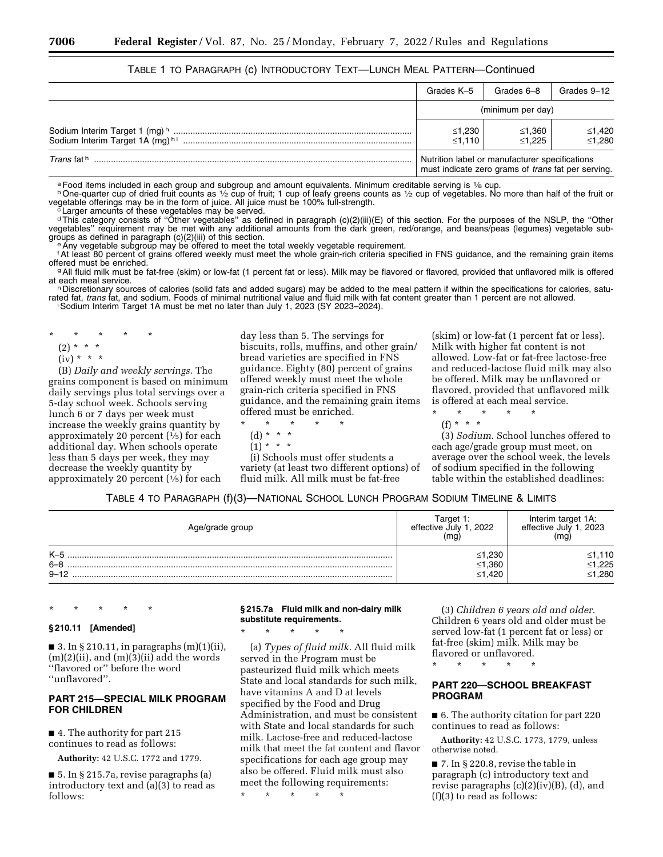|                                  | Grades K-5       | Grades 6-8                                                                                           | Grades 9-12      |
|----------------------------------|------------------|------------------------------------------------------------------------------------------------------|------------------|
|                                  |                  | (minimum per day)                                                                                    |                  |
| Sodium Interim Target 1A (mg) hi | ≤1,230<br>≤1.110 | ≤1,360<br>$≤1.225$                                                                                   | ≤1,420<br>≤1,280 |
| <i>Trans</i> fath                |                  | Nutrition label or manufacturer specifications<br>must indicate zero grams of trans fat per serving. |                  |

## TABLE 1 TO PARAGRAPH (c) INTRODUCTORY TEXT—LUNCH MEAL PATTERN—Continued

a Food items included in each group and subgroup and amount equivalents. Minimum creditable serving is 1⁄8 cup.<br>▷ One-quarter cup of dried fruit counts as 1∕2 cup of fruit; 1 cup of leafy greens counts as 1∕2 cup of veget vegetable offerings may be in the form of juice. All juice must be 100% full-strength.<br>c Larger amounts of these vegetables may be served.

dThis category consists of ''Other vegetables'' as defined in paragraph (c)(2)(iii)(E) of this section. For the purposes of the NSLP, the ''Other vegetables'' requirement may be met with any additional amounts from the dark green, red/orange, and beans/peas (legumes) vegetable subgroups as defined in paragraph (c)(2)(iii) of this section.<br>e Any vegetable subgroup may be offered to meet the total weekly vegetable requirement.

fAt least 80 percent of grains offered weekly must meet the whole grain-rich criteria specified in FNS guidance, and the remaining grain items

offered must be enriched.<br>gAll fluid milk must be fat-free (skim) or low-fat (1 percent fat or less). Milk may be flavored or flavored, provided that unflavored milk is offered<br>at each meal service.

at each meal service.<br>h Discretionary sources of calories (solid fats and added sugars) may be added to the meal pattern if within the specifications for calories, saturated fat, *trans* fat, and sodium. Foods of minimal nutritional value and fluid milk with fat content greater than 1 percent are not allowed.<br>Sodium Interim Target 1A must be met no later than July 1, 2023 (SY 2023–2024).

\* \* \* \* \*

- (2) \* \* \*
- (iv) \* \* \*

(B) *Daily and weekly servings.* The grains component is based on minimum daily servings plus total servings over a 5-day school week. Schools serving lunch 6 or 7 days per week must increase the weekly grains quantity by approximately 20 percent  $(1/5)$  for each additional day. When schools operate less than 5 days per week, they may decrease the weekly quantity by approximately 20 percent  $(\frac{1}{5})$  for each

day less than 5. The servings for biscuits, rolls, muffins, and other grain/ bread varieties are specified in FNS guidance. Eighty (80) percent of grains offered weekly must meet the whole grain-rich criteria specified in FNS guidance, and the remaining grain items offered must be enriched.

\* \* \* \* \*

- (d) \* \* \*
- $(1) * * * *$

(i) Schools must offer students a variety (at least two different options) of fluid milk. All milk must be fat-free

(skim) or low-fat (1 percent fat or less). Milk with higher fat content is not allowed. Low-fat or fat-free lactose-free and reduced-lactose fluid milk may also be offered. Milk may be unflavored or flavored, provided that unflavored milk is offered at each meal service.

- \* \* \* \* \*
- (f) \* \* \*

(3) *Sodium.* School lunches offered to each age/grade group must meet, on average over the school week, the levels of sodium specified in the following table within the established deadlines:

TABLE 4 TO PARAGRAPH (f)(3)—NATIONAL SCHOOL LUNCH PROGRAM SODIUM TIMELINE & LIMITS

| Age/grade group              | Target 1:<br>2022<br>effective<br>Julv<br>(mg | Interim target 1A:<br>.2023<br>effective Julv<br>(mg) |
|------------------------------|-----------------------------------------------|-------------------------------------------------------|
| $K-5$<br>$6 - 8$<br>$9 - 12$ | ≤1,230<br>≤1,360<br>$≤1.420$                  | ≤1,110<br>≤1,225<br>≤1,280                            |

#### **§ 210.11 [Amended]**

\* \* \* \* \*

■ 3. In § 210.11, in paragraphs (m)(1)(ii),  $(m)(2)(ii)$ , and  $(m)(3)(ii)$  add the words ''flavored or'' before the word ''unflavored''.

## **PART 215—SPECIAL MILK PROGRAM FOR CHILDREN**

■ 4. The authority for part 215 continues to read as follows:

**Authority:** 42 U.S.C. 1772 and 1779.

■ 5. In § 215.7a, revise paragraphs (a) introductory text and (a)(3) to read as follows:

### **§ 215.7a Fluid milk and non-dairy milk substitute requirements.**

\* \* \* \* \*

(a) *Types of fluid milk.* All fluid milk served in the Program must be pasteurized fluid milk which meets State and local standards for such milk, have vitamins A and D at levels specified by the Food and Drug Administration, and must be consistent with State and local standards for such milk. Lactose-free and reduced-lactose milk that meet the fat content and flavor specifications for each age group may also be offered. Fluid milk must also meet the following requirements:

\* \* \* \* \*

(3) *Children 6 years old and older.*  Children 6 years old and older must be served low-fat (1 percent fat or less) or fat-free (skim) milk. Milk may be flavored or unflavored.

\* \* \* \* \*

## **PART 220—SCHOOL BREAKFAST PROGRAM**

■ 6. The authority citation for part 220 continues to read as follows:

**Authority:** 42 U.S.C. 1773, 1779, unless otherwise noted.

■ 7. In § 220.8, revise the table in paragraph (c) introductory text and revise paragraphs (c)(2)(iv)(B), (d), and (f)(3) to read as follows: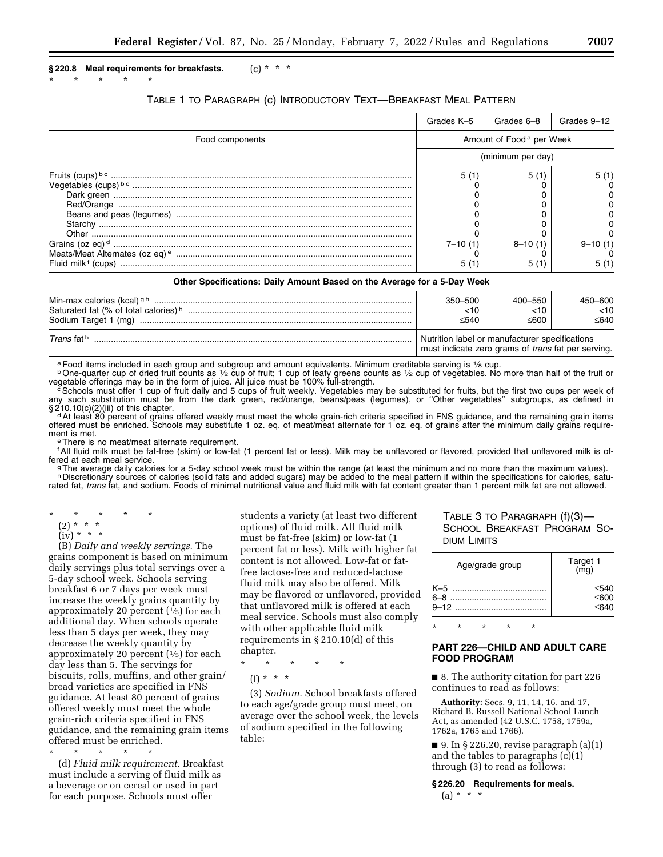#### **§ 220.8 Meal requirements for breakfasts.**   $(c) * * * *$

\* \* \* \* \*

## TABLE 1 TO PARAGRAPH (c) INTRODUCTORY TEXT—BREAKFAST MEAL PATTERN

|                 | Grades K-5                           | Grades 6-8        | Grades 9-12 |
|-----------------|--------------------------------------|-------------------|-------------|
| Food components | Amount of Food <sup>a</sup> per Week |                   |             |
|                 |                                      | (minimum per day) |             |
|                 |                                      | 5(1)              |             |
|                 |                                      |                   |             |
|                 |                                      |                   |             |
|                 |                                      |                   |             |
|                 |                                      |                   |             |
|                 |                                      |                   |             |
|                 |                                      |                   |             |
|                 | $7 - 10(1)$                          | $8 - 10(1)$       | $9 - 10(1)$ |
|                 |                                      |                   |             |
|                 | 5 (1                                 | 5(1)              | 5 (1)       |

**Other Specifications: Daily Amount Based on the Average for a 5-Day Week** 

| Min-max calories (kcal) gh<br>Saturated fat (% of total calories) <sup>h</sup><br>Sodium Target 1 (mg) | 350-500<br>$<$ 10<br>< 540 | 400-550<br>$<$ 10<br>≤600                                                                                   | 450-600<br>$<$ 10<br>≤640 |
|--------------------------------------------------------------------------------------------------------|----------------------------|-------------------------------------------------------------------------------------------------------------|---------------------------|
| <i>Trans</i> fat <sup>h</sup>                                                                          |                            | Nutrition label or manufacturer specifications<br>must indicate zero grams of <i>trans</i> fat per serving. |                           |

<sup>a</sup> Food items included in each group and subgroup and amount equivalents. Minimum creditable serving is 1/8 cup.<br><sup>b</sup> One-quarter cup of dried fruit counts as 1/2 cup of fruit; 1 cup of leafy greens counts as 1/2 cup of v

c Schools must offer 1 cup of fruit daily and 5 cups of fruit weekly. Vegetables may be substituted for fruits, but the first two cups per week of any such substitution must be from the dark green, red/orange, beans/peas (legumes), or "Other vegetables" subgroups, as defined in<br>§210.10(c)(2)(iii) of this chapter.

<sup>d</sup> At least 80 percent of grains offered weekly must meet the whole grain-rich criteria specified in FNS guidance, and the remaining grain items offered must be enriched. Schools may substitute 1 oz. eq. of meat/meat alternate for 1 oz. eq. of grains after the minimum daily grains require-<br>ment is met.

e There is no meat/meat alternate requirement.

fAll fluid milk must be fat-free (skim) or low-fat (1 percent fat or less). Milk may be unflavored or flavored, provided that unflavored milk is of-

fered at each meal service.<br>The average daily calories for a 5-day school week must be within the range (at least the minimum and no more than the maximum values).<br>hDiscretionary sources of calories (solid fats and added s rated fat, *trans* fat, and sodium. Foods of minimal nutritional value and fluid milk with fat content greater than 1 percent milk fat are not allowed.

| $\star$ |  | $\star$ $\star$ $\star$ $\star$ |  |
|---------|--|---------------------------------|--|
|         |  |                                 |  |

<sup>(2) \* \* \*</sup> 

(B) *Daily and weekly servings.* The grains component is based on minimum daily servings plus total servings over a 5-day school week. Schools serving breakfast 6 or 7 days per week must increase the weekly grains quantity by approximately 20 percent  $(1/5)$  for each additional day. When schools operate less than 5 days per week, they may decrease the weekly quantity by approximately 20 percent  $(1/5)$  for each day less than 5. The servings for biscuits, rolls, muffins, and other grain/ bread varieties are specified in FNS guidance. At least 80 percent of grains offered weekly must meet the whole grain-rich criteria specified in FNS guidance, and the remaining grain items offered must be enriched.

\* \* \* \* \* (d) *Fluid milk requirement.* Breakfast must include a serving of fluid milk as a beverage or on cereal or used in part for each purpose. Schools must offer

students a variety (at least two different options) of fluid milk. All fluid milk must be fat-free (skim) or low-fat (1 percent fat or less). Milk with higher fat content is not allowed. Low-fat or fatfree lactose-free and reduced-lactose fluid milk may also be offered. Milk may be flavored or unflavored, provided that unflavored milk is offered at each meal service. Schools must also comply with other applicable fluid milk requirements in § 210.10(d) of this chapter.

\* \* \* \* \*

 $(f) * * * *$ 

(3) *Sodium.* School breakfasts offered to each age/grade group must meet, on average over the school week, the levels of sodium specified in the following table:

## TABLE 3 TO PARAGRAPH (f)(3)— SCHOOL BREAKFAST PROGRAM SO-DIUM LIMITS

| Age/grade group | Target 1<br>(mg) |
|-----------------|------------------|
|                 | < 540            |
|                 | $<$ 600          |
|                 | $<$ 640          |

\* \* \* \* \*

## **PART 226—CHILD AND ADULT CARE FOOD PROGRAM**

■ 8. The authority citation for part 226 continues to read as follows:

**Authority:** Secs. 9, 11, 14, 16, and 17, Richard B. Russell National School Lunch Act, as amended (42 U.S.C. 1758, 1759a, 1762a, 1765 and 1766).

 $\blacksquare$  9. In § 226.20, revise paragraph (a)(1) and the tables to paragraphs (c)(1) through (3) to read as follows:

**§ 226.20 Requirements for meals.**   $(a) * * * *$ 

<sup>(</sup>iv) \* \* \*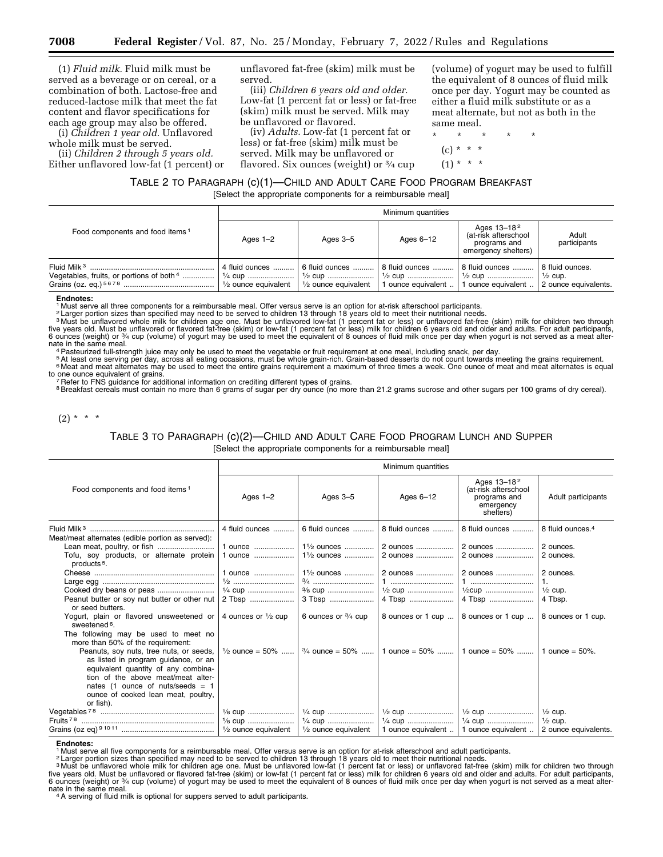(1) *Fluid milk.* Fluid milk must be served as a beverage or on cereal, or a combination of both. Lactose-free and reduced-lactose milk that meet the fat content and flavor specifications for each age group may also be offered.

(i) *Children 1 year old.* Unflavored whole milk must be served. (ii) *Children 2 through 5 years old.* 

Either unflavored low-fat (1 percent) or

unflavored fat-free (skim) milk must be served.

(iii) *Children 6 years old and older.*  Low-fat (1 percent fat or less) or fat-free (skim) milk must be served. Milk may be unflavored or flavored.

(iv) *Adults.* Low-fat (1 percent fat or less) or fat-free (skim) milk must be served. Milk may be unflavored or flavored. Six ounces (weight) or 3⁄4 cup (volume) of yogurt may be used to fulfill the equivalent of 8 ounces of fluid milk once per day. Yogurt may be counted as either a fluid milk substitute or as a meat alternate, but not as both in the same meal.

\* \* \* \* \*

 $(c)$  \*

 $(1) * * * *$ 

TABLE 2 TO PARAGRAPH (c)(1)—CHILD AND ADULT CARE FOOD PROGRAM BREAKFAST [Select the appropriate components for a reimbursable meal]

|                                             | Minimum quantities                                               |                                |                                                         |                                                                                        |                                                               |  |
|---------------------------------------------|------------------------------------------------------------------|--------------------------------|---------------------------------------------------------|----------------------------------------------------------------------------------------|---------------------------------------------------------------|--|
| Food components and food items <sup>1</sup> | Ages 1-2                                                         | Ages 3-5                       | Ages 6-12                                               | Ages 13-18 <sup>2</sup><br>(at-risk afterschool<br>programs and<br>emergency shelters) | Adult<br>participants                                         |  |
| Fluid Milk <sup>3</sup>                     | 4 fluid ounces  6 fluid ounces<br>$\frac{1}{2}$ ounce equivalent | $\frac{1}{2}$ ounce equivalent | $\vert$ 8 fluid ounces<br>1/2 cup<br>1 ounce equivalent | $\vert$ 8 fluid ounces<br>$  \frac{1}{2}$ cup<br>1 ounce equivalent                    | 8 fluid ounces.<br>$\frac{1}{2}$ cup.<br>2 ounce equivalents. |  |

#### **Endnotes:**

1 Must serve all three components for a reimbursable meal. Offer versus serve is an option for at-risk afterschool participants.

<sup>2</sup> Larger portion sizes than specified may need to be served to children 13 through 18 years old to meet their nutritional needs.<br><sup>3</sup> Must be unflavored whole milk for children age one. Must be unflavored low-fat (1 perce 6 ounces (weight) or 3⁄4 cup (volume) of yogurt may be used to meet the equivalent of 8 ounces of fluid milk once per day when yogurt is not served as a meat alter-<br>nate in the same meal

nate in the same meal.<br><sup>4</sup> Pasteurized full-strength juice may only be used to meet the vegetable or fruit requirement at one meal, including snack, per day.<br><sup>5</sup> At least one serving per day, across all eating occasions, m

to one ounce equivalent of grains.<br>™ Refer to FNS guidance for additional information on crediting different types of grains.<br>® Breakfast cereals must contain no more than 6 grams of sugar per dry ounce (no more than 21.2

 $(2) * * * *$ 

TABLE 3 TO PARAGRAPH (c)(2)—CHILD AND ADULT CARE FOOD PROGRAM LUNCH AND SUPPER [Select the appropriate components for a reimbursable meal]

|                                                                                                                                                                                                                                                        | Minimum quantities        |                                      |                                                             |                                                                                           |                              |  |
|--------------------------------------------------------------------------------------------------------------------------------------------------------------------------------------------------------------------------------------------------------|---------------------------|--------------------------------------|-------------------------------------------------------------|-------------------------------------------------------------------------------------------|------------------------------|--|
| Food components and food items <sup>1</sup>                                                                                                                                                                                                            | Ages $1-2$                | Ages 3-5                             | Ages 6-12                                                   | Ages 13-18 <sup>2</sup><br>(at-risk afterschool<br>programs and<br>emergency<br>shelters) | Adult participants           |  |
|                                                                                                                                                                                                                                                        | 4 fluid ounces            | 6 fluid ounces                       | 8 fluid ounces                                              | 8 fluid ounces                                                                            | 8 fluid ounces. <sup>4</sup> |  |
| Meat/meat alternates (edible portion as served):                                                                                                                                                                                                       |                           |                                      |                                                             |                                                                                           |                              |  |
|                                                                                                                                                                                                                                                        | 1 ounce                   | 1 <sup>1</sup> / <sub>2</sub> ounces | 2 ounces                                                    | 2 ounces                                                                                  | 2 ounces.                    |  |
| Tofu, soy products, or alternate protein<br>products <sup>5</sup> .                                                                                                                                                                                    |                           | $1\frac{1}{2}$ ounces                | 2 ounces                                                    | 2 ounces                                                                                  | 2 ounces.                    |  |
|                                                                                                                                                                                                                                                        | 1 ounce                   | $1\frac{1}{2}$ ounces                | 2 ounces                                                    | 2 ounces                                                                                  | 2 ounces.                    |  |
|                                                                                                                                                                                                                                                        |                           |                                      |                                                             |                                                                                           |                              |  |
|                                                                                                                                                                                                                                                        |                           | <sup>3</sup> / <sub>8</sub> cup      | $\frac{1}{2}$ cup                                           | 1/ <sub>2</sub> Cup                                                                       | $\frac{1}{2}$ cup.           |  |
| Peanut butter or soy nut butter or other nut<br>or seed butters.                                                                                                                                                                                       | 2 Tbsp                    | 3 Tbsp                               | 4 Tbsp                                                      | 4 Tbsp                                                                                    | 4 Tbsp.                      |  |
| Yogurt, plain or flavored unsweetened or<br>sweetened <sup>6</sup> .                                                                                                                                                                                   | 4 ounces or 1/2 cup       | 6 ounces or 3/4 cup                  | 8 ounces or 1 cup                                           | 8 ounces or 1 cup                                                                         | 8 ounces or 1 cup.           |  |
| The following may be used to meet no<br>more than 50% of the requirement:                                                                                                                                                                              |                           |                                      |                                                             |                                                                                           |                              |  |
| Peanuts, soy nuts, tree nuts, or seeds,<br>as listed in program guidance, or an<br>equivalent quantity of any combina-<br>tion of the above meat/meat alter-<br>nates (1 ounce of nuts/seeds $= 1$<br>ounce of cooked lean meat, poultry,<br>or fish). | $\frac{1}{2}$ ounce = 50% |                                      | $\frac{3}{4}$ ounce = 50%    1 ounce = 50%    1 ounce = 50% |                                                                                           | 1 ounce = $50\%$ .           |  |
|                                                                                                                                                                                                                                                        | 1/8 Cup                   | $\frac{1}{4}$ Cup                    | $\frac{1}{2}$ cup                                           | $\frac{1}{2}$ cup                                                                         | $\frac{1}{2}$ cup.           |  |
| Fruits <sup>78</sup>                                                                                                                                                                                                                                   | 1/8 cup                   | 1/4 cup                              | $\frac{1}{4}$ cup                                           | 1/4 cup                                                                                   | $\frac{1}{2}$ cup.           |  |
|                                                                                                                                                                                                                                                        | 1/2 ounce equivalent      | $\frac{1}{2}$ ounce equivalent       | 1 ounce equivalent                                          | 1 ounce equivalent                                                                        | 2 ounce equivalents.         |  |

Endnotes:<br><sup>1</sup> Must serve all five components for a reimbursable meal. Offer versus serve is an option for at-risk afterschool and adult participants.

<sup>1</sup> Must serve all five components for a reimbursable meal. Offer versus serve is an option for at-risk afterschool and adult participants.<br><sup>2</sup> Larger portion sizes than specified may need to be served to children 13 throu 6 ounces (weight) or 3⁄4 cup (volume) of yogurt may be used to meet the equivalent of 8 ounces of fluid milk once per day when yogurt is not served as a meat alter-<br>nate in the same meal.

<sup>4</sup> A serving of fluid milk is optional for suppers served to adult participants.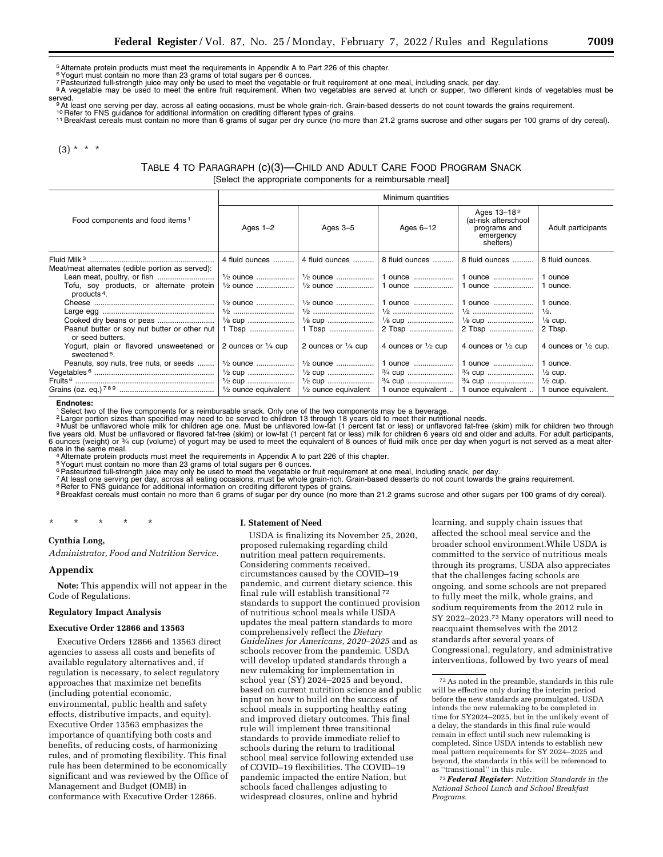<sup>5</sup> Alternate protein products must meet the requirements in Appendix A to Part 226 of this chapter.

<sup>6</sup> Yogurt must contain no more than 23 grams of total sugars per 6 ounces.<br><sup>7</sup> Pasteurized full-strength juice may only be used to meet the vegetable or fruit requirement at one meal, including snack, per day.<br><sup>8</sup> A veget served.<br><sup>9</sup>At least one serving per day, across all eating occasions, must be whole grain-rich. Grain-based desserts do not count towards the grains requirement.

1º Refer to FNS guidance for additional information on crediting different types of grains.<br>11 Breakfast cereals must contain no more than 6 grams of sugar per dry ounce (no more than 21.2 grams sucrose and other sugars pe

 $(3) * * * *$ 

## TABLE 4 TO PARAGRAPH (c)(3)—CHILD AND ADULT CARE FOOD PROGRAM SNACK [Select the appropriate components for a reimbursable meal]

|                                                                                                    | Minimum quantities                                                       |                                                                          |                                                       |                                                                                           |                                                                 |  |
|----------------------------------------------------------------------------------------------------|--------------------------------------------------------------------------|--------------------------------------------------------------------------|-------------------------------------------------------|-------------------------------------------------------------------------------------------|-----------------------------------------------------------------|--|
| Food components and food items <sup>1</sup>                                                        | Ages $1-2$                                                               | Ages 3-5                                                                 | Ages 6-12                                             | Ages 13-18 <sup>2</sup><br>(at-risk afterschool<br>programs and<br>emergency<br>shelters) | Adult participants                                              |  |
| Fluid Milk <sup>3</sup><br>Meat/meat alternates (edible portion as served):                        | 4 fluid ounces                                                           | 4 fluid ounces                                                           | 8 fluid ounces                                        | 8 fluid ounces                                                                            | 8 fluid ounces.                                                 |  |
| Lean meat, poultry, or fish<br>Tofu, soy products, or alternate protein<br>products <sup>4</sup> . | $\frac{1}{2}$ ounce<br>$\frac{1}{2}$ ounce                               | $\frac{1}{2}$ ounce<br>$\frac{1}{2}$ ounce                               | 1 ounce<br>1 ounce                                    | 1 ounce<br>1 ounce                                                                        | ounce<br>1 ounce.                                               |  |
|                                                                                                    | 1/ <sub>2</sub> ounce                                                    | $\frac{1}{2}$ ounce                                                      | 1 ounce                                               | 1 ounce                                                                                   | 1 ounce.<br>$\frac{1}{2}$ .                                     |  |
| Cooked dry beans or peas<br>Peanut butter or soy nut butter or other nut<br>or seed butters.       | 1 Tbsp                                                                   | 1 Tbsp                                                                   | 2 Tbsp                                                | $\frac{1}{8}$ cup<br>2 Tbsp                                                               | $\frac{1}{8}$ cup.<br>2 Tbsp.                                   |  |
| Yogurt, plain or flavored unsweetened or<br>sweetened <sup>5</sup> .                               | 2 ounces or $\frac{1}{4}$ cup                                            | 2 ounces or $\frac{1}{4}$ cup                                            | 4 ounces or $\frac{1}{2}$ cup                         | 4 ounces or $\frac{1}{2}$ cup                                                             | 4 ounces or $\frac{1}{2}$ cup.                                  |  |
| Peanuts, soy nuts, tree nuts, or seeds                                                             | $\frac{1}{2}$ ounce                                                      | $\frac{1}{2}$ ounce                                                      | 1 ounce                                               | 1 ounce                                                                                   | 1 ounce.                                                        |  |
|                                                                                                    | $\frac{1}{2}$ cup<br>$\frac{1}{2}$ cup<br>$\frac{1}{2}$ ounce equivalent | $\frac{1}{2}$ cup<br>$\frac{1}{2}$ cup<br>$\frac{1}{2}$ ounce equivalent | <sup>3</sup> / <sub>4</sub> cup<br>1 ounce equivalent | <sup>3</sup> / <sub>4</sub> cup<br>3/4 cup<br>1 ounce equivalent                          | $\frac{1}{2}$ cup.<br>$\frac{1}{2}$ cup.<br>1 ounce equivalent. |  |

#### **Endnotes:**

<sup>1</sup> Select two of the five components for a reimbursable snack. Only one of the two components may be a beverage.<br><sup>2</sup> Larger portion sizes than specified may need to be served to children 13 though 18 years old to meet the 6 ounces (weight) or 3⁄4 cup (volume) of yogurt may be used to meet the equivalent of 8 ounces of fluid milk once per day when yogurt is not served as a meat alter-<br>nate in the same meal.

Alternate protein products must meet the requirements in Appendix A to part 226 of this chapter.

5Yogurt must contain no more than 23 grams of total sugars per 6 ounces.

6 Pasteurized full-strength juice may only be used to meet the vegetable or fruit requirement at one meal, including snack, per day.<br>7 At least one serving per day, across all eating occasions, must be whole grain-rich. G

9 Breakfast cereals must contain no more than 6 grams of sugar per dry ounce (no more than 21.2 grams sucrose and other sugars per 100 grams of dry cereal).

\* \* \* \* \*

#### **Cynthia Long,**

*Administrator, Food and Nutrition Service.* 

#### **Appendix**

**Note:** This appendix will not appear in the Code of Regulations.

#### **Regulatory Impact Analysis**

#### **Executive Order 12866 and 13563**

Executive Orders 12866 and 13563 direct agencies to assess all costs and benefits of available regulatory alternatives and, if regulation is necessary, to select regulatory approaches that maximize net benefits (including potential economic, environmental, public health and safety effects, distributive impacts, and equity). Executive Order 13563 emphasizes the importance of quantifying both costs and benefits, of reducing costs, of harmonizing rules, and of promoting flexibility. This final rule has been determined to be economically significant and was reviewed by the Office of Management and Budget (OMB) in conformance with Executive Order 12866.

#### **I. Statement of Need**

USDA is finalizing its November 25, 2020, proposed rulemaking regarding child nutrition meal pattern requirements. Considering comments received, circumstances caused by the COVID–19 pandemic, and current dietary science, this final rule will establish transitional 72 standards to support the continued provision of nutritious school meals while USDA updates the meal pattern standards to more comprehensively reflect the *Dietary Guidelines for Americans, 2020–2025* and as schools recover from the pandemic. USDA will develop updated standards through a new rulemaking for implementation in school year (SY) 2024–2025 and beyond, based on current nutrition science and public input on how to build on the success of school meals in supporting healthy eating and improved dietary outcomes. This final rule will implement three transitional standards to provide immediate relief to schools during the return to traditional school meal service following extended use of COVID–19 flexibilities. The COVID–19 pandemic impacted the entire Nation, but schools faced challenges adjusting to widespread closures, online and hybrid

learning, and supply chain issues that affected the school meal service and the broader school environment.While USDA is committed to the service of nutritious meals through its programs, USDA also appreciates that the challenges facing schools are ongoing, and some schools are not prepared to fully meet the milk, whole grains, and sodium requirements from the 2012 rule in SY 2022–2023.73 Many operators will need to reacquaint themselves with the 2012 standards after several years of Congressional, regulatory, and administrative interventions, followed by two years of meal

 $^{\rm 72}$  As noted in the preamble, standards in this rule will be effective only during the interim period before the new standards are promulgated. USDA intends the new rulemaking to be completed in time for SY2024–2025, but in the unlikely event of a delay, the standards in this final rule would remain in effect until such new rulemaking is completed. Since USDA intends to establish new meal pattern requirements for SY 2024–2025 and beyond, the standards in this will be referenced to as ''transitional'' in this rule.

<sup>73</sup> *Federal Register*: *Nutrition Standards in the National School Lunch and School Breakfast Programs.*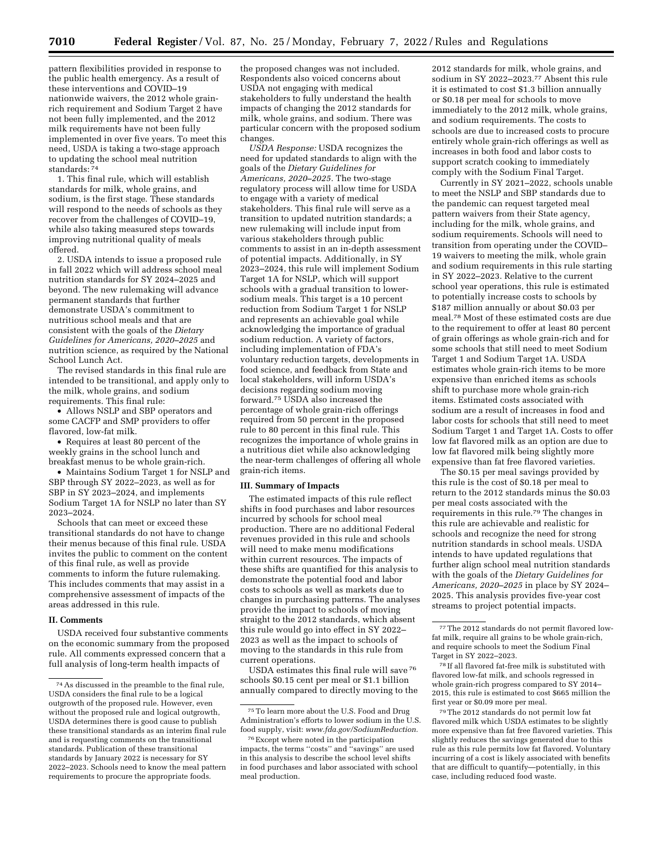**7010 Federal Register** / Vol. 87, No. 25 / Monday, February 7, 2022 / Rules and Regulations

pattern flexibilities provided in response to the public health emergency. As a result of these interventions and COVID–19 nationwide waivers, the 2012 whole grainrich requirement and Sodium Target 2 have not been fully implemented, and the 2012 milk requirements have not been fully implemented in over five years. To meet this need, USDA is taking a two-stage approach to updating the school meal nutrition standards: 74

1. This final rule, which will establish standards for milk, whole grains, and sodium, is the first stage. These standards will respond to the needs of schools as they recover from the challenges of COVID–19, while also taking measured steps towards improving nutritional quality of meals offered.

2. USDA intends to issue a proposed rule in fall 2022 which will address school meal nutrition standards for SY 2024–2025 and beyond. The new rulemaking will advance permanent standards that further demonstrate USDA's commitment to nutritious school meals and that are consistent with the goals of the *Dietary Guidelines for Americans, 2020–2025* and nutrition science, as required by the National School Lunch Act.

The revised standards in this final rule are intended to be transitional, and apply only to the milk, whole grains, and sodium requirements. This final rule:

• Allows NSLP and SBP operators and some CACFP and SMP providers to offer flavored, low-fat milk.

• Requires at least 80 percent of the weekly grains in the school lunch and breakfast menus to be whole grain-rich.

• Maintains Sodium Target 1 for NSLP and SBP through SY 2022–2023, as well as for SBP in SY 2023–2024, and implements Sodium Target 1A for NSLP no later than SY 2023–2024.

Schools that can meet or exceed these transitional standards do not have to change their menus because of this final rule. USDA invites the public to comment on the content of this final rule, as well as provide comments to inform the future rulemaking. This includes comments that may assist in a comprehensive assessment of impacts of the areas addressed in this rule.

### **II. Comments**

USDA received four substantive comments on the economic summary from the proposed rule. All comments expressed concern that a full analysis of long-term health impacts of

the proposed changes was not included. Respondents also voiced concerns about USDA not engaging with medical stakeholders to fully understand the health impacts of changing the 2012 standards for milk, whole grains, and sodium. There was particular concern with the proposed sodium changes.

*USDA Response:* USDA recognizes the need for updated standards to align with the goals of the *Dietary Guidelines for Americans, 2020–2025.* The two-stage regulatory process will allow time for USDA to engage with a variety of medical stakeholders. This final rule will serve as a transition to updated nutrition standards; a new rulemaking will include input from various stakeholders through public comments to assist in an in-depth assessment of potential impacts. Additionally, in SY 2023–2024, this rule will implement Sodium Target 1A for NSLP, which will support schools with a gradual transition to lowersodium meals. This target is a 10 percent reduction from Sodium Target 1 for NSLP and represents an achievable goal while acknowledging the importance of gradual sodium reduction. A variety of factors, including implementation of FDA's voluntary reduction targets, developments in food science, and feedback from State and local stakeholders, will inform USDA's decisions regarding sodium moving forward.75 USDA also increased the percentage of whole grain-rich offerings required from 50 percent in the proposed rule to 80 percent in this final rule. This recognizes the importance of whole grains in a nutritious diet while also acknowledging the near-term challenges of offering all whole grain-rich items.

#### **III. Summary of Impacts**

The estimated impacts of this rule reflect shifts in food purchases and labor resources incurred by schools for school meal production. There are no additional Federal revenues provided in this rule and schools will need to make menu modifications within current resources. The impacts of these shifts are quantified for this analysis to demonstrate the potential food and labor costs to schools as well as markets due to changes in purchasing patterns. The analyses provide the impact to schools of moving straight to the 2012 standards, which absent this rule would go into effect in SY 2022– 2023 as well as the impact to schools of moving to the standards in this rule from current operations.

USDA estimates this final rule will save 76 schools \$0.15 cent per meal or \$1.1 billion annually compared to directly moving to the

2012 standards for milk, whole grains, and sodium in SY 2022–2023.77 Absent this rule it is estimated to cost \$1.3 billion annually or \$0.18 per meal for schools to move immediately to the 2012 milk, whole grains, and sodium requirements. The costs to schools are due to increased costs to procure entirely whole grain-rich offerings as well as increases in both food and labor costs to support scratch cooking to immediately comply with the Sodium Final Target.

Currently in SY 2021–2022, schools unable to meet the NSLP and SBP standards due to the pandemic can request targeted meal pattern waivers from their State agency, including for the milk, whole grains, and sodium requirements. Schools will need to transition from operating under the COVID– 19 waivers to meeting the milk, whole grain and sodium requirements in this rule starting in SY 2022–2023. Relative to the current school year operations, this rule is estimated to potentially increase costs to schools by \$187 million annually or about \$0.03 per meal.78 Most of these estimated costs are due to the requirement to offer at least 80 percent of grain offerings as whole grain-rich and for some schools that still need to meet Sodium Target 1 and Sodium Target 1A. USDA estimates whole grain-rich items to be more expensive than enriched items as schools shift to purchase more whole grain-rich items. Estimated costs associated with sodium are a result of increases in food and labor costs for schools that still need to meet Sodium Target 1 and Target 1A. Costs to offer low fat flavored milk as an option are due to low fat flavored milk being slightly more expensive than fat free flavored varieties.

The \$0.15 per meal savings provided by this rule is the cost of \$0.18 per meal to return to the 2012 standards minus the \$0.03 per meal costs associated with the requirements in this rule.79 The changes in this rule are achievable and realistic for schools and recognize the need for strong nutrition standards in school meals. USDA intends to have updated regulations that further align school meal nutrition standards with the goals of the *Dietary Guidelines for Americans, 2020–2025* in place by SY 2024– 2025. This analysis provides five-year cost streams to project potential impacts.

79The 2012 standards do not permit low fat flavored milk which USDA estimates to be slightly more expensive than fat free flavored varieties. This slightly reduces the savings generated due to this rule as this rule permits low fat flavored. Voluntary incurring of a cost is likely associated with benefits that are difficult to quantify—potentially, in this case, including reduced food waste.

<sup>74</sup>As discussed in the preamble to the final rule, USDA considers the final rule to be a logical outgrowth of the proposed rule. However, even without the proposed rule and logical outgrowth, USDA determines there is good cause to publish these transitional standards as an interim final rule and is requesting comments on the transitional standards. Publication of these transitional standards by January 2022 is necessary for SY 2022–2023. Schools need to know the meal pattern requirements to procure the appropriate foods.

<sup>75</sup>To learn more about the U.S. Food and Drug Administration's efforts to lower sodium in the U.S. food supply, visit: *[www.fda.gov/SodiumReduction.](http://www.fda.gov/SodiumReduction)* 

<sup>76</sup>Except where noted in the participation impacts, the terms ''costs'' and ''savings'' are used in this analysis to describe the school level shifts in food purchases and labor associated with school meal production.

<sup>77</sup>The 2012 standards do not permit flavored lowfat milk, require all grains to be whole grain-rich, and require schools to meet the Sodium Final Target in SY 2022–2023.

<sup>78</sup> If all flavored fat-free milk is substituted with flavored low-fat milk, and schools regressed in whole grain-rich progress compared to SY 2014– 2015, this rule is estimated to cost \$665 million the first year or \$0.09 more per meal.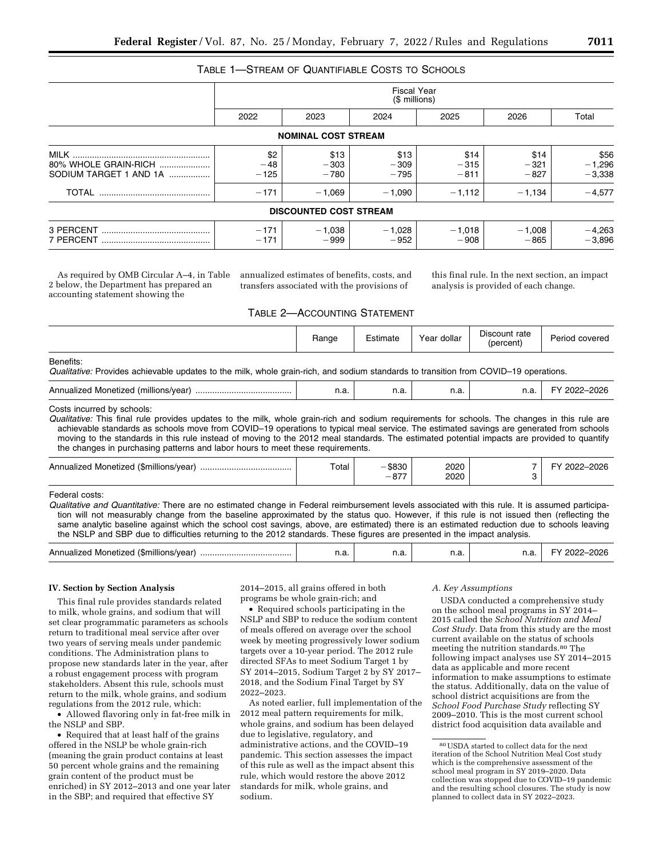## TABLE 1—STREAM OF QUANTIFIABLE COSTS TO SCHOOLS

|                                                | <b>Fiscal Year</b><br>(\$ millions) |                               |                          |                          |                          |                              |
|------------------------------------------------|-------------------------------------|-------------------------------|--------------------------|--------------------------|--------------------------|------------------------------|
|                                                | 2022                                | 2023                          | 2024                     | 2025                     | 2026                     | Total                        |
|                                                |                                     | <b>NOMINAL COST STREAM</b>    |                          |                          |                          |                              |
| 80% WHOLE GRAIN-RICH<br>SODIUM TARGET 1 AND 1A | \$2<br>$-48$<br>$-125$              | \$13<br>$-303$<br>$-780$      | \$13<br>$-309$<br>$-795$ | \$14<br>$-315$<br>$-811$ | \$14<br>$-321$<br>$-827$ | \$56<br>$-1,296$<br>$-3,338$ |
| TOTAL                                          | $-171$                              | $-1.069$                      | $-1.090$                 | $-1.112$                 | $-1.134$                 | $-4.577$                     |
|                                                |                                     | <b>DISCOUNTED COST STREAM</b> |                          |                          |                          |                              |
| 3 PERCENT<br>7 PERCENT                         | $-171$<br>$-171$                    | $-1,038$<br>$-999$            | $-1,028$<br>$-952$       | $-1,018$<br>$-908$       | $-1.008$<br>$-865$       | $-4,263$<br>$-3,896$         |

As required by OMB Circular A–4, in Table 2 below, the Department has prepared an accounting statement showing the

annualized estimates of benefits, costs, and transfers associated with the provisions of

this final rule. In the next section, an impact analysis is provided of each change.

TABLE 2—ACCOUNTING STATEMENT

|           | Range | Estimate | Year dollar | Discount rate<br>(percent) | Period covered |
|-----------|-------|----------|-------------|----------------------------|----------------|
| Benefits: |       |          |             |                            |                |

*Qualitative:* Provides achievable updates to the milk, whole grain-rich, and sodium standards to transition from COVID–19 operations.

| Annualizer<br>d Monetized<br>ullons/ve | ьа. | 11.a | н.а. | n.a | ാറാഭ |
|----------------------------------------|-----|------|------|-----|------|
|                                        |     |      |      |     |      |

Costs incurred by schools:

*Qualitative:* This final rule provides updates to the milk, whole grain-rich and sodium requirements for schools. The changes in this rule are achievable standards as schools move from COVID–19 operations to typical meal service. The estimated savings are generated from schools moving to the standards in this rule instead of moving to the 2012 meal standards. The estimated potential impacts are provided to quantify the changes in purchasing patterns and labor hours to meet these requirements.

| Annualized Monetized (\$millions/year) | Total | \$830<br>$-$<br>$\sim$<br>_ _ | 2020<br>2020<br>_____ |  | -2026 |
|----------------------------------------|-------|-------------------------------|-----------------------|--|-------|
|----------------------------------------|-------|-------------------------------|-----------------------|--|-------|

#### Federal costs:

*Qualitative and Quantitative:* There are no estimated change in Federal reimbursement levels associated with this rule. It is assumed participation will not measurably change from the baseline approximated by the status quo. However, if this rule is not issued then (reflecting the same analytic baseline against which the school cost savings, above, are estimated) there is an estimated reduction due to schools leaving the NSLP and SBP due to difficulties returning to the 2012 standards. These figures are presented in the impact analysis.

| <br>…milli∩r<br>Annı<br>ovea.<br><b>MODEUZE</b><br>ани | а. | . | 11.a | ີ<br>н.а | 300c |
|--------------------------------------------------------|----|---|------|----------|------|
|                                                        |    |   |      |          |      |

### **IV. Section by Section Analysis**

This final rule provides standards related to milk, whole grains, and sodium that will set clear programmatic parameters as schools return to traditional meal service after over two years of serving meals under pandemic conditions. The Administration plans to propose new standards later in the year, after a robust engagement process with program stakeholders. Absent this rule, schools must return to the milk, whole grains, and sodium regulations from the 2012 rule, which:

• Allowed flavoring only in fat-free milk in the NSLP and SBP.

• Required that at least half of the grains offered in the NSLP be whole grain-rich (meaning the grain product contains at least 50 percent whole grains and the remaining grain content of the product must be enriched) in SY 2012–2013 and one year later in the SBP; and required that effective SY

2014–2015, all grains offered in both programs be whole grain-rich; and

• Required schools participating in the NSLP and SBP to reduce the sodium content of meals offered on average over the school week by meeting progressively lower sodium targets over a 10-year period. The 2012 rule directed SFAs to meet Sodium Target 1 by SY 2014–2015, Sodium Target 2 by SY 2017– 2018, and the Sodium Final Target by SY 2022–2023.

As noted earlier, full implementation of the 2012 meal pattern requirements for milk, whole grains, and sodium has been delayed due to legislative, regulatory, and administrative actions, and the COVID–19 pandemic. This section assesses the impact of this rule as well as the impact absent this rule, which would restore the above 2012 standards for milk, whole grains, and sodium.

### *A. Key Assumptions*

USDA conducted a comprehensive study on the school meal programs in SY 2014– 2015 called the *School Nutrition and Meal Cost Study.* Data from this study are the most current available on the status of schools meeting the nutrition standards.80 The following impact analyses use SY 2014–2015 data as applicable and more recent information to make assumptions to estimate the status. Additionally, data on the value of school district acquisitions are from the *School Food Purchase Study* reflecting SY 2009–2010. This is the most current school district food acquisition data available and

<sup>80</sup>USDA started to collect data for the next iteration of the School Nutrition Meal Cost study which is the comprehensive assessment of the school meal program in SY 2019–2020. Data collection was stopped due to COVID–19 pandemic and the resulting school closures. The study is now planned to collect data in SY 2022–2023.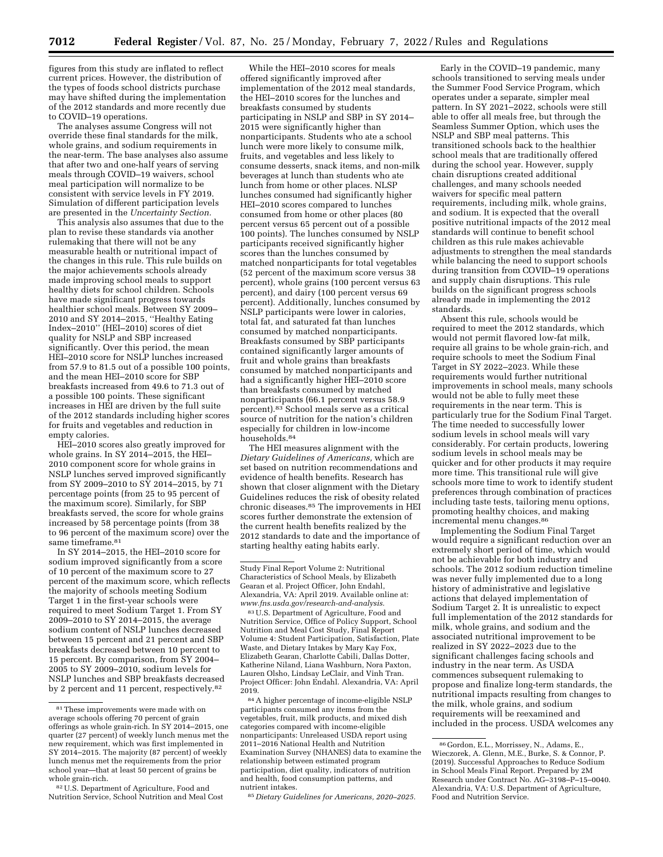figures from this study are inflated to reflect current prices. However, the distribution of the types of foods school districts purchase may have shifted during the implementation of the 2012 standards and more recently due to COVID–19 operations.

The analyses assume Congress will not override these final standards for the milk, whole grains, and sodium requirements in the near-term. The base analyses also assume that after two and one-half years of serving meals through COVID–19 waivers, school meal participation will normalize to be consistent with service levels in FY 2019. Simulation of different participation levels are presented in the *Uncertainty Section.* 

This analysis also assumes that due to the plan to revise these standards via another rulemaking that there will not be any measurable health or nutritional impact of the changes in this rule. This rule builds on the major achievements schools already made improving school meals to support healthy diets for school children. Schools have made significant progress towards healthier school meals. Between SY 2009– 2010 and SY 2014–2015, ''Healthy Eating Index–2010'' (HEI–2010) scores of diet quality for NSLP and SBP increased significantly. Over this period, the mean HEI–2010 score for NSLP lunches increased from 57.9 to 81.5 out of a possible 100 points, and the mean HEI–2010 score for SBP breakfasts increased from 49.6 to 71.3 out of a possible 100 points. These significant increases in HEI are driven by the full suite of the 2012 standards including higher scores for fruits and vegetables and reduction in empty calories.

HEI–2010 scores also greatly improved for whole grains. In SY 2014–2015, the HEI– 2010 component score for whole grains in NSLP lunches served improved significantly from SY 2009–2010 to SY 2014–2015, by 71 percentage points (from 25 to 95 percent of the maximum score). Similarly, for SBP breakfasts served, the score for whole grains increased by 58 percentage points (from 38 to 96 percent of the maximum score) over the same timeframe.<sup>81</sup>

In SY 2014–2015, the HEI–2010 score for sodium improved significantly from a score of 10 percent of the maximum score to 27 percent of the maximum score, which reflects the majority of schools meeting Sodium Target 1 in the first-year schools were required to meet Sodium Target 1. From SY 2009–2010 to SY 2014–2015, the average sodium content of NSLP lunches decreased between 15 percent and 21 percent and SBP breakfasts decreased between 10 percent to 15 percent. By comparison, from SY 2004– 2005 to SY 2009–2010, sodium levels for NSLP lunches and SBP breakfasts decreased by 2 percent and 11 percent, respectively.82

While the HEI–2010 scores for meals offered significantly improved after implementation of the 2012 meal standards, the HEI–2010 scores for the lunches and breakfasts consumed by students participating in NSLP and SBP in SY 2014– 2015 were significantly higher than nonparticipants. Students who ate a school lunch were more likely to consume milk, fruits, and vegetables and less likely to consume desserts, snack items, and non-milk beverages at lunch than students who ate lunch from home or other places. NLSP lunches consumed had significantly higher HEI–2010 scores compared to lunches consumed from home or other places (80 percent versus 65 percent out of a possible 100 points). The lunches consumed by NSLP participants received significantly higher scores than the lunches consumed by matched nonparticipants for total vegetables (52 percent of the maximum score versus 38 percent), whole grains (100 percent versus 63 percent), and dairy (100 percent versus 69 percent). Additionally, lunches consumed by NSLP participants were lower in calories, total fat, and saturated fat than lunches consumed by matched nonparticipants. Breakfasts consumed by SBP participants contained significantly larger amounts of fruit and whole grains than breakfasts consumed by matched nonparticipants and had a significantly higher HEI–2010 score than breakfasts consumed by matched nonparticipants (66.1 percent versus 58.9 percent).83 School meals serve as a critical source of nutrition for the nation's children especially for children in low-income households.84

The HEI measures alignment with the *Dietary Guidelines of Americans,* which are set based on nutrition recommendations and evidence of health benefits. Research has shown that closer alignment with the Dietary Guidelines reduces the risk of obesity related chronic diseases.85 The improvements in HEI scores further demonstrate the extension of the current health benefits realized by the 2012 standards to date and the importance of starting healthy eating habits early.

83U.S. Department of Agriculture, Food and Nutrition Service, Office of Policy Support, School Nutrition and Meal Cost Study, Final Report Volume 4: Student Participation, Satisfaction, Plate Waste, and Dietary Intakes by Mary Kay Fox, Elizabeth Gearan, Charlotte Cabili, Dallas Dotter, Katherine Niland, Liana Washburn, Nora Paxton, Lauren Olsho, Lindsay LeClair, and Vinh Tran. Project Officer: John Endahl. Alexandria, VA: April 2019.

84A higher percentage of income-eligible NSLP participants consumed any items from the vegetables, fruit, milk products, and mixed dish categories compared with income-eligible nonparticipants: Unreleased USDA report using 2011–2016 National Health and Nutrition Examination Survey (NHANES) data to examine the relationship between estimated program participation, diet quality, indicators of nutrition and health, food consumption patterns, and nutrient intakes.

85 *Dietary Guidelines for Americans, 2020–2025.* 

Early in the COVID–19 pandemic, many schools transitioned to serving meals under the Summer Food Service Program, which operates under a separate, simpler meal pattern. In SY 2021–2022, schools were still able to offer all meals free, but through the Seamless Summer Option, which uses the NSLP and SBP meal patterns. This transitioned schools back to the healthier school meals that are traditionally offered during the school year. However, supply chain disruptions created additional challenges, and many schools needed waivers for specific meal pattern requirements, including milk, whole grains, and sodium. It is expected that the overall positive nutritional impacts of the 2012 meal standards will continue to benefit school children as this rule makes achievable adjustments to strengthen the meal standards while balancing the need to support schools during transition from COVID–19 operations and supply chain disruptions. This rule builds on the significant progress schools already made in implementing the 2012 standards.

Absent this rule, schools would be required to meet the 2012 standards, which would not permit flavored low-fat milk, require all grains to be whole grain-rich, and require schools to meet the Sodium Final Target in SY 2022–2023. While these requirements would further nutritional improvements in school meals, many schools would not be able to fully meet these requirements in the near term. This is particularly true for the Sodium Final Target. The time needed to successfully lower sodium levels in school meals will vary considerably. For certain products, lowering sodium levels in school meals may be quicker and for other products it may require more time. This transitional rule will give schools more time to work to identify student preferences through combination of practices including taste tests, tailoring menu options, promoting healthy choices, and making incremental menu changes.86

Implementing the Sodium Final Target would require a significant reduction over an extremely short period of time, which would not be achievable for both industry and schools. The 2012 sodium reduction timeline was never fully implemented due to a long history of administrative and legislative actions that delayed implementation of Sodium Target 2. It is unrealistic to expect full implementation of the 2012 standards for milk, whole grains, and sodium and the associated nutritional improvement to be realized in SY 2022–2023 due to the significant challenges facing schools and industry in the near term. As USDA commences subsequent rulemaking to propose and finalize long-term standards, the nutritional impacts resulting from changes to the milk, whole grains, and sodium requirements will be reexamined and included in the process. USDA welcomes any

<sup>81</sup>These improvements were made with on average schools offering 70 percent of grain offerings as whole grain-rich. In SY 2014–2015, one quarter (27 percent) of weekly lunch menus met the new requirement, which was first implemented in SY 2014–2015. The majority (87 percent) of weekly lunch menus met the requirements from the prior school year—that at least 50 percent of grains be whole grain-rich.

<sup>82</sup>U.S. Department of Agriculture, Food and Nutrition Service, School Nutrition and Meal Cost

Study Final Report Volume 2: Nutritional Characteristics of School Meals, by Elizabeth Gearan et al. Project Officer, John Endahl, Alexandria, VA: April 2019. Available online at: *[www.fns.usda.gov/research-and-analysis.](http://www.fns.usda.gov/research-and-analysis)* 

<sup>86</sup> Gordon, E.L., Morrissey, N., Adams, E., Wieczorek, A. Glenn, M.E., Burke, S. & Connor, P. (2019). Successful Approaches to Reduce Sodium in School Meals Final Report. Prepared by 2M Research under Contract No. AG–3198–P–15–0040. Alexandria, VA: U.S. Department of Agriculture, Food and Nutrition Service.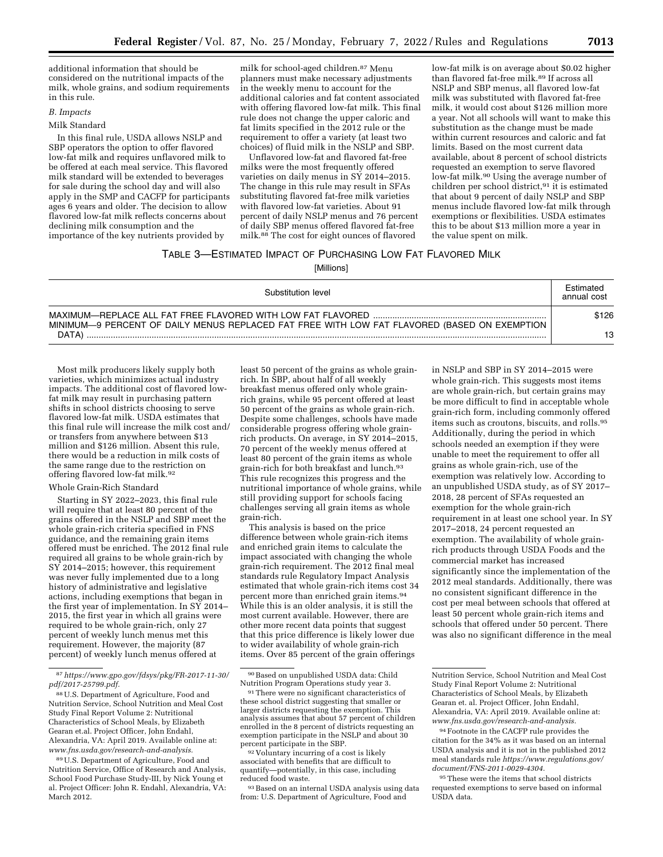additional information that should be considered on the nutritional impacts of the milk, whole grains, and sodium requirements in this rule.

#### *B. Impacts*

#### Milk Standard

In this final rule, USDA allows NSLP and SBP operators the option to offer flavored low-fat milk and requires unflavored milk to be offered at each meal service. This flavored milk standard will be extended to beverages for sale during the school day and will also apply in the SMP and CACFP for participants ages 6 years and older. The decision to allow flavored low-fat milk reflects concerns about declining milk consumption and the importance of the key nutrients provided by

milk for school-aged children.87 Menu planners must make necessary adjustments in the weekly menu to account for the additional calories and fat content associated with offering flavored low-fat milk. This final rule does not change the upper caloric and fat limits specified in the 2012 rule or the requirement to offer a variety (at least two choices) of fluid milk in the NSLP and SBP.

Unflavored low-fat and flavored fat-free milks were the most frequently offered varieties on daily menus in SY 2014–2015. The change in this rule may result in SFAs substituting flavored fat-free milk varieties with flavored low-fat varieties. About 91 percent of daily NSLP menus and 76 percent of daily SBP menus offered flavored fat-free milk.88 The cost for eight ounces of flavored

low-fat milk is on average about \$0.02 higher than flavored fat-free milk.<sup>89</sup> If across all NSLP and SBP menus, all flavored low-fat milk was substituted with flavored fat-free milk, it would cost about \$126 million more a year. Not all schools will want to make this substitution as the change must be made within current resources and caloric and fat limits. Based on the most current data available, about 8 percent of school districts requested an exemption to serve flavored low-fat milk.<sup>90</sup> Using the average number of children per school district,91 it is estimated that about 9 percent of daily NSLP and SBP menus include flavored low-fat milk through exemptions or flexibilities. USDA estimates this to be about \$13 million more a year in the value spent on milk.

## TABLE 3—ESTIMATED IMPACT OF PURCHASING LOW FAT FLAVORED MILK

[Millions]

| Substitution level                                                                           | Fstimated<br>annual cost |
|----------------------------------------------------------------------------------------------|--------------------------|
| MINIMUM-9 PERCENT OF DAILY MENUS REPLACED FAT FREE WITH LOW FAT FLAVORED (BASED ON EXEMPTION | \$126                    |
| DATA)                                                                                        | 13                       |

Most milk producers likely supply both varieties, which minimizes actual industry impacts. The additional cost of flavored lowfat milk may result in purchasing pattern shifts in school districts choosing to serve flavored low-fat milk. USDA estimates that this final rule will increase the milk cost and/ or transfers from anywhere between \$13 million and \$126 million. Absent this rule, there would be a reduction in milk costs of the same range due to the restriction on offering flavored low-fat milk.<sup>92</sup>

#### Whole Grain-Rich Standard

Starting in SY 2022–2023, this final rule will require that at least 80 percent of the grains offered in the NSLP and SBP meet the whole grain-rich criteria specified in FNS guidance, and the remaining grain items offered must be enriched. The 2012 final rule required all grains to be whole grain-rich by SY 2014–2015; however, this requirement was never fully implemented due to a long history of administrative and legislative actions, including exemptions that began in the first year of implementation. In SY 2014– 2015, the first year in which all grains were required to be whole grain-rich, only 27 percent of weekly lunch menus met this requirement. However, the majority (87 percent) of weekly lunch menus offered at

89U.S. Department of Agriculture, Food and Nutrition Service, Office of Research and Analysis, School Food Purchase Study-III, by Nick Young et al. Project Officer: John R. Endahl, Alexandria, VA: March 2012.

least 50 percent of the grains as whole grainrich. In SBP, about half of all weekly breakfast menus offered only whole grainrich grains, while 95 percent offered at least 50 percent of the grains as whole grain-rich. Despite some challenges, schools have made considerable progress offering whole grainrich products. On average, in SY 2014–2015, 70 percent of the weekly menus offered at least 80 percent of the grain items as whole grain-rich for both breakfast and lunch.<sup>93</sup> This rule recognizes this progress and the nutritional importance of whole grains, while still providing support for schools facing challenges serving all grain items as whole grain-rich.

This analysis is based on the price difference between whole grain-rich items and enriched grain items to calculate the impact associated with changing the whole grain-rich requirement. The 2012 final meal standards rule Regulatory Impact Analysis estimated that whole grain-rich items cost 34 percent more than enriched grain items.94 While this is an older analysis, it is still the most current available. However, there are other more recent data points that suggest that this price difference is likely lower due to wider availability of whole grain-rich items. Over 85 percent of the grain offerings

<sup>92</sup> Voluntary incurring of a cost is likely associated with benefits that are difficult to quantify—potentially, in this case, including reduced food waste.

93 Based on an internal USDA analysis using data from: U.S. Department of Agriculture, Food and

in NSLP and SBP in SY 2014–2015 were whole grain-rich. This suggests most items are whole grain-rich, but certain grains may be more difficult to find in acceptable whole grain-rich form, including commonly offered items such as croutons, biscuits, and rolls.95 Additionally, during the period in which schools needed an exemption if they were unable to meet the requirement to offer all grains as whole grain-rich, use of the exemption was relatively low. According to an unpublished USDA study, as of SY 2017– 2018, 28 percent of SFAs requested an exemption for the whole grain-rich requirement in at least one school year. In SY 2017–2018, 24 percent requested an exemption. The availability of whole grainrich products through USDA Foods and the commercial market has increased significantly since the implementation of the 2012 meal standards. Additionally, there was no consistent significant difference in the cost per meal between schools that offered at least 50 percent whole grain-rich items and schools that offered under 50 percent. There was also no significant difference in the meal

<sup>87</sup>*[https://www.gpo.gov/fdsys/pkg/FR-2017-11-30/](https://www.gpo.gov/fdsys/pkg/FR-2017-11-30/pdf/2017-25799.pdf) [pdf/2017-25799.pdf.](https://www.gpo.gov/fdsys/pkg/FR-2017-11-30/pdf/2017-25799.pdf)* 

<sup>88</sup>U.S. Department of Agriculture, Food and Nutrition Service, School Nutrition and Meal Cost Study Final Report Volume 2: Nutritional Characteristics of School Meals, by Elizabeth Gearan et.al. Project Officer, John Endahl, Alexandria, VA: April 2019. Available online at: *[www.fns.usda.gov/research-and-analysis.](http://www.fns.usda.gov/research-and-analysis)* 

<sup>&</sup>lt;sup>90</sup> Based on unpublished USDA data: Child<br>Nutrition Program Operations study year 3.

 $\real^{91}$  There were no significant characteristics of these school district suggesting that smaller or larger districts requesting the exemption. This analysis assumes that about 57 percent of children enrolled in the 8 percent of districts requesting an exemption participate in the NSLP and about 30<br>percent participate in the SBP.

Nutrition Service, School Nutrition and Meal Cost Study Final Report Volume 2: Nutritional Characteristics of School Meals, by Elizabeth Gearan et. al. Project Officer, John Endahl, Alexandria, VA: April 2019. Available online at: *[www.fns.usda.gov/research-and-analysis.](http://www.fns.usda.gov/research-and-analysis)* 

<sup>94</sup>Footnote in the CACFP rule provides the citation for the 34% as it was based on an internal USDA analysis and it is not in the published 2012 meal standards rule *[https://www.regulations.gov/](https://www.regulations.gov/document/FNS-2011-0029-4304) [document/FNS-2011-0029-4304.](https://www.regulations.gov/document/FNS-2011-0029-4304)* 

 $^{95}\mathrm{These}$  were the items that school districts requested exemptions to serve based on informal USDA data.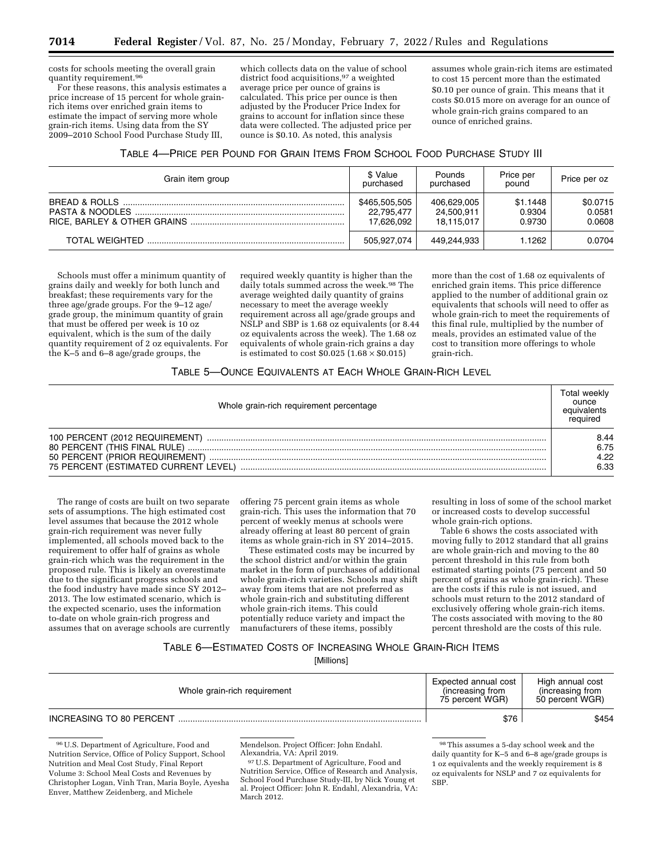costs for schools meeting the overall grain quantity requirement.96

For these reasons, this analysis estimates a price increase of 15 percent for whole grainrich items over enriched grain items to estimate the impact of serving more whole grain-rich items. Using data from the SY 2009–2010 School Food Purchase Study III,

which collects data on the value of school district food acquisitions, 97 a weighted average price per ounce of grains is calculated. This price per ounce is then adjusted by the Producer Price Index for grains to account for inflation since these data were collected. The adjusted price per ounce is \$0.10. As noted, this analysis

assumes whole grain-rich items are estimated to cost 15 percent more than the estimated \$0.10 per ounce of grain. This means that it costs \$0.015 more on average for an ounce of whole grain-rich grains compared to an ounce of enriched grains.

| TABLE 4—PRICE PER POUND FOR GRAIN ITEMS FROM SCHOOL FOOD PURCHASE STUDY III |  |  |
|-----------------------------------------------------------------------------|--|--|
|-----------------------------------------------------------------------------|--|--|

| Grain item group | \$ Value<br>purchased                     | <b>Pounds</b><br>purchased              | Price per<br>pound           | Price per oz                 |
|------------------|-------------------------------------------|-----------------------------------------|------------------------------|------------------------------|
|                  | \$465,505,505<br>22.795.477<br>17.626.092 | 406.629.005<br>24,500,911<br>18.115.017 | \$1.1448<br>0.9304<br>0.9730 | \$0.0715<br>0.0581<br>0.0608 |
|                  | 505.927.074                               | 449.244.933                             | .1262                        | 0.0704                       |

Schools must offer a minimum quantity of grains daily and weekly for both lunch and breakfast; these requirements vary for the three age/grade groups. For the 9–12 age/ grade group, the minimum quantity of grain that must be offered per week is 10 oz equivalent, which is the sum of the daily quantity requirement of 2 oz equivalents. For the K–5 and 6–8 age/grade groups, the

required weekly quantity is higher than the daily totals summed across the week.<sup>98</sup> The average weighted daily quantity of grains necessary to meet the average weekly requirement across all age/grade groups and NSLP and SBP is 1.68 oz equivalents (or 8.44 oz equivalents across the week). The 1.68 oz equivalents of whole grain-rich grains a day is estimated to cost  $$0.025$   $(1.68 \times $0.015)$ 

more than the cost of 1.68 oz equivalents of enriched grain items. This price difference applied to the number of additional grain oz equivalents that schools will need to offer as whole grain-rich to meet the requirements of this final rule, multiplied by the number of meals, provides an estimated value of the cost to transition more offerings to whole grain-rich.

### TABLE 5—OUNCE EQUIVALENTS AT EACH WHOLE GRAIN-RICH LEVEL

| Whole grain-rich requirement percentage                                                                                                  | Total weekly<br>ounce<br>equivalents<br>reauired |
|------------------------------------------------------------------------------------------------------------------------------------------|--------------------------------------------------|
| 100 PERCENT (2012 REQUIREMENT)<br>80 PERCENT (THIS FINAL RULE)<br>50 PERCENT (PRIOR REQUIREMENT)<br>75 PERCENT (ESTIMATED CURRENT LEVEL) | 8.44<br>6.75<br>4.22<br>6.33                     |

The range of costs are built on two separate sets of assumptions. The high estimated cost level assumes that because the 2012 whole grain-rich requirement was never fully implemented, all schools moved back to the requirement to offer half of grains as whole grain-rich which was the requirement in the proposed rule. This is likely an overestimate due to the significant progress schools and the food industry have made since SY 2012– 2013. The low estimated scenario, which is the expected scenario, uses the information to-date on whole grain-rich progress and assumes that on average schools are currently

offering 75 percent grain items as whole grain-rich. This uses the information that 70 percent of weekly menus at schools were already offering at least 80 percent of grain items as whole grain-rich in SY 2014–2015.

These estimated costs may be incurred by the school district and/or within the grain market in the form of purchases of additional whole grain-rich varieties. Schools may shift away from items that are not preferred as whole grain-rich and substituting different whole grain-rich items. This could potentially reduce variety and impact the manufacturers of these items, possibly

resulting in loss of some of the school market or increased costs to develop successful whole grain-rich options.

Table 6 shows the costs associated with moving fully to 2012 standard that all grains are whole grain-rich and moving to the 80 percent threshold in this rule from both estimated starting points (75 percent and 50 percent of grains as whole grain-rich). These are the costs if this rule is not issued, and schools must return to the 2012 standard of exclusively offering whole grain-rich items. The costs associated with moving to the 80 percent threshold are the costs of this rule.

## TABLE 6—ESTIMATED COSTS OF INCREASING WHOLE GRAIN-RICH ITEMS

[Millions]

| Whole grain-rich requirement | Expected annual cost<br>(increasing from<br>75 percent WGR) | High annual cost<br>(increasing from<br>50 percent WGR) |
|------------------------------|-------------------------------------------------------------|---------------------------------------------------------|
| INCREASING TO 80 PERCENT     | \$76                                                        | \$454                                                   |

<sup>96</sup>U.S. Department of Agriculture, Food and Nutrition Service, Office of Policy Support, School Nutrition and Meal Cost Study, Final Report Volume 3: School Meal Costs and Revenues by Christopher Logan, Vinh Tran, Maria Boyle, Ayesha Enver, Matthew Zeidenberg, and Michele

Mendelson. Project Officer: John Endahl.

<sup>97</sup> U.S. Department of Agriculture, Food and Nutrition Service, Office of Research and Analysis, School Food Purchase Study-III, by Nick Young et al. Project Officer: John R. Endahl, Alexandria, VA: March 2012.

98This assumes a 5-day school week and the daily quantity for K–5 and 6–8 age/grade groups is 1 oz equivalents and the weekly requirement is 8 oz equivalents for NSLP and 7 oz equivalents for SBP.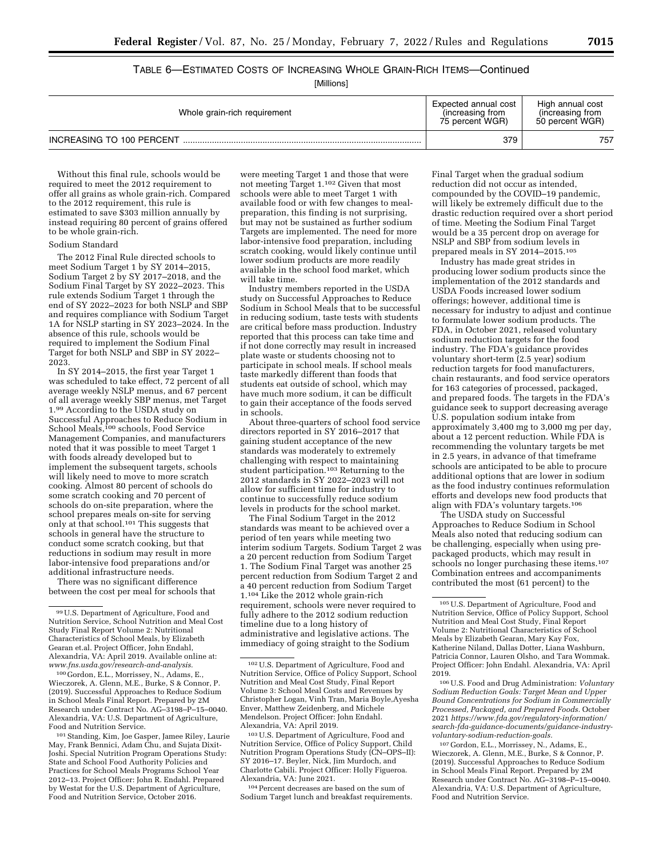# TABLE 6—ESTIMATED COSTS OF INCREASING WHOLE GRAIN-RICH ITEMS—Continued

[Millions]

| Whole grain-rich requirement | Expected annual cost<br>(increasing from<br>75 percent WGR) | High annual cost<br>(increasing from<br>50 percent WGR) |
|------------------------------|-------------------------------------------------------------|---------------------------------------------------------|
| INCREASING TO 100 PERCENT    | 379                                                         | 757                                                     |

Without this final rule, schools would be required to meet the 2012 requirement to offer all grains as whole grain-rich. Compared to the 2012 requirement, this rule is estimated to save \$303 million annually by instead requiring 80 percent of grains offered to be whole grain-rich.

#### Sodium Standard

The 2012 Final Rule directed schools to meet Sodium Target 1 by SY 2014–2015, Sodium Target 2 by SY 2017–2018, and the Sodium Final Target by SY 2022–2023. This rule extends Sodium Target 1 through the end of SY 2022–2023 for both NSLP and SBP and requires compliance with Sodium Target 1A for NSLP starting in SY 2023–2024. In the absence of this rule, schools would be required to implement the Sodium Final Target for both NSLP and SBP in SY 2022– 2023.

In SY 2014–2015, the first year Target 1 was scheduled to take effect, 72 percent of all average weekly NSLP menus, and 67 percent of all average weekly SBP menus, met Target 1.99 According to the USDA study on Successful Approaches to Reduce Sodium in School Meals,<sup>100</sup> schools, Food Service Management Companies, and manufacturers noted that it was possible to meet Target 1 with foods already developed but to implement the subsequent targets, schools will likely need to move to more scratch cooking. Almost 80 percent of schools do some scratch cooking and 70 percent of schools do on-site preparation, where the school prepares meals on-site for serving only at that school.101 This suggests that schools in general have the structure to conduct some scratch cooking, but that reductions in sodium may result in more labor-intensive food preparations and/or additional infrastructure needs.

There was no significant difference between the cost per meal for schools that

100 Gordon, E.L., Morrissey, N., Adams, E., Wieczorek, A. Glenn, M.E., Burke, S & Connor, P. (2019). Successful Approaches to Reduce Sodium in School Meals Final Report. Prepared by 2M Research under Contract No. AG–3198–P–15–0040. Alexandria, VA: U.S. Department of Agriculture, Food and Nutrition Service.

101Standing, Kim, Joe Gasper, Jamee Riley, Laurie May, Frank Bennici, Adam Chu, and Sujata Dixit-Joshi. Special Nutrition Program Operations Study: State and School Food Authority Policies and Practices for School Meals Programs School Year 2012–13. Project Officer: John R. Endahl. Prepared by Westat for the U.S. Department of Agriculture, Food and Nutrition Service, October 2016.

were meeting Target 1 and those that were not meeting Target 1.102 Given that most schools were able to meet Target 1 with available food or with few changes to mealpreparation, this finding is not surprising, but may not be sustained as further sodium Targets are implemented. The need for more labor-intensive food preparation, including scratch cooking, would likely continue until lower sodium products are more readily available in the school food market, which will take time.

Industry members reported in the USDA study on Successful Approaches to Reduce Sodium in School Meals that to be successful in reducing sodium, taste tests with students are critical before mass production. Industry reported that this process can take time and if not done correctly may result in increased plate waste or students choosing not to participate in school meals. If school meals taste markedly different than foods that students eat outside of school, which may have much more sodium, it can be difficult to gain their acceptance of the foods served in schools.

About three-quarters of school food service directors reported in SY 2016–2017 that gaining student acceptance of the new standards was moderately to extremely challenging with respect to maintaining student participation.<sup>103</sup> Returning to the 2012 standards in SY 2022–2023 will not allow for sufficient time for industry to continue to successfully reduce sodium levels in products for the school market.

The Final Sodium Target in the 2012 standards was meant to be achieved over a period of ten years while meeting two interim sodium Targets. Sodium Target 2 was a 20 percent reduction from Sodium Target 1. The Sodium Final Target was another 25 percent reduction from Sodium Target 2 and a 40 percent reduction from Sodium Target 1.104 Like the 2012 whole grain-rich requirement, schools were never required to fully adhere to the 2012 sodium reduction timeline due to a long history of administrative and legislative actions. The immediacy of going straight to the Sodium

104Percent decreases are based on the sum of Sodium Target lunch and breakfast requirements. Final Target when the gradual sodium reduction did not occur as intended, compounded by the COVID–19 pandemic, will likely be extremely difficult due to the drastic reduction required over a short period of time. Meeting the Sodium Final Target would be a 35 percent drop on average for NSLP and SBP from sodium levels in prepared meals in SY 2014–2015.105

Industry has made great strides in producing lower sodium products since the implementation of the 2012 standards and USDA Foods increased lower sodium offerings; however, additional time is necessary for industry to adjust and continue to formulate lower sodium products. The FDA, in October 2021, released voluntary sodium reduction targets for the food industry. The FDA's guidance provides voluntary short-term (2.5 year) sodium reduction targets for food manufacturers, chain restaurants, and food service operators for 163 categories of processed, packaged, and prepared foods. The targets in the FDA's guidance seek to support decreasing average U.S. population sodium intake from approximately 3,400 mg to 3,000 mg per day, about a 12 percent reduction. While FDA is recommending the voluntary targets be met in 2.5 years, in advance of that timeframe schools are anticipated to be able to procure additional options that are lower in sodium as the food industry continues reformulation efforts and develops new food products that align with FDA's voluntary targets.<sup>106</sup>

The USDA study on Successful Approaches to Reduce Sodium in School Meals also noted that reducing sodium can be challenging, especially when using prepackaged products, which may result in schools no longer purchasing these items.107 Combination entrees and accompaniments contributed the most (61 percent) to the

<sup>99</sup>U.S. Department of Agriculture, Food and Nutrition Service, School Nutrition and Meal Cost Study Final Report Volume 2: Nutritional Characteristics of School Meals, by Elizabeth Gearan et.al. Project Officer, John Endahl, Alexandria, VA: April 2019. Available online at: *[www.fns.usda.gov/research-and-analysis.](http://www.fns.usda.gov/research-and-analysis)* 

<sup>102</sup>U.S. Department of Agriculture, Food and Nutrition Service, Office of Policy Support, School Nutrition and Meal Cost Study, Final Report Volume 3: School Meal Costs and Revenues by Christopher Logan, Vinh Tran, Maria Boyle,Ayesha Enver, Matthew Zeidenberg, and Michele Mendelson. Project Officer: John Endahl. Alexandria, VA: April 2019.

<sup>103</sup>U.S. Department of Agriculture, Food and Nutrition Service, Office of Policy Support, Child Nutrition Program Operations Study (CN–OPS–II): SY 2016–17. Beyler, Nick, Jim Murdoch, and Charlotte Cabili. Project Officer: Holly Figueroa. Alexandria, VA: June 2021.

<sup>105</sup>U.S. Department of Agriculture, Food and Nutrition Service, Office of Policy Support, School Nutrition and Meal Cost Study, Final Report Volume 2: Nutritional Characteristics of School Meals by Elizabeth Gearan, Mary Kay Fox, Katherine Niland, Dallas Dotter, Liana Washburn, Patricia Connor, Lauren Olsho, and Tara Wommak. Project Officer: John Endahl. Alexandria, VA: April 2019.

<sup>106</sup>U.S. Food and Drug Administration: *Voluntary Sodium Reduction Goals: Target Mean and Upper Bound Concentrations for Sodium in Commercially Processed, Packaged, and Prepared Foods.* October 2021 *[https://www.fda.gov/regulatory-information/](https://www.fda.gov/regulatory-information/search-fda-guidance-documents/guidance-industry-voluntary-sodium-reduction-goals) [search-fda-guidance-documents/guidance-industry](https://www.fda.gov/regulatory-information/search-fda-guidance-documents/guidance-industry-voluntary-sodium-reduction-goals)[voluntary-sodium-reduction-goals.](https://www.fda.gov/regulatory-information/search-fda-guidance-documents/guidance-industry-voluntary-sodium-reduction-goals)* 

<sup>107</sup> Gordon, E.L., Morrissey, N., Adams, E., Wieczorek, A. Glenn, M.E., Burke, S & Connor, P. (2019). Successful Approaches to Reduce Sodium in School Meals Final Report. Prepared by 2M Research under Contract No. AG–3198–P–15–0040. Alexandria, VA: U.S. Department of Agriculture, Food and Nutrition Service.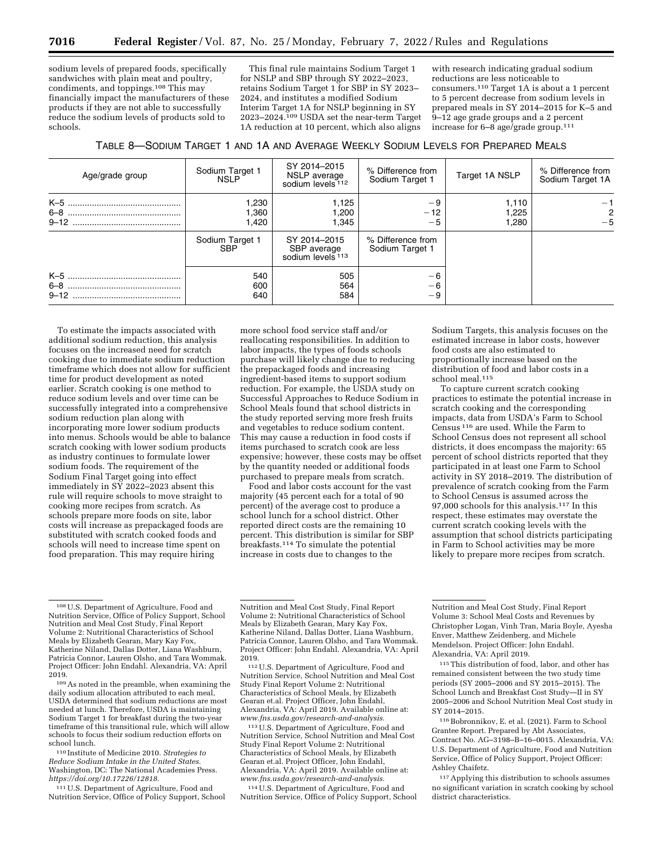sodium levels of prepared foods, specifically sandwiches with plain meat and poultry, condiments, and toppings.108 This may financially impact the manufacturers of these products if they are not able to successfully reduce the sodium levels of products sold to schools.

This final rule maintains Sodium Target 1 for NSLP and SBP through SY 2022–2023, retains Sodium Target 1 for SBP in SY 2023– 2024, and institutes a modified Sodium Interim Target 1A for NSLP beginning in SY 2023–2024.109 USDA set the near-term Target 1A reduction at 10 percent, which also aligns

with research indicating gradual sodium reductions are less noticeable to consumers.110 Target 1A is about a 1 percent to 5 percent decrease from sodium levels in prepared meals in SY 2014–2015 for K–5 and 9–12 age grade groups and a 2 percent increase for 6–8 age/grade group.111

## TABLE 8—SODIUM TARGET 1 AND 1A AND AVERAGE WEEKLY SODIUM LEVELS FOR PREPARED MEALS

| Age/grade group | Sodium Target 1<br><b>NSLP</b> | SY 2014-2015<br>NSLP average<br>sodium levels <sup>112</sup> | % Difference from<br>Sodium Target 1 | Target 1A NSLP          | % Difference from<br>Sodium Target 1A |
|-----------------|--------------------------------|--------------------------------------------------------------|--------------------------------------|-------------------------|---------------------------------------|
| $6 - 8$         | .230<br>360. ا<br>.420         | 1,125<br>1,200<br>1.345                                      | $-9$<br>$-12$<br>$-5$                | 1,110<br>1,225<br>1.280 | $-1$<br>2<br>$-5$                     |
|                 | Sodium Target 1<br>SBP         | SY 2014-2015<br>SBP average<br>sodium levels <sup>113</sup>  | % Difference from<br>Sodium Target 1 |                         |                                       |
| $6 - 8$         | 540<br>600<br>640              | 505<br>564<br>584                                            | $-6$<br>-6<br>-9                     |                         |                                       |

To estimate the impacts associated with additional sodium reduction, this analysis focuses on the increased need for scratch cooking due to immediate sodium reduction timeframe which does not allow for sufficient time for product development as noted earlier. Scratch cooking is one method to reduce sodium levels and over time can be successfully integrated into a comprehensive sodium reduction plan along with incorporating more lower sodium products into menus. Schools would be able to balance scratch cooking with lower sodium products as industry continues to formulate lower sodium foods. The requirement of the Sodium Final Target going into effect immediately in SY 2022–2023 absent this rule will require schools to move straight to cooking more recipes from scratch. As schools prepare more foods on site, labor costs will increase as prepackaged foods are substituted with scratch cooked foods and schools will need to increase time spent on food preparation. This may require hiring

more school food service staff and/or reallocating responsibilities. In addition to labor impacts, the types of foods schools purchase will likely change due to reducing the prepackaged foods and increasing ingredient-based items to support sodium reduction. For example, the USDA study on Successful Approaches to Reduce Sodium in School Meals found that school districts in the study reported serving more fresh fruits and vegetables to reduce sodium content. This may cause a reduction in food costs if items purchased to scratch cook are less expensive; however, these costs may be offset by the quantity needed or additional foods purchased to prepare meals from scratch.

Food and labor costs account for the vast majority (45 percent each for a total of 90 percent) of the average cost to produce a school lunch for a school district. Other reported direct costs are the remaining 10 percent. This distribution is similar for SBP breakfasts.114 To simulate the potential increase in costs due to changes to the

Sodium Targets, this analysis focuses on the estimated increase in labor costs, however food costs are also estimated to proportionally increase based on the distribution of food and labor costs in a school meal.115

To capture current scratch cooking practices to estimate the potential increase in scratch cooking and the corresponding impacts, data from USDA's Farm to School Census 116 are used. While the Farm to School Census does not represent all school districts, it does encompass the majority: 65 percent of school districts reported that they participated in at least one Farm to School activity in SY 2018–2019. The distribution of prevalence of scratch cooking from the Farm to School Census is assumed across the 97,000 schools for this analysis.117 In this respect, these estimates may overstate the current scratch cooking levels with the assumption that school districts participating in Farm to School activities may be more likely to prepare more recipes from scratch.

109As noted in the preamble, when examining the daily sodium allocation attributed to each meal, USDA determined that sodium reductions are most needed at lunch. Therefore, USDA is maintaining Sodium Target 1 for breakfast during the two-year timeframe of this transitional rule, which will allow schools to focus their sodium reduction efforts on school lunch.

110 Institute of Medicine 2010. *Strategies to Reduce Sodium Intake in the United States.*  Washington, DC: The National Academies Press. *[https://doi.org/10.17226/12818.](https://doi.org/10.17226/12818)* 

111 U.S. Department of Agriculture, Food and Nutrition Service, Office of Policy Support, School

Nutrition Service, School Nutrition and Meal Cost Study Final Report Volume 2: Nutritional Characteristics of School Meals, by Elizabeth Gearan et.al. Project Officer, John Endahl, Alexandria, VA: April 2019. Available online at: *[www.fns.usda.gov/research-and-analysis.](http://www.fns.usda.gov/research-and-analysis)* 

113U.S. Department of Agriculture, Food and Nutrition Service, School Nutrition and Meal Cost Study Final Report Volume 2: Nutritional Characteristics of School Meals, by Elizabeth Gearan et.al. Project Officer, John Endahl, Alexandria, VA: April 2019. Available online at: *[www.fns.usda.gov/research-and-analysis.](http://www.fns.usda.gov/research-and-analysis)* 

114U.S. Department of Agriculture, Food and Nutrition Service, Office of Policy Support, School

 $^{\rm 116}$  Bobronnikov, E. et al. (2021). Farm to School Grantee Report. Prepared by Abt Associates, Contract No. AG–3198–B–16–0015. Alexandria, VA: U.S. Department of Agriculture, Food and Nutrition Service, Office of Policy Support, Project Officer: Ashley Chaifetz.

117Applying this distribution to schools assumes no significant variation in scratch cooking by school district characteristics.

<sup>108</sup>U.S. Department of Agriculture, Food and Nutrition Service, Office of Policy Support, School Nutrition and Meal Cost Study, Final Report Volume 2: Nutritional Characteristics of School Meals by Elizabeth Gearan, Mary Kay Fox, Katherine Niland, Dallas Dotter, Liana Washburn, Patricia Connor, Lauren Olsho, and Tara Wommak. Project Officer: John Endahl. Alexandria, VA: April 2019.

Nutrition and Meal Cost Study, Final Report Volume 2: Nutritional Characteristics of School Meals by Elizabeth Gearan, Mary Kay Fox, Katherine Niland, Dallas Dotter, Liana Washburn, Patricia Connor, Lauren Olsho, and Tara Wommak. Project Officer: John Endahl. Alexandria, VA: April 2019. 112U.S. Department of Agriculture, Food and

Nutrition and Meal Cost Study, Final Report Volume 3: School Meal Costs and Revenues by Christopher Logan, Vinh Tran, Maria Boyle, Ayesha Enver, Matthew Zeidenberg, and Michele Mendelson. Project Officer: John Endahl. Alexandria, VA: April 2019.

<sup>115</sup>This distribution of food, labor, and other has remained consistent between the two study time periods (SY 2005–2006 and SY 2015–2015). The School Lunch and Breakfast Cost Study—II in SY 2005–2006 and School Nutrition Meal Cost study in SY 2014–2015.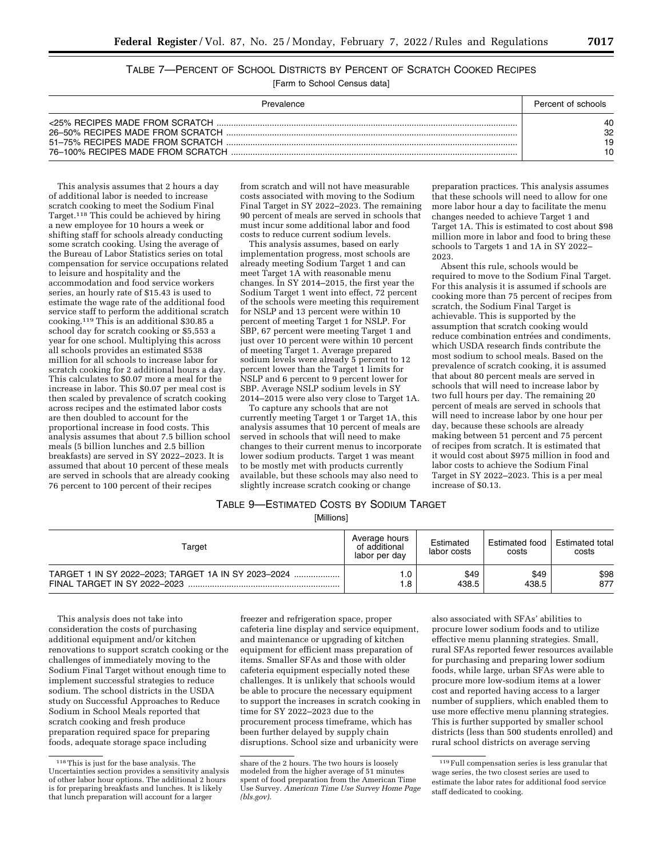## TALBE 7—PERCENT OF SCHOOL DISTRICTS BY PERCENT OF SCRATCH COOKED RECIPES [Farm to School Census data]

| Prevalence | Percent of schools |
|------------|--------------------|
|            | 40                 |
|            | 32                 |
|            | 19                 |
|            | 10                 |

This analysis assumes that 2 hours a day of additional labor is needed to increase scratch cooking to meet the Sodium Final Target.118 This could be achieved by hiring a new employee for 10 hours a week or shifting staff for schools already conducting some scratch cooking. Using the average of the Bureau of Labor Statistics series on total compensation for service occupations related to leisure and hospitality and the accommodation and food service workers series, an hourly rate of \$15.43 is used to estimate the wage rate of the additional food service staff to perform the additional scratch cooking.119 This is an additional \$30.85 a school day for scratch cooking or \$5,553 a year for one school. Multiplying this across all schools provides an estimated \$538 million for all schools to increase labor for scratch cooking for 2 additional hours a day. This calculates to \$0.07 more a meal for the increase in labor. This \$0.07 per meal cost is then scaled by prevalence of scratch cooking across recipes and the estimated labor costs are then doubled to account for the proportional increase in food costs. This analysis assumes that about 7.5 billion school meals (5 billion lunches and 2.5 billion breakfasts) are served in SY 2022–2023. It is assumed that about 10 percent of these meals are served in schools that are already cooking 76 percent to 100 percent of their recipes

from scratch and will not have measurable costs associated with moving to the Sodium Final Target in SY 2022–2023. The remaining 90 percent of meals are served in schools that must incur some additional labor and food costs to reduce current sodium levels.

This analysis assumes, based on early implementation progress, most schools are already meeting Sodium Target 1 and can meet Target 1A with reasonable menu changes. In SY 2014–2015, the first year the Sodium Target 1 went into effect, 72 percent of the schools were meeting this requirement for NSLP and 13 percent were within 10 percent of meeting Target 1 for NSLP. For SBP, 67 percent were meeting Target 1 and just over 10 percent were within 10 percent of meeting Target 1. Average prepared sodium levels were already 5 percent to 12 percent lower than the Target 1 limits for NSLP and 6 percent to 9 percent lower for SBP. Average NSLP sodium levels in SY 2014–2015 were also very close to Target 1A.

To capture any schools that are not currently meeting Target 1 or Target 1A, this analysis assumes that 10 percent of meals are served in schools that will need to make changes to their current menus to incorporate lower sodium products. Target 1 was meant to be mostly met with products currently available, but these schools may also need to slightly increase scratch cooking or change

preparation practices. This analysis assumes that these schools will need to allow for one more labor hour a day to facilitate the menu changes needed to achieve Target 1 and Target 1A. This is estimated to cost about \$98 million more in labor and food to bring these schools to Targets 1 and 1A in SY 2022– 2023.

Absent this rule, schools would be required to move to the Sodium Final Target. For this analysis it is assumed if schools are cooking more than 75 percent of recipes from scratch, the Sodium Final Target is achievable. This is supported by the assumption that scratch cooking would reduce combination entrées and condiments, which USDA research finds contribute the most sodium to school meals. Based on the prevalence of scratch cooking, it is assumed that about 80 percent meals are served in schools that will need to increase labor by two full hours per day. The remaining 20 percent of meals are served in schools that will need to increase labor by one hour per day, because these schools are already making between 51 percent and 75 percent of recipes from scratch. It is estimated that it would cost about \$975 million in food and labor costs to achieve the Sodium Final Target in SY 2022–2023. This is a per meal increase of \$0.13.

## TABLE 9—ESTIMATED COSTS BY SODIUM TARGET [Millions]

| Target                                              | Average hours<br>of additional<br>labor per day | Estimated<br>labor costs | Estimated food<br>costs | <b>Estimated total</b><br>costs |
|-----------------------------------------------------|-------------------------------------------------|--------------------------|-------------------------|---------------------------------|
| TARGET 1 IN SY 2022-2023: TARGET 1A IN SY 2023-2024 | .0                                              | \$49                     | \$49                    | \$98                            |
| FINAL TARGET IN SY 2022-2023                        | 8. ا                                            | 438.5                    | 438.5                   | 877                             |

This analysis does not take into consideration the costs of purchasing additional equipment and/or kitchen renovations to support scratch cooking or the challenges of immediately moving to the Sodium Final Target without enough time to implement successful strategies to reduce sodium. The school districts in the USDA study on Successful Approaches to Reduce Sodium in School Meals reported that scratch cooking and fresh produce preparation required space for preparing foods, adequate storage space including

freezer and refrigeration space, proper cafeteria line display and service equipment, and maintenance or upgrading of kitchen equipment for efficient mass preparation of items. Smaller SFAs and those with older cafeteria equipment especially noted these challenges. It is unlikely that schools would be able to procure the necessary equipment to support the increases in scratch cooking in time for SY 2022–2023 due to the procurement process timeframe, which has

been further delayed by supply chain disruptions. School size and urbanicity were

also associated with SFAs' abilities to procure lower sodium foods and to utilize effective menu planning strategies. Small, rural SFAs reported fewer resources available for purchasing and preparing lower sodium foods, while large, urban SFAs were able to procure more low-sodium items at a lower cost and reported having access to a larger number of suppliers, which enabled them to use more effective menu planning strategies. This is further supported by smaller school districts (less than 500 students enrolled) and rural school districts on average serving

<sup>118</sup>This is just for the base analysis. The Uncertainties section provides a sensitivity analysis of other labor hour options. The additional 2 hours is for preparing breakfasts and lunches. It is likely that lunch preparation will account for a larger

share of the 2 hours. The two hours is loosely modeled from the higher average of 51 minutes spent of food preparation from the American Time Use Survey. *American Time Use Survey Home Page (bls.gov)*.

<sup>119</sup>Full compensation series is less granular that wage series, the two closest series are used to estimate the labor rates for additional food service staff dedicated to cooking.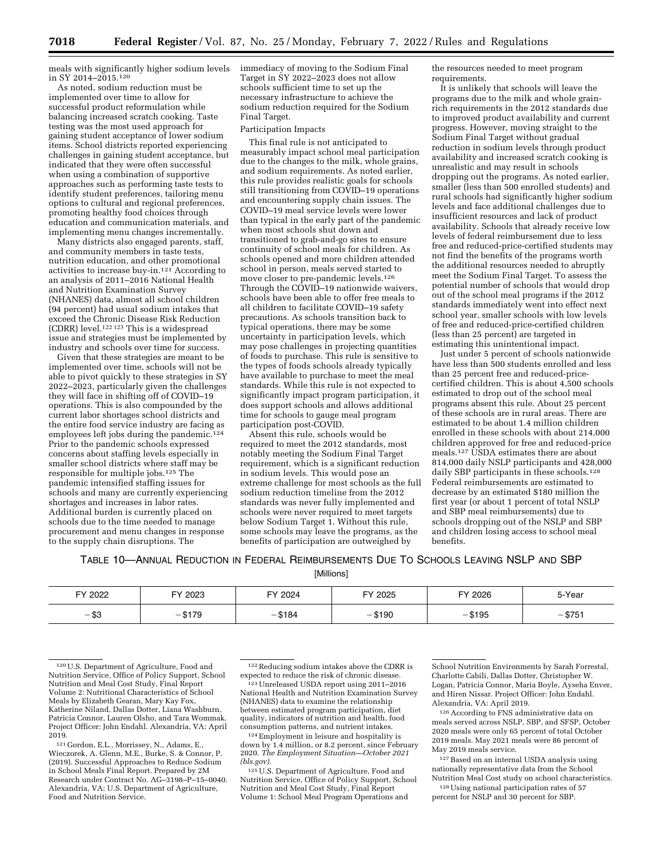meals with significantly higher sodium levels in SY 2014–2015.120

As noted, sodium reduction must be implemented over time to allow for successful product reformulation while balancing increased scratch cooking. Taste testing was the most used approach for gaining student acceptance of lower sodium items. School districts reported experiencing challenges in gaining student acceptance, but indicated that they were often successful when using a combination of supportive approaches such as performing taste tests to identify student preferences, tailoring menu options to cultural and regional preferences, promoting healthy food choices through education and communication materials, and implementing menu changes incrementally.

Many districts also engaged parents, staff, and community members in taste tests, nutrition education, and other promotional activities to increase buy-in.121 According to an analysis of 2011–2016 National Health and Nutrition Examination Survey (NHANES) data, almost all school children (94 percent) had usual sodium intakes that exceed the Chronic Disease Risk Reduction (CDRR) level.122 123 This is a widespread issue and strategies must be implemented by industry and schools over time for success.

Given that these strategies are meant to be implemented over time, schools will not be able to pivot quickly to these strategies in SY 2022–2023, particularly given the challenges they will face in shifting off of COVID–19 operations. This is also compounded by the current labor shortages school districts and the entire food service industry are facing as employees left jobs during the pandemic.<sup>124</sup> Prior to the pandemic schools expressed concerns about staffing levels especially in smaller school districts where staff may be responsible for multiple jobs.125 The pandemic intensified staffing issues for schools and many are currently experiencing shortages and increases in labor rates. Additional burden is currently placed on schools due to the time needed to manage procurement and menu changes in response to the supply chain disruptions. The

immediacy of moving to the Sodium Final Target in SY 2022-2023 does not allow schools sufficient time to set up the necessary infrastructure to achieve the sodium reduction required for the Sodium Final Target.

## Participation Impacts

This final rule is not anticipated to measurably impact school meal participation due to the changes to the milk, whole grains, and sodium requirements. As noted earlier, this rule provides realistic goals for schools still transitioning from COVID–19 operations and encountering supply chain issues. The COVID–19 meal service levels were lower than typical in the early part of the pandemic when most schools shut down and transitioned to grab-and-go sites to ensure continuity of school meals for children. As schools opened and more children attended school in person, meals served started to move closer to pre-pandemic levels.126 Through the COVID–19 nationwide waivers, schools have been able to offer free meals to all children to facilitate COVID–19 safety precautions. As schools transition back to typical operations, there may be some uncertainty in participation levels, which may pose challenges in projecting quantities of foods to purchase. This rule is sensitive to the types of foods schools already typically have available to purchase to meet the meal standards. While this rule is not expected to significantly impact program participation, it does support schools and allows additional time for schools to gauge meal program participation post-COVID.

Absent this rule, schools would be required to meet the 2012 standards, most notably meeting the Sodium Final Target requirement, which is a significant reduction in sodium levels. This would pose an extreme challenge for most schools as the full sodium reduction timeline from the 2012 standards was never fully implemented and schools were never required to meet targets below Sodium Target 1. Without this rule, some schools may leave the programs, as the benefits of participation are outweighed by

the resources needed to meet program requirements.

It is unlikely that schools will leave the programs due to the milk and whole grainrich requirements in the 2012 standards due to improved product availability and current progress. However, moving straight to the Sodium Final Target without gradual reduction in sodium levels through product availability and increased scratch cooking is unrealistic and may result in schools dropping out the programs. As noted earlier, smaller (less than 500 enrolled students) and rural schools had significantly higher sodium levels and face additional challenges due to insufficient resources and lack of product availability. Schools that already receive low levels of federal reimbursement due to less free and reduced-price-certified students may not find the benefits of the programs worth the additional resources needed to abruptly meet the Sodium Final Target. To assess the potential number of schools that would drop out of the school meal programs if the 2012 standards immediately went into effect next school year, smaller schools with low levels of free and reduced-price-certified children (less than 25 percent) are targeted in estimating this unintentional impact.

Just under 5 percent of schools nationwide have less than 500 students enrolled and less than 25 percent free and reduced-pricecertified children. This is about 4,500 schools estimated to drop out of the school meal programs absent this rule. About 25 percent of these schools are in rural areas. There are estimated to be about 1.4 million children enrolled in these schools with about 214,000 children approved for free and reduced-price meals.127 USDA estimates there are about 814,000 daily NSLP participants and 428,000 daily SBP participants in these schools.128 Federal reimbursements are estimated to decrease by an estimated \$180 million the first year (or about 1 percent of total NSLP and SBP meal reimbursements) due to schools dropping out of the NSLP and SBP and children losing access to school meal benefits.

## TABLE 10—ANNUAL REDUCTION IN FEDERAL REIMBURSEMENTS DUE TO SCHOOLS LEAVING NSLP AND SBP

[Millions]

| FY 2022          | FY 2023            | FY 2024 | FY 2025   | FY 2026 | 5-Year                                             |
|------------------|--------------------|---------|-----------|---------|----------------------------------------------------|
| _ ഹ<br>$-\infty$ | $-20$<br>–<br>2119 | \$184   | $-$ \$190 | \$195   | $\uparrow$<br>$\overline{\phantom{0}}$<br>، ن به ۰ |

<sup>120</sup>U.S. Department of Agriculture, Food and Nutrition Service, Office of Policy Support, School Nutrition and Meal Cost Study, Final Report Volume 2: Nutritional Characteristics of School Meals by Elizabeth Gearan, Mary Kay Fox, Katherine Niland, Dallas Dotter, Liana Washburn, Patricia Connor, Lauren Olsho, and Tara Wommak. Project Officer: John Endahl. Alexandria, VA: April 2019.

 $^{122}$  Reducing sodium intakes above the CDRR is expected to reduce the risk of chronic disease.

<sup>123</sup> Unreleased USDA report using 2011–2016 National Health and Nutrition Examination Survey (NHANES) data to examine the relationship between estimated program participation, diet quality, indicators of nutrition and health, food consumption patterns, and nutrient intakes. 124Employment in leisure and hospitality is

down by 1.4 million, or 8.2 percent, since February 2020. *The Employment Situation—October 2021 (bls.gov)*.

125U.S. Department of Agriculture, Food and Nutrition Service, Office of Policy Support, School Nutrition and Meal Cost Study, Final Report Volume 1: School Meal Program Operations and

School Nutrition Environments by Sarah Forrestal, Charlotte Cabili, Dallas Dotter, Christopher W. Logan, Patricia Connor, Maria Boyle, Ayseha Enver, and Hiren Nissar. Project Officer: John Endahl. Alexandria, VA: April 2019.

126According to FNS administrative data on meals served across NSLP, SBP, and SFSP, October 2020 meals were only 65 percent of total October 2019 meals. May 2021 meals were 86 percent of May 2019 meals service.

127Based on an internal USDA analysis using nationally representative data from the School Nutrition Meal Cost study on school characteristics.

128Using national participation rates of 57 percent for NSLP and 30 percent for SBP.

<sup>121</sup> Gordon, E.L., Morrissey, N., Adams, E., Wieczorek, A. Glenn, M.E., Burke, S. & Connor, P. (2019). Successful Approaches to Reduce Sodium in School Meals Final Report. Prepared by 2M Research under Contract No. AG–3198–P–15–0040. Alexandria, VA: U.S. Department of Agriculture, Food and Nutrition Service.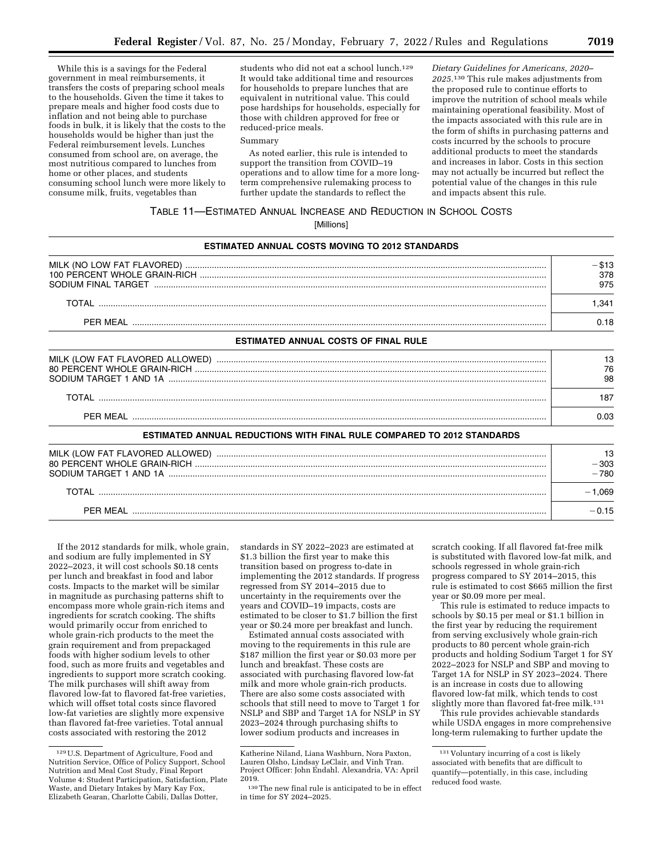While this is a savings for the Federal government in meal reimbursements, it transfers the costs of preparing school meals to the households. Given the time it takes to prepare meals and higher food costs due to inflation and not being able to purchase foods in bulk, it is likely that the costs to the households would be higher than just the Federal reimbursement levels. Lunches consumed from school are, on average, the most nutritious compared to lunches from home or other places, and students consuming school lunch were more likely to consume milk, fruits, vegetables than

students who did not eat a school lunch.<sup>129</sup> It would take additional time and resources for households to prepare lunches that are equivalent in nutritional value. This could pose hardships for households, especially for those with children approved for free or reduced-price meals.

## Summary

As noted earlier, this rule is intended to support the transition from COVID–19 operations and to allow time for a more longterm comprehensive rulemaking process to further update the standards to reflect the

*Dietary Guidelines for Americans, 2020– 2025*.130 This rule makes adjustments from the proposed rule to continue efforts to improve the nutrition of school meals while maintaining operational feasibility. Most of the impacts associated with this rule are in the form of shifts in purchasing patterns and costs incurred by the schools to procure additional products to meet the standards and increases in labor. Costs in this section may not actually be incurred but reflect the potential value of the changes in this rule and impacts absent this rule.

## TABLE 11—ESTIMATED ANNUAL INCREASE AND REDUCTION IN SCHOOL COSTS

[Millions]

#### **ESTIMATED ANNUAL COSTS MOVING TO 2012 STANDARDS**

| MII K (NO           |            |
|---------------------|------------|
| SODIUM FINAL TARGET | 378<br>975 |
|                     |            |
| ומדרז               |            |
| PFR MFAI            | 18 I       |
|                     |            |

## **ESTIMATED ANNUAL COSTS OF FINAL RULE**

|                                                                               | 13<br>76<br>98 |
|-------------------------------------------------------------------------------|----------------|
| ΤΩΤΑΙ                                                                         | 187            |
| PFR MFAI                                                                      | 0.O3           |
| <b>ESTIMATED ANNUAL REDUCTIONS WITH FINAL RULE COMPARED TO 2012 STANDARDS</b> |                |

| MILK (LOW FAT FLAVORED ALLOWED)<br>80 PERCENT WHOLE GRAIN-RICH | 303   |
|----------------------------------------------------------------|-------|
| SODIUM TARGET 1 AND 1A                                         | - 780 |
|                                                                | 069   |
| <b>PER MEAL</b>                                                | 0.15  |

If the 2012 standards for milk, whole grain, and sodium are fully implemented in SY 2022–2023, it will cost schools \$0.18 cents per lunch and breakfast in food and labor costs. Impacts to the market will be similar in magnitude as purchasing patterns shift to encompass more whole grain-rich items and ingredients for scratch cooking. The shifts would primarily occur from enriched to whole grain-rich products to the meet the grain requirement and from prepackaged foods with higher sodium levels to other food, such as more fruits and vegetables and ingredients to support more scratch cooking. The milk purchases will shift away from flavored low-fat to flavored fat-free varieties, which will offset total costs since flavored low-fat varieties are slightly more expensive than flavored fat-free varieties. Total annual costs associated with restoring the 2012

standards in SY 2022–2023 are estimated at \$1.3 billion the first year to make this transition based on progress to-date in implementing the 2012 standards. If progress regressed from SY 2014–2015 due to uncertainty in the requirements over the years and COVID–19 impacts, costs are estimated to be closer to \$1.7 billion the first year or \$0.24 more per breakfast and lunch.

Estimated annual costs associated with moving to the requirements in this rule are \$187 million the first year or \$0.03 more per lunch and breakfast. These costs are associated with purchasing flavored low-fat milk and more whole grain-rich products. There are also some costs associated with schools that still need to move to Target 1 for NSLP and SBP and Target 1A for NSLP in SY 2023–2024 through purchasing shifts to lower sodium products and increases in

scratch cooking. If all flavored fat-free milk is substituted with flavored low-fat milk, and schools regressed in whole grain-rich progress compared to SY 2014–2015, this rule is estimated to cost \$665 million the first year or \$0.09 more per meal.

This rule is estimated to reduce impacts to schools by \$0.15 per meal or \$1.1 billion in the first year by reducing the requirement from serving exclusively whole grain-rich products to 80 percent whole grain-rich products and holding Sodium Target 1 for SY 2022–2023 for NSLP and SBP and moving to Target 1A for NSLP in SY 2023–2024. There is an increase in costs due to allowing flavored low-fat milk, which tends to cost slightly more than flavored fat-free milk.131

This rule provides achievable standards while USDA engages in more comprehensive long-term rulemaking to further update the

<sup>129</sup>U.S. Department of Agriculture, Food and Nutrition Service, Office of Policy Support, School Nutrition and Meal Cost Study, Final Report Volume 4: Student Participation, Satisfaction, Plate Waste, and Dietary Intakes by Mary Kay Fox, Elizabeth Gearan, Charlotte Cabili, Dallas Dotter,

Katherine Niland, Liana Washburn, Nora Paxton, Lauren Olsho, Lindsay LeClair, and Vinh Tran. Project Officer: John Endahl. Alexandria, VA: April 2019.

<sup>130</sup>The new final rule is anticipated to be in effect in time for SY 2024–2025.

<sup>131</sup> Voluntary incurring of a cost is likely associated with benefits that are difficult to quantify—potentially, in this case, including reduced food waste.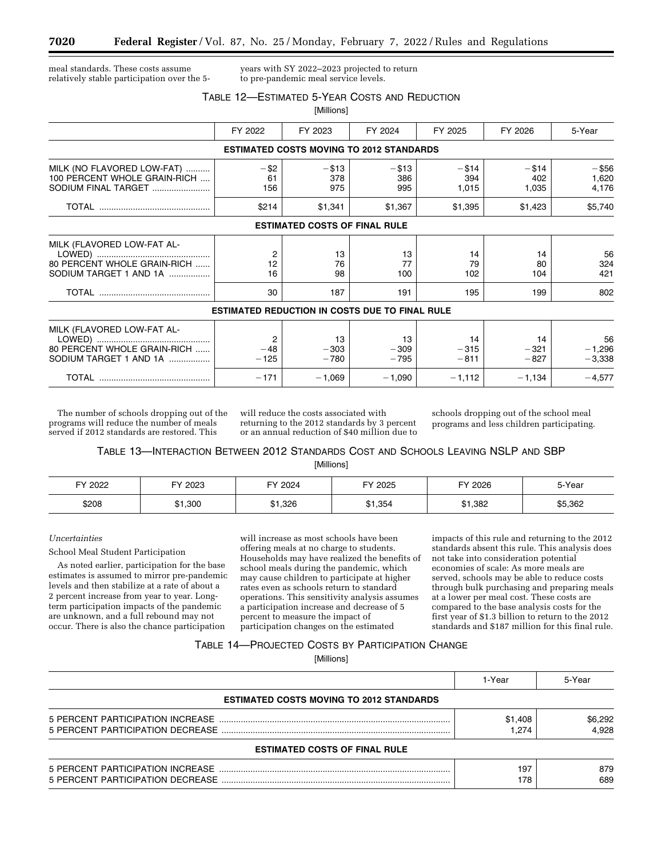meal standards. These costs assume relatively stable participation over the 5years with SY 2022–2023 projected to return to pre-pandemic meal service levels.

## TABLE 12—ESTIMATED 5-YEAR COSTS AND REDUCTION

[Millions]

|                                                                                     | FY 2022                           | FY 2023                                               | FY 2024                | FY 2025                  | FY 2026                  | 5-Year                     |
|-------------------------------------------------------------------------------------|-----------------------------------|-------------------------------------------------------|------------------------|--------------------------|--------------------------|----------------------------|
|                                                                                     |                                   | <b>ESTIMATED COSTS MOVING TO 2012 STANDARDS</b>       |                        |                          |                          |                            |
| MILK (NO FLAVORED LOW-FAT)<br>100 PERCENT WHOLE GRAIN-RICH<br>SODIUM FINAL TARGET   | $-$ \$2<br>61<br>156              | $- $13$<br>378<br>975                                 | $- $13$<br>386<br>995  | $-$ \$14<br>394<br>1,015 | $-$ \$14<br>402<br>1,035 | $-$ \$56<br>1,620<br>4,176 |
|                                                                                     | \$214                             | \$1,341                                               | \$1,367                | \$1,395                  | \$1,423                  | \$5,740                    |
|                                                                                     |                                   | <b>ESTIMATED COSTS OF FINAL RULE</b>                  |                        |                          |                          |                            |
| MILK (FLAVORED LOW-FAT AL-<br>80 PERCENT WHOLE GRAIN-RICH<br>SODIUM TARGET 1 AND 1A | 2<br>12<br>16                     | 13<br>76<br>98                                        | 13<br>77<br>100        | 14<br>79<br>102          | 14<br>80<br>104          | 56<br>324<br>421           |
|                                                                                     | 30                                | 187                                                   | 191                    | 195                      | 199                      | 802                        |
|                                                                                     |                                   | <b>ESTIMATED REDUCTION IN COSTS DUE TO FINAL RULE</b> |                        |                          |                          |                            |
| MILK (FLAVORED LOW-FAT AL-<br>80 PERCENT WHOLE GRAIN-RICH<br>SODIUM TARGET 1 AND 1A | $\overline{2}$<br>$-48$<br>$-125$ | 13<br>$-303$<br>$-780$                                | 13<br>$-309$<br>$-795$ | 14<br>$-315$<br>$-811$   | 14<br>$-321$<br>$-827$   | 56<br>$-1,296$<br>$-3,338$ |
|                                                                                     | $-171$                            | $-1,069$                                              | $-1,090$               | $-1,112$                 | $-1,134$                 | $-4,577$                   |

The number of schools dropping out of the programs will reduce the number of meals served if 2012 standards are restored. This

will reduce the costs associated with returning to the 2012 standards by 3 percent or an annual reduction of \$40 million due to

schools dropping out of the school meal programs and less children participating.

TABLE 13—INTERACTION BETWEEN 2012 STANDARDS COST AND SCHOOLS LEAVING NSLP AND SBP

[Millions]

| FY 2022 | FY 2023 | FY 2024 | FY 2025 | FY 2026 | 5-Year  |
|---------|---------|---------|---------|---------|---------|
| \$208   | \$1,300 | \$1,326 | \$1,354 | \$1,382 | \$5,362 |

## *Uncertainties*

## School Meal Student Participation

As noted earlier, participation for the base estimates is assumed to mirror pre-pandemic levels and then stabilize at a rate of about a 2 percent increase from year to year. Longterm participation impacts of the pandemic are unknown, and a full rebound may not occur. There is also the chance participation

will increase as most schools have been offering meals at no charge to students. Households may have realized the benefits of school meals during the pandemic, which may cause children to participate at higher rates even as schools return to standard operations. This sensitivity analysis assumes a participation increase and decrease of 5 percent to measure the impact of participation changes on the estimated

impacts of this rule and returning to the 2012 standards absent this rule. This analysis does not take into consideration potential economies of scale: As more meals are served, schools may be able to reduce costs through bulk purchasing and preparing meals at a lower per meal cost. These costs are compared to the base analysis costs for the first year of \$1.3 billion to return to the 2012 standards and \$187 million for this final rule.

## TABLE 14—PROJECTED COSTS BY PARTICIPATION CHANGE

[Millions]

|                                                 | 1-Year  | 5-Year  |
|-------------------------------------------------|---------|---------|
| <b>ESTIMATED COSTS MOVING TO 2012 STANDARDS</b> |         |         |
|                                                 | \$1,408 | \$6,292 |
|                                                 | 1.274   | 4.928   |
| <b>ESTIMATED COSTS OF FINAL RULE</b>            |         |         |
|                                                 | 197     | 879     |
|                                                 | 178     | 689     |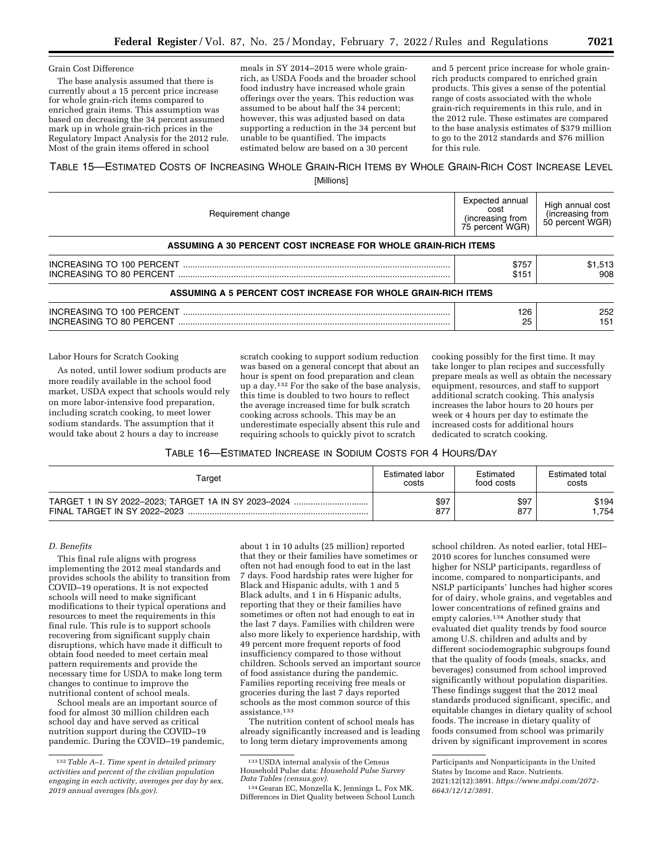## Grain Cost Difference

The base analysis assumed that there is currently about a 15 percent price increase for whole grain-rich items compared to enriched grain items. This assumption was based on decreasing the 34 percent assumed mark up in whole grain-rich prices in the Regulatory Impact Analysis for the 2012 rule. Most of the grain items offered in school

meals in SY 2014–2015 were whole grainrich, as USDA Foods and the broader school food industry have increased whole grain offerings over the years. This reduction was assumed to be about half the 34 percent; however, this was adjusted based on data supporting a reduction in the 34 percent but unable to be quantified. The impacts estimated below are based on a 30 percent

and 5 percent price increase for whole grainrich products compared to enriched grain products. This gives a sense of the potential range of costs associated with the whole grain-rich requirements in this rule, and in the 2012 rule. These estimates are compared to the base analysis estimates of \$379 million to go to the 2012 standards and \$76 million for this rule.

## TABLE 15—ESTIMATED COSTS OF INCREASING WHOLE GRAIN-RICH ITEMS BY WHOLE GRAIN-RICH COST INCREASE LEVEL [Millions]

| Requirement change                                             | Expected annual<br>cost<br>(increasing from<br>75 percent WGR) | High annual cost<br>(increasing from<br>50 percent WGR) |
|----------------------------------------------------------------|----------------------------------------------------------------|---------------------------------------------------------|
| ASSUMING A 30 PERCENT COST INCREASE FOR WHOLE GRAIN-RICH ITEMS |                                                                |                                                         |
|                                                                | \$757<br>\$151                                                 | \$1,513<br>908                                          |
| ASSUMING A 5 PERCENT COST INCREASE FOR WHOLE GRAIN-RICH ITEMS  |                                                                |                                                         |
| INCREASING TO 80 PERCENT                                       | 126<br>25                                                      | 252<br>151                                              |

### Labor Hours for Scratch Cooking

As noted, until lower sodium products are more readily available in the school food market, USDA expect that schools would rely on more labor-intensive food preparation, including scratch cooking, to meet lower sodium standards. The assumption that it would take about 2 hours a day to increase

scratch cooking to support sodium reduction was based on a general concept that about an hour is spent on food preparation and clean up a day.132 For the sake of the base analysis, this time is doubled to two hours to reflect the average increased time for bulk scratch cooking across schools. This may be an underestimate especially absent this rule and requiring schools to quickly pivot to scratch

cooking possibly for the first time. It may take longer to plan recipes and successfully prepare meals as well as obtain the necessary equipment, resources, and staff to support additional scratch cooking. This analysis increases the labor hours to 20 hours per week or 4 hours per day to estimate the increased costs for additional hours dedicated to scratch cooking.

### TABLE 16—ESTIMATED INCREASE IN SODIUM COSTS FOR 4 HOURS/DAY

| Target                       | Estimated labor | Estimated  | <b>Estimated total</b> |
|------------------------------|-----------------|------------|------------------------|
|                              | costs           | food costs | costs                  |
|                              | \$97            | \$97       | \$194                  |
| FINAL TARGET IN SY 2022-2023 | 877             | 877        | .754                   |

#### *D. Benefits*

This final rule aligns with progress implementing the 2012 meal standards and provides schools the ability to transition from COVID–19 operations. It is not expected schools will need to make significant modifications to their typical operations and resources to meet the requirements in this final rule. This rule is to support schools recovering from significant supply chain disruptions, which have made it difficult to obtain food needed to meet certain meal pattern requirements and provide the necessary time for USDA to make long term changes to continue to improve the nutritional content of school meals.

School meals are an important source of food for almost 30 million children each school day and have served as critical nutrition support during the COVID–19 pandemic. During the COVID–19 pandemic,

about 1 in 10 adults (25 million) reported that they or their families have sometimes or often not had enough food to eat in the last 7 days. Food hardship rates were higher for Black and Hispanic adults, with 1 and 5 Black adults, and 1 in 6 Hispanic adults, reporting that they or their families have sometimes or often not had enough to eat in the last 7 days. Families with children were also more likely to experience hardship, with 49 percent more frequent reports of food insufficiency compared to those without children. Schools served an important source of food assistance during the pandemic. Families reporting receiving free meals or groceries during the last 7 days reported schools as the most common source of this assistance.133

The nutrition content of school meals has already significantly increased and is leading to long term dietary improvements among

school children. As noted earlier, total HEI– 2010 scores for lunches consumed were higher for NSLP participants, regardless of income, compared to nonparticipants, and NSLP participants' lunches had higher scores for of dairy, whole grains, and vegetables and lower concentrations of refined grains and empty calories.134 Another study that evaluated diet quality trends by food source among U.S. children and adults and by different sociodemographic subgroups found that the quality of foods (meals, snacks, and beverages) consumed from school improved significantly without population disparities. These findings suggest that the 2012 meal standards produced significant, specific, and equitable changes in dietary quality of school foods. The increase in dietary quality of foods consumed from school was primarily driven by significant improvement in scores

<sup>132</sup>*Table A–1. Time spent in detailed primary activities and percent of the civilian population engaging in each activity, averages per day by sex, 2019 annual averages (bls.gov).* 

<sup>133</sup>USDA internal analysis of the Census Household Pulse data: *Household Pulse Survey Data Tables (census.gov).* 

<sup>134</sup> Gearan EC, Monzella K, Jennings L, Fox MK. Differences in Diet Quality between School Lunch

Participants and Nonparticipants in the United States by Income and Race. Nutrients. 2021;12(12):3891. *[https://www.mdpi.com/2072-](https://www.mdpi.com/2072-6643/12/12/3891)  [6643/12/12/3891.](https://www.mdpi.com/2072-6643/12/12/3891)*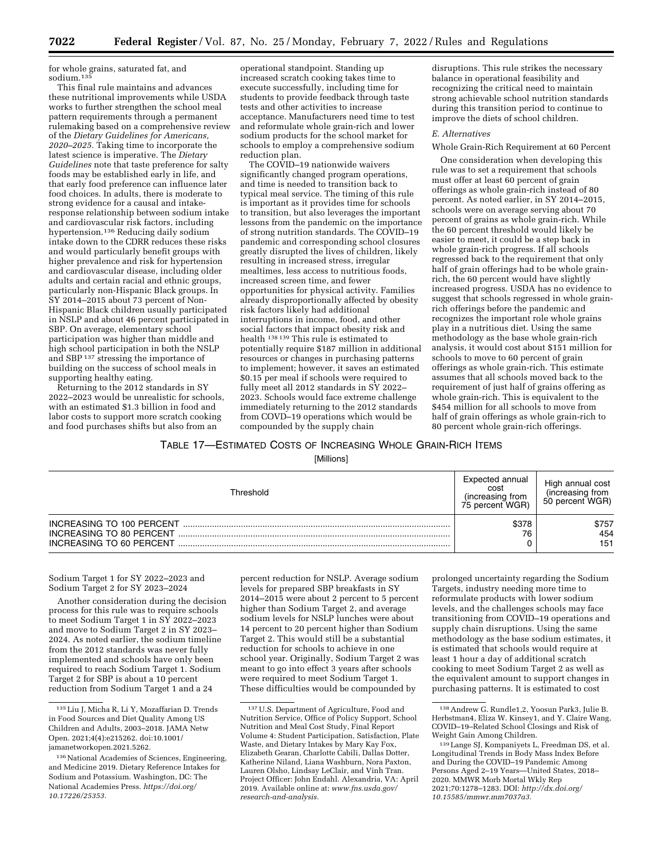for whole grains, saturated fat, and sodium.<sup>135</sup>

This final rule maintains and advances these nutritional improvements while USDA works to further strengthen the school meal pattern requirements through a permanent rulemaking based on a comprehensive review of the *Dietary Guidelines for Americans, 2020–2025.* Taking time to incorporate the latest science is imperative. The *Dietary Guidelines* note that taste preference for salty foods may be established early in life, and that early food preference can influence later food choices. In adults, there is moderate to strong evidence for a causal and intakeresponse relationship between sodium intake and cardiovascular risk factors, including hypertension.136 Reducing daily sodium intake down to the CDRR reduces these risks and would particularly benefit groups with higher prevalence and risk for hypertension and cardiovascular disease, including older adults and certain racial and ethnic groups, particularly non-Hispanic Black groups. In SY 2014–2015 about 73 percent of Non-Hispanic Black children usually participated in NSLP and about 46 percent participated in SBP. On average, elementary school participation was higher than middle and high school participation in both the NSLP and SBP<sup>137</sup> stressing the importance of building on the success of school meals in supporting healthy eating.

Returning to the 2012 standards in SY 2022–2023 would be unrealistic for schools, with an estimated \$1.3 billion in food and labor costs to support more scratch cooking and food purchases shifts but also from an

operational standpoint. Standing up increased scratch cooking takes time to execute successfully, including time for students to provide feedback through taste tests and other activities to increase acceptance. Manufacturers need time to test and reformulate whole grain-rich and lower sodium products for the school market for schools to employ a comprehensive sodium reduction plan.

The COVID–19 nationwide waivers significantly changed program operations, and time is needed to transition back to typical meal service. The timing of this rule is important as it provides time for schools to transition, but also leverages the important lessons from the pandemic on the importance of strong nutrition standards. The COVID–19 pandemic and corresponding school closures greatly disrupted the lives of children, likely resulting in increased stress, irregular mealtimes, less access to nutritious foods, increased screen time, and fewer opportunities for physical activity. Families already disproportionally affected by obesity risk factors likely had additional interruptions in income, food, and other social factors that impact obesity risk and health 138 139 This rule is estimated to potentially require \$187 million in additional resources or changes in purchasing patterns to implement; however, it saves an estimated \$0.15 per meal if schools were required to fully meet all 2012 standards in SY 2022– 2023. Schools would face extreme challenge immediately returning to the 2012 standards from COVD–19 operations which would be compounded by the supply chain

disruptions. This rule strikes the necessary balance in operational feasibility and recognizing the critical need to maintain strong achievable school nutrition standards during this transition period to continue to improve the diets of school children.

#### *E. Alternatives*

#### Whole Grain-Rich Requirement at 60 Percent

One consideration when developing this rule was to set a requirement that schools must offer at least 60 percent of grain offerings as whole grain-rich instead of 80 percent. As noted earlier, in SY 2014–2015, schools were on average serving about 70 percent of grains as whole grain-rich. While the 60 percent threshold would likely be easier to meet, it could be a step back in whole grain-rich progress. If all schools regressed back to the requirement that only half of grain offerings had to be whole grainrich, the 60 percent would have slightly increased progress. USDA has no evidence to suggest that schools regressed in whole grainrich offerings before the pandemic and recognizes the important role whole grains play in a nutritious diet. Using the same methodology as the base whole grain-rich analysis, it would cost about \$151 million for schools to move to 60 percent of grain offerings as whole grain-rich. This estimate assumes that all schools moved back to the requirement of just half of grains offering as whole grain-rich. This is equivalent to the \$454 million for all schools to move from half of grain offerings as whole grain-rich to 80 percent whole grain-rich offerings.

## TABLE 17—ESTIMATED COSTS OF INCREASING WHOLE GRAIN-RICH ITEMS

[Millions]

| Threshold                                                                         | Expected annual<br>cost<br>(increasing from<br>75 percent WGR) | High annual cost<br>(increasing from<br>50 percent WGR) |
|-----------------------------------------------------------------------------------|----------------------------------------------------------------|---------------------------------------------------------|
| INCREASING TO 100 PERCENT<br>INCREASING TO 80 PERCENT<br>INCREASING TO 60 PERCENT | \$378<br>76                                                    | \$757<br>454<br>151                                     |

Sodium Target 1 for SY 2022–2023 and Sodium Target 2 for SY 2023–2024

Another consideration during the decision process for this rule was to require schools to meet Sodium Target 1 in SY 2022–2023 and move to Sodium Target 2 in SY 2023– 2024. As noted earlier, the sodium timeline from the 2012 standards was never fully implemented and schools have only been required to reach Sodium Target 1. Sodium Target 2 for SBP is about a 10 percent reduction from Sodium Target 1 and a 24

percent reduction for NSLP. Average sodium levels for prepared SBP breakfasts in SY 2014–2015 were about 2 percent to 5 percent higher than Sodium Target 2, and average sodium levels for NSLP lunches were about 14 percent to 20 percent higher than Sodium Target 2. This would still be a substantial reduction for schools to achieve in one school year. Originally, Sodium Target 2 was meant to go into effect 3 years after schools were required to meet Sodium Target 1. These difficulties would be compounded by

prolonged uncertainty regarding the Sodium Targets, industry needing more time to reformulate products with lower sodium levels, and the challenges schools may face transitioning from COVID–19 operations and supply chain disruptions. Using the same methodology as the base sodium estimates, it is estimated that schools would require at least 1 hour a day of additional scratch cooking to meet Sodium Target 2 as well as the equivalent amount to support changes in purchasing patterns. It is estimated to cost

<sup>135</sup>Liu J, Micha R, Li Y, Mozaffarian D. Trends in Food Sources and Diet Quality Among US Children and Adults, 2003–2018. JAMA Netw Open. 2021;4(4):e215262. doi:10.1001/ jamanetworkopen.2021.5262.

<sup>136</sup>National Academies of Sciences, Engineering, and Medicine 2019. Dietary Reference Intakes for Sodium and Potassium. Washington, DC: The National Academies Press. *[https://doi.org/](https://doi.org/10.17226/25353) [10.17226/25353.](https://doi.org/10.17226/25353)* 

<sup>137</sup>U.S. Department of Agriculture, Food and Nutrition Service, Office of Policy Support, School Nutrition and Meal Cost Study, Final Report Volume 4: Student Participation, Satisfaction, Plate Waste, and Dietary Intakes by Mary Kay Fox, Elizabeth Gearan, Charlotte Cabili, Dallas Dotter, Katherine Niland, Liana Washburn, Nora Paxton, Lauren Olsho, Lindsay LeClair, and Vinh Tran. Project Officer: John Endahl. Alexandria, VA: April 2019. Available online at: *[www.fns.usda.gov/](http://www.fns.usda.gov/research-and-analysis) [research-and-analysis.](http://www.fns.usda.gov/research-and-analysis)* 

<sup>138</sup>Andrew G. Rundle1,2, Yoosun Park3, Julie B. Herbstman4, Eliza W. Kinsey1, and Y. Claire Wang, COVID–19–Related School Closings and Risk of Weight Gain Among Children.

<sup>139</sup>Lange SJ, Kompaniyets L, Freedman DS, et al. Longitudinal Trends in Body Mass Index Before and During the COVID–19 Pandemic Among Persons Aged 2–19 Years—United States, 2018– 2020. MMWR Morb Mortal Wkly Rep 2021;70:1278–1283. DOI: *[http://dx.doi.org/](http://dx.doi.org/10.15585/mmwr.mm7037a3)  [10.15585/mmwr.mm7037a3.](http://dx.doi.org/10.15585/mmwr.mm7037a3)*